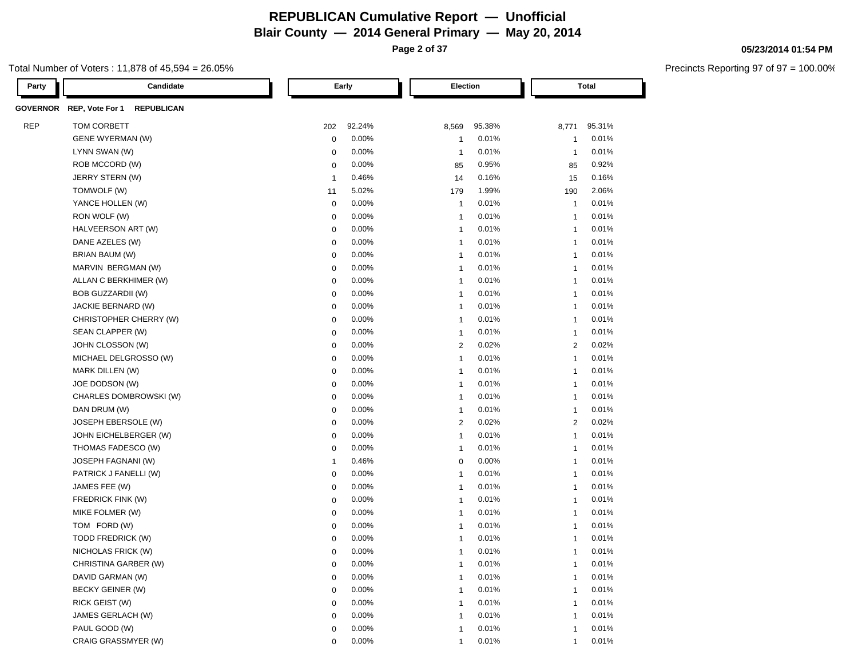**Page 2 of 37**

#### Total Number of Voters : 11,878 of 45,594 = 26.05%

| Party      | Candidate                                     |                | Early  | Election                 |        |                | Total  |
|------------|-----------------------------------------------|----------------|--------|--------------------------|--------|----------------|--------|
|            | GOVERNOR REP, Vote For 1<br><b>REPUBLICAN</b> |                |        |                          |        |                |        |
| <b>REP</b> | TOM CORBETT                                   | 202            | 92.24% | 8,569                    | 95.38% | 8,771          | 95.31% |
|            | <b>GENE WYERMAN (W)</b>                       | 0              | 0.00%  | -1                       | 0.01%  | $\mathbf{1}$   | 0.01%  |
|            | LYNN SWAN (W)                                 | 0              | 0.00%  | $\overline{1}$           | 0.01%  | $\overline{1}$ | 0.01%  |
|            | ROB MCCORD (W)                                | 0              | 0.00%  | 85                       | 0.95%  | 85             | 0.92%  |
|            | JERRY STERN (W)                               | $\overline{1}$ | 0.46%  | 14                       | 0.16%  | 15             | 0.16%  |
|            | TOMWOLF (W)                                   | 11             | 5.02%  | 179                      | 1.99%  | 190            | 2.06%  |
|            | YANCE HOLLEN (W)                              | $\mathbf 0$    | 0.00%  | -1                       | 0.01%  | $\mathbf{1}$   | 0.01%  |
|            | RON WOLF (W)                                  | $\mathbf 0$    | 0.00%  | $\overline{1}$           | 0.01%  | $\mathbf{1}$   | 0.01%  |
|            | HALVEERSON ART (W)                            | $\mathbf 0$    | 0.00%  | $\overline{1}$           | 0.01%  | $\mathbf{1}$   | 0.01%  |
|            | DANE AZELES (W)                               | $\mathbf 0$    | 0.00%  | $\overline{1}$           | 0.01%  | $\mathbf{1}$   | 0.01%  |
|            | BRIAN BAUM (W)                                | $\mathbf 0$    | 0.00%  | $\overline{1}$           | 0.01%  | $\mathbf{1}$   | 0.01%  |
|            | MARVIN BERGMAN (W)                            | $\mathbf 0$    | 0.00%  | $\overline{1}$           | 0.01%  | $\mathbf{1}$   | 0.01%  |
|            | ALLAN C BERKHIMER (W)                         | $\mathbf 0$    | 0.00%  | $\overline{1}$           | 0.01%  | $\mathbf{1}$   | 0.01%  |
|            | BOB GUZZARDII (W)                             | $\mathbf 0$    | 0.00%  | $\overline{1}$           | 0.01%  | $\mathbf{1}$   | 0.01%  |
|            | JACKIE BERNARD (W)                            | $\mathbf 0$    | 0.00%  | $\overline{1}$           | 0.01%  | $\mathbf{1}$   | 0.01%  |
|            | CHRISTOPHER CHERRY (W)                        | $\mathbf 0$    | 0.00%  | $\overline{1}$           | 0.01%  | $\mathbf{1}$   | 0.01%  |
|            | SEAN CLAPPER (W)                              | $\mathbf 0$    | 0.00%  | $\overline{1}$           | 0.01%  | $\mathbf{1}$   | 0.01%  |
|            | JOHN CLOSSON (W)                              | $\mathbf 0$    | 0.00%  | 2                        | 0.02%  | 2              | 0.02%  |
|            | MICHAEL DELGROSSO (W)                         | $\mathbf 0$    | 0.00%  | $\overline{1}$           | 0.01%  | $\mathbf{1}$   | 0.01%  |
|            | MARK DILLEN (W)                               | $\mathbf 0$    | 0.00%  | $\overline{1}$           | 0.01%  | $\mathbf{1}$   | 0.01%  |
|            | JOE DODSON (W)                                | $\mathbf 0$    | 0.00%  | $\overline{1}$           | 0.01%  | $\overline{1}$ | 0.01%  |
|            | CHARLES DOMBROWSKI (W)                        | $\mathbf 0$    | 0.00%  | $\overline{1}$           | 0.01%  | $\mathbf{1}$   | 0.01%  |
|            | DAN DRUM (W)                                  | $\mathbf 0$    | 0.00%  | $\overline{1}$           | 0.01%  | $\overline{1}$ | 0.01%  |
|            | JOSEPH EBERSOLE (W)                           | $\mathbf 0$    | 0.00%  | $\overline{2}$           | 0.02%  | 2              | 0.02%  |
|            | JOHN EICHELBERGER (W)                         | $\mathbf 0$    | 0.00%  | $\overline{1}$           | 0.01%  | $\overline{1}$ | 0.01%  |
|            | THOMAS FADESCO (W)                            | $\mathbf 0$    | 0.00%  | $\overline{1}$           | 0.01%  | $\mathbf{1}$   | 0.01%  |
|            | JOSEPH FAGNANI (W)                            | $\overline{1}$ | 0.46%  | $\mathbf 0$              | 0.00%  | $\mathbf{1}$   | 0.01%  |
|            | PATRICK J FANELLI (W)                         | $\mathbf 0$    | 0.00%  | $\overline{1}$           | 0.01%  | $\overline{1}$ | 0.01%  |
|            | JAMES FEE (W)                                 | $\mathbf 0$    | 0.00%  | $\overline{1}$           | 0.01%  | $\mathbf{1}$   | 0.01%  |
|            | FREDRICK FINK (W)                             | $\mathbf 0$    | 0.00%  | $\overline{1}$           | 0.01%  | $\mathbf{1}$   | 0.01%  |
|            | MIKE FOLMER (W)                               | $\mathbf 0$    | 0.00%  | $\overline{1}$           | 0.01%  | $\mathbf{1}$   | 0.01%  |
|            | TOM FORD (W)                                  | $\mathbf 0$    | 0.00%  | $\overline{1}$           | 0.01%  | $\overline{1}$ | 0.01%  |
|            | TODD FREDRICK (W)                             | $\mathbf 0$    | 0.00%  | -1                       | 0.01%  | -1             | 0.01%  |
|            | NICHOLAS FRICK (W)                            | 0              | 0.00%  | -1                       | 0.01%  | $\mathbf{1}$   | 0.01%  |
|            | CHRISTINA GARBER (W)                          | 0              | 0.00%  | -1                       | 0.01%  | 1              | 0.01%  |
|            | DAVID GARMAN (W)                              | $\mathbf 0$    | 0.00%  | $\overline{\phantom{a}}$ | 0.01%  | 1              | 0.01%  |
|            | BECKY GEINER (W)                              | $\mathbf 0$    | 0.00%  | -1                       | 0.01%  | $\overline{1}$ | 0.01%  |
|            | RICK GEIST (W)                                | $\mathbf 0$    | 0.00%  | $\overline{\mathbf{1}}$  | 0.01%  | $\overline{1}$ | 0.01%  |
|            | JAMES GERLACH (W)                             | $\mathbf 0$    | 0.00%  | $\overline{\phantom{a}}$ | 0.01%  | 1              | 0.01%  |
|            | PAUL GOOD (W)                                 | $\mathbf 0$    | 0.00%  | $\overline{1}$           | 0.01%  | $\mathbf{1}$   | 0.01%  |
|            | CRAIG GRASSMYER (W)                           | 0              | 0.00%  | $\mathbf{1}$             | 0.01%  | $\mathbf{1}$   | 0.01%  |

**05/23/2014 01:54 PM**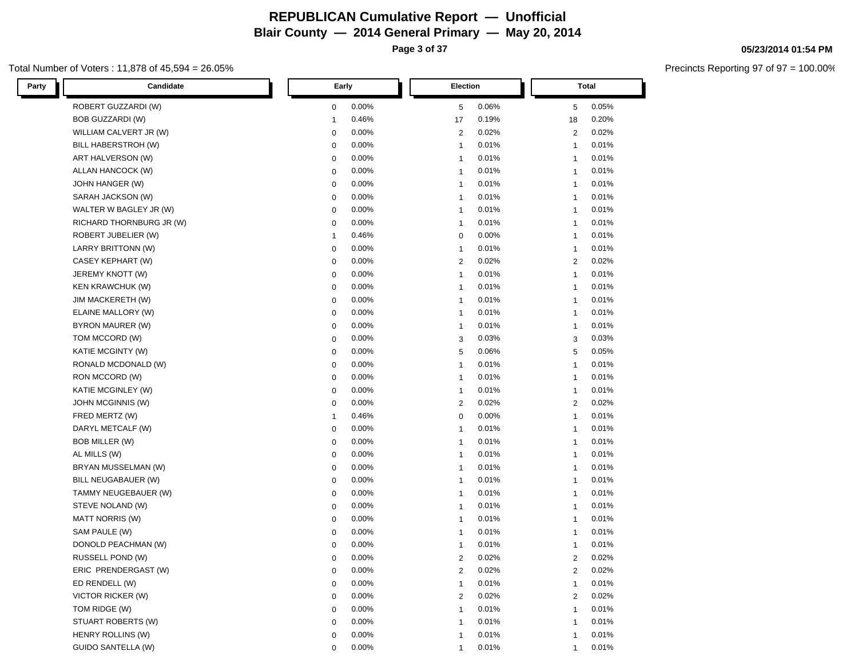**Page 3 of 37**

#### Total Number of Voters : 11,878 of 45,594 = 26.05%

| Candidate<br>Party        | Early        | Election       | Total          |
|---------------------------|--------------|----------------|----------------|
| ROBERT GUZZARDI (W)       | 0.00%        | 0.06%          | 0.05%          |
|                           | $\mathbf 0$  | 5              | 5              |
| <b>BOB GUZZARDI (W)</b>   | 0.46%        | 0.19%          | 0.20%          |
|                           | $\mathbf{1}$ | 17             | 18             |
| WILLIAM CALVERT JR (W)    | 0.00%        | 2              | 0.02%          |
|                           | 0            | 0.02%          | $\overline{2}$ |
| BILL HABERSTROH (W)       | 0.00%        | 0.01%          | 0.01%          |
|                           | 0            | $\mathbf{1}$   | $\mathbf{1}$   |
| ART HALVERSON (W)         | 0.00%        | 0.01%          | 0.01%          |
|                           | $\mathbf 0$  | $\mathbf{1}$   | $\mathbf{1}$   |
| ALLAN HANCOCK (W)         | 0.00%        | 0.01%          | 0.01%          |
|                           | 0            | $\mathbf{1}$   | $\mathbf{1}$   |
| JOHN HANGER (W)           | 0.00%        | 0.01%          | 0.01%          |
|                           | 0            | $\mathbf{1}$   | $\mathbf{1}$   |
| SARAH JACKSON (W)         | 0.00%        | 0.01%          | 0.01%          |
|                           | 0            | $\mathbf{1}$   | $\mathbf{1}$   |
| WALTER W BAGLEY JR (W)    | 0.00%        | 0.01%          | 0.01%          |
|                           | 0            | $\mathbf{1}$   | $\mathbf{1}$   |
| RICHARD THORNBURG JR (W)  | 0.00%        | 0.01%          | 0.01%          |
|                           | 0            | $\mathbf{1}$   | $\mathbf{1}$   |
| ROBERT JUBELIER (W)       | 0.46%        | 0.00%          | 0.01%          |
|                           | $\mathbf{1}$ | 0              | $\mathbf{1}$   |
| LARRY BRITTONN (W)        | 0.00%        | 0.01%          | 0.01%          |
|                           | 0            | $\mathbf{1}$   | $\mathbf{1}$   |
| CASEY KEPHART (W)         | 0.00%        | 0.02%          | 0.02%          |
|                           | 0            | 2              | 2              |
| JEREMY KNOTT (W)          | 0.00%        | 0.01%          | 0.01%          |
|                           | 0            | $\mathbf{1}$   | $\mathbf{1}$   |
| <b>KEN KRAWCHUK (W)</b>   | 0.00%        | 0.01%          | 0.01%          |
|                           | 0            | $\mathbf{1}$   | $\mathbf{1}$   |
| <b>JIM MACKERETH (W)</b>  | 0.00%        | 0.01%          | 0.01%          |
|                           | $\mathbf 0$  | $\mathbf{1}$   | $\mathbf{1}$   |
| ELAINE MALLORY (W)        | 0.00%        | 0.01%          | 0.01%          |
|                           | $\mathbf 0$  | $\mathbf{1}$   | $\mathbf{1}$   |
| BYRON MAURER (W)          | $\mathbf 0$  | 0.01%          | 0.01%          |
|                           | 0.00%        | $\mathbf{1}$   | $\mathbf{1}$   |
| TOM MCCORD (W)            | $\mathbf 0$  | 0.03%          | 0.03%          |
|                           | 0.00%        | 3              | 3              |
| KATIE MCGINTY (W)         | 0.00%        | 0.06%          | 0.05%          |
|                           | $\mathbf 0$  | 5              | 5              |
| RONALD MCDONALD (W)       | 0.00%        | 0.01%          | 0.01%          |
|                           | 0            | $\mathbf{1}$   | $\mathbf{1}$   |
| RON MCCORD (W)            | 0.00%        | 0.01%          | 0.01%          |
|                           | 0            | $\mathbf{1}$   | $\mathbf{1}$   |
| KATIE MCGINLEY (W)        | 0.00%        | 0.01%          | 0.01%          |
|                           | $\mathbf 0$  | $\mathbf{1}$   | $\mathbf{1}$   |
| JOHN MCGINNIS (W)         | 0.00%        | 0.02%          | 0.02%          |
|                           | $\mathbf 0$  | 2              | $\overline{2}$ |
| FRED MERTZ (W)            | 0.46%        | 0.00%          | 0.01%          |
|                           | $\mathbf 1$  | 0              | $\mathbf{1}$   |
| DARYL METCALF (W)         | 0.00%        | 0.01%          | 0.01%          |
|                           | 0            | $\mathbf{1}$   | $\mathbf{1}$   |
| BOB MILLER (W)            | 0.00%        | 0.01%          | 0.01%          |
|                           | 0            | $\mathbf{1}$   | $\mathbf{1}$   |
| AL MILLS (W)              | 0.00%        | 0.01%          | 0.01%          |
|                           | 0            | $\mathbf{1}$   | $\mathbf{1}$   |
| BRYAN MUSSELMAN (W)       | 0.00%        | 0.01%          | 0.01%          |
|                           | 0            | $\mathbf{1}$   | $\mathbf{1}$   |
| BILL NEUGABAUER (W)       | 0.00%        | 0.01%          | 0.01%          |
|                           | 0            | $\mathbf{1}$   | $\mathbf{1}$   |
| TAMMY NEUGEBAUER (W)      | 0.00%        | 0.01%          | 0.01%          |
|                           | $\mathbf 0$  | $\mathbf{1}$   | $\mathbf{1}$   |
| STEVE NOLAND (W)          | 0.00%        | 0.01%          | 0.01%          |
|                           | $\mathbf 0$  | $\mathbf{1}$   | $\mathbf{1}$   |
| <b>MATT NORRIS (W)</b>    | 0.00%        | 0.01%          | 0.01%          |
|                           | 0            | $\mathbf{1}$   | $\mathbf{1}$   |
| SAM PAULE (W)             | 0.00%        | 0.01%          | 0.01%          |
|                           | 0            | $\mathbf{1}$   | $\mathbf{1}$   |
| DONOLD PEACHMAN (W)       | 0.00%        | 0.01%          | 0.01%          |
|                           | 0            | $\mathbf{1}$   | $\mathbf{1}$   |
| RUSSELL POND (W)          | 0.00%        | 2              | 0.02%          |
|                           | $\mathbf 0$  | 0.02%          | 2              |
| ERIC PRENDERGAST (W)      | 0.00%        | 0.02%          | 0.02%          |
|                           | $\mathbf 0$  | $\overline{2}$ | $\overline{2}$ |
| ED RENDELL (W)            | 0.00%        | 0.01%          | 0.01%          |
|                           | $\mathbf 0$  | $\mathbf{1}$   | $\mathbf{1}$   |
| <b>VICTOR RICKER (W)</b>  | 0.00%        | 0.02%          | 0.02%          |
|                           | $\mathbf 0$  | 2              | $\overline{2}$ |
| TOM RIDGE (W)             | 0.00%        | 0.01%          | 0.01%          |
|                           | 0            | $\mathbf{1}$   | $\mathbf{1}$   |
| STUART ROBERTS (W)        | 0.00%        | 0.01%          | 0.01%          |
|                           | 0            | $\mathbf{1}$   | $\mathbf{1}$   |
| HENRY ROLLINS (W)         | 0.00%        | 0.01%          | 0.01%          |
|                           | $\mathbf 0$  | $\mathbf{1}$   | $\mathbf{1}$   |
| <b>GUIDO SANTELLA (W)</b> | 0.00%        | 0.01%          | 0.01%          |
|                           | $\mathbf{0}$ | $\mathbf{1}$   | $\mathbf{1}$   |

#### **05/23/2014 01:54 PM**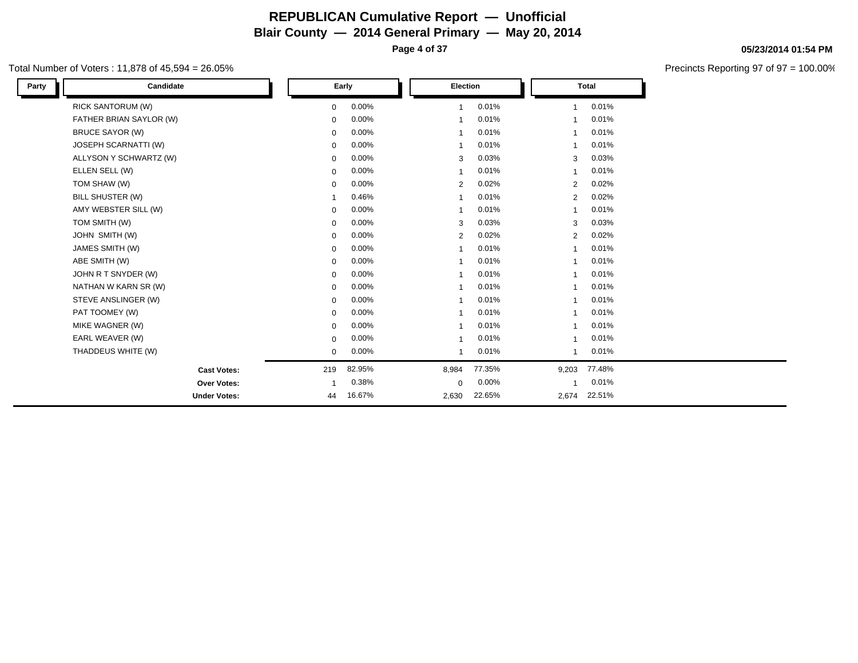**Page 4 of 37**

#### Total Number of Voters : 11,878 of 45,594 = 26.05%

| Party | Candidate                |             | Early  | Election       |        |                | <b>Total</b> |  |
|-------|--------------------------|-------------|--------|----------------|--------|----------------|--------------|--|
|       | <b>RICK SANTORUM (W)</b> | $\mathbf 0$ | 0.00%  | $\mathbf{1}$   | 0.01%  | $\overline{1}$ | 0.01%        |  |
|       | FATHER BRIAN SAYLOR (W)  | $\mathbf 0$ | 0.00%  |                | 0.01%  |                | 0.01%        |  |
|       | <b>BRUCE SAYOR (W)</b>   | $\mathbf 0$ | 0.00%  |                | 0.01%  |                | 0.01%        |  |
|       | JOSEPH SCARNATTI (W)     | 0           | 0.00%  |                | 0.01%  |                | 0.01%        |  |
|       | ALLYSON Y SCHWARTZ (W)   | $\mathbf 0$ | 0.00%  | 3              | 0.03%  | 3              | 0.03%        |  |
|       | ELLEN SELL (W)           | $\mathbf 0$ | 0.00%  | -1             | 0.01%  |                | 0.01%        |  |
|       | TOM SHAW (W)             | $\mathbf 0$ | 0.00%  | $\overline{2}$ | 0.02%  | $\overline{2}$ | 0.02%        |  |
|       | BILL SHUSTER (W)         | $\mathbf 1$ | 0.46%  |                | 0.01%  | $\overline{2}$ | 0.02%        |  |
|       | AMY WEBSTER SILL (W)     | $\mathbf 0$ | 0.00%  |                | 0.01%  | -1             | 0.01%        |  |
|       | TOM SMITH (W)            | $\mathbf 0$ | 0.00%  | 3              | 0.03%  | 3              | 0.03%        |  |
|       | JOHN SMITH (W)           | $\mathbf 0$ | 0.00%  | 2              | 0.02%  | $\overline{2}$ | 0.02%        |  |
|       | JAMES SMITH (W)          | $\mathbf 0$ | 0.00%  |                | 0.01%  |                | 0.01%        |  |
|       | ABE SMITH (W)            | $\mathbf 0$ | 0.00%  |                | 0.01%  |                | 0.01%        |  |
|       | JOHN R T SNYDER (W)      | $\mathbf 0$ | 0.00%  | -1             | 0.01%  |                | 0.01%        |  |
|       | NATHAN W KARN SR (W)     | $\mathbf 0$ | 0.00%  | $\overline{1}$ | 0.01%  |                | 0.01%        |  |
|       | STEVE ANSLINGER (W)      | $\mathbf 0$ | 0.00%  | $\overline{1}$ | 0.01%  |                | 0.01%        |  |
|       | PAT TOOMEY (W)           | $\mathbf 0$ | 0.00%  |                | 0.01%  | 1              | 0.01%        |  |
|       | MIKE WAGNER (W)          | 0           | 0.00%  | -1             | 0.01%  | -1             | 0.01%        |  |
|       | EARL WEAVER (W)          | 0           | 0.00%  | -1             | 0.01%  |                | 0.01%        |  |
|       | THADDEUS WHITE (W)       | $\mathbf 0$ | 0.00%  |                | 0.01%  |                | 0.01%        |  |
|       | <b>Cast Votes:</b>       | 219         | 82.95% | 8,984          | 77.35% | 9,203          | 77.48%       |  |
|       | Over Votes:              | -1          | 0.38%  | 0              | 0.00%  |                | 0.01%        |  |
|       | <b>Under Votes:</b>      | 44          | 16.67% | 2,630          | 22.65% | 2,674          | 22.51%       |  |

#### **05/23/2014 01:54 PM**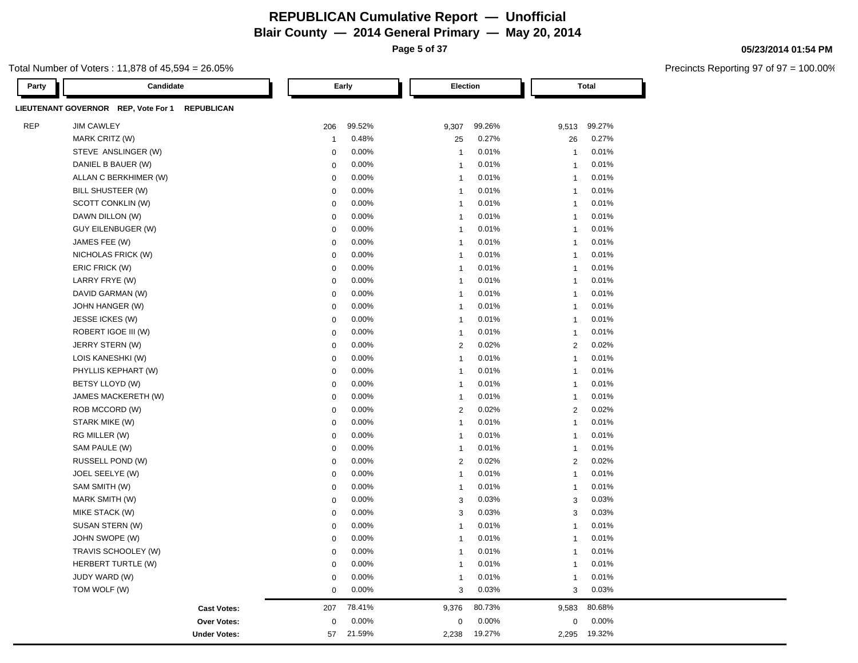**Page 5 of 37**

#### Total Number of Voters : 11,878 of 45,594 = 26.05%

| Party      | Candidate                                                |              | Early  | Election       |        |                | <b>Total</b> |
|------------|----------------------------------------------------------|--------------|--------|----------------|--------|----------------|--------------|
|            | LIEUTENANT GOVERNOR REP, Vote For 1<br><b>REPUBLICAN</b> |              |        |                |        |                |              |
| <b>REP</b> | <b>JIM CAWLEY</b>                                        | 206          | 99.52% | 9,307          | 99.26% | 9,513          | 99.27%       |
|            | MARK CRITZ (W)                                           | $\mathbf{1}$ | 0.48%  | 25             | 0.27%  | 26             | 0.27%        |
|            | STEVE ANSLINGER (W)                                      | $\mathbf 0$  | 0.00%  | $\overline{1}$ | 0.01%  | $\mathbf{1}$   | 0.01%        |
|            | DANIEL B BAUER (W)                                       | $\mathbf 0$  | 0.00%  | $\overline{1}$ | 0.01%  | $\overline{1}$ | 0.01%        |
|            | ALLAN C BERKHIMER (W)                                    | $\mathbf 0$  | 0.00%  | $\overline{1}$ | 0.01%  | $\overline{1}$ | 0.01%        |
|            | BILL SHUSTEER (W)                                        | $\mathbf 0$  | 0.00%  | $\overline{1}$ | 0.01%  | $\overline{1}$ | 0.01%        |
|            | SCOTT CONKLIN (W)                                        | $\pmb{0}$    | 0.00%  | $\mathbf{1}$   | 0.01%  | $\mathbf{1}$   | 0.01%        |
|            | DAWN DILLON (W)                                          | $\mathbf 0$  | 0.00%  | $\overline{1}$ | 0.01%  | $\overline{1}$ | 0.01%        |
|            | <b>GUY EILENBUGER (W)</b>                                | $\mathbf 0$  | 0.00%  | $\overline{1}$ | 0.01%  | $\overline{1}$ | 0.01%        |
|            | JAMES FEE (W)                                            | $\mathbf 0$  | 0.00%  | $\overline{1}$ | 0.01%  | $\overline{1}$ | 0.01%        |
|            | NICHOLAS FRICK (W)                                       | $\mathbf 0$  | 0.00%  | $\overline{1}$ | 0.01%  | $\overline{1}$ | 0.01%        |
|            | ERIC FRICK (W)                                           | $\mathbf 0$  | 0.00%  | $\overline{1}$ | 0.01%  | $\overline{1}$ | 0.01%        |
|            | LARRY FRYE (W)                                           | $\mathbf 0$  | 0.00%  | $\overline{1}$ | 0.01%  | $\mathbf{1}$   | 0.01%        |
|            | DAVID GARMAN (W)                                         | $\pmb{0}$    | 0.00%  | $\mathbf{1}$   | 0.01%  | $\mathbf{1}$   | 0.01%        |
|            | JOHN HANGER (W)                                          | $\mathbf 0$  | 0.00%  | $\overline{1}$ | 0.01%  | $\overline{1}$ | 0.01%        |
|            | JESSE ICKES (W)                                          | $\mathbf 0$  | 0.00%  | $\overline{1}$ | 0.01%  | $\overline{1}$ | 0.01%        |
|            | ROBERT IGOE III (W)                                      | $\pmb{0}$    | 0.00%  | $\mathbf{1}$   | 0.01%  | $\mathbf{1}$   | 0.01%        |
|            | JERRY STERN (W)                                          | $\mathbf 0$  | 0.00%  | $\overline{2}$ | 0.02%  | $\overline{2}$ | 0.02%        |
|            | LOIS KANESHKI (W)                                        | $\mathbf 0$  | 0.00%  | $\overline{1}$ | 0.01%  | $\overline{1}$ | 0.01%        |
|            | PHYLLIS KEPHART (W)                                      | $\mathbf 0$  | 0.00%  | $\overline{1}$ | 0.01%  | $\mathbf{1}$   | 0.01%        |
|            | BETSY LLOYD (W)                                          | $\pmb{0}$    | 0.00%  | $\mathbf{1}$   | 0.01%  | $\mathbf{1}$   | 0.01%        |
|            | JAMES MACKERETH (W)                                      | $\mathbf 0$  | 0.00%  | $\overline{1}$ | 0.01%  | $\overline{1}$ | 0.01%        |
|            | ROB MCCORD (W)                                           | $\mathbf 0$  | 0.00%  | $\overline{2}$ | 0.02%  | $\overline{2}$ | 0.02%        |
|            | STARK MIKE (W)                                           | $\pmb{0}$    | 0.00%  | $\mathbf{1}$   | 0.01%  | $\mathbf{1}$   | 0.01%        |
|            | RG MILLER (W)                                            | $\mathbf 0$  | 0.00%  | $\overline{1}$ | 0.01%  | $\overline{1}$ | 0.01%        |
|            | SAM PAULE (W)                                            | $\mathbf 0$  | 0.00%  | $\overline{1}$ | 0.01%  | $\overline{1}$ | 0.01%        |
|            | RUSSELL POND (W)                                         | $\mathbf 0$  | 0.00%  | $\overline{2}$ | 0.02%  | $\overline{2}$ | 0.02%        |
|            | JOEL SEELYE (W)                                          | $\mathbf 0$  | 0.00%  | $\mathbf{1}$   | 0.01%  | $\overline{1}$ | 0.01%        |
|            | SAM SMITH (W)                                            | $\mathbf 0$  | 0.00%  | $\mathbf{1}$   | 0.01%  | $\overline{1}$ | 0.01%        |
|            | MARK SMITH (W)                                           | $\pmb{0}$    | 0.00%  | 3              | 0.03%  | 3              | 0.03%        |
|            | MIKE STACK (W)                                           | $\mathbf 0$  | 0.00%  | 3              | 0.03%  | 3              | 0.03%        |
|            | SUSAN STERN (W)                                          | $\mathbf 0$  | 0.00%  | $\overline{1}$ | 0.01%  | $\overline{1}$ | 0.01%        |
|            | JOHN SWOPE (W)                                           | $\mathbf 0$  | 0.00%  | $\overline{1}$ | 0.01%  | $\overline{1}$ | 0.01%        |
|            | TRAVIS SCHOOLEY (W)                                      | $\mathbf 0$  | 0.00%  | $\overline{1}$ | 0.01%  | $\mathbf{1}$   | 0.01%        |
|            | HERBERT TURTLE (W)                                       | $\mathbf 0$  | 0.00%  | $\overline{1}$ | 0.01%  | $\overline{1}$ | 0.01%        |
|            | JUDY WARD (W)                                            | $\mathbf 0$  | 0.00%  | $\overline{1}$ | 0.01%  | $\overline{1}$ | 0.01%        |
|            | TOM WOLF (W)                                             | $\mathbf 0$  | 0.00%  | 3              | 0.03%  | 3              | 0.03%        |
|            | <b>Cast Votes:</b>                                       | 207          | 78.41% | 9,376          | 80.73% | 9,583          | 80.68%       |
|            | <b>Over Votes:</b>                                       | $\mathbf 0$  | 0.00%  | $\mathbf 0$    | 0.00%  | $\mathbf 0$    | 0.00%        |
|            | <b>Under Votes:</b>                                      | 57           | 21.59% | 2,238          | 19.27% | 2,295          | 19.32%       |

**05/23/2014 01:54 PM**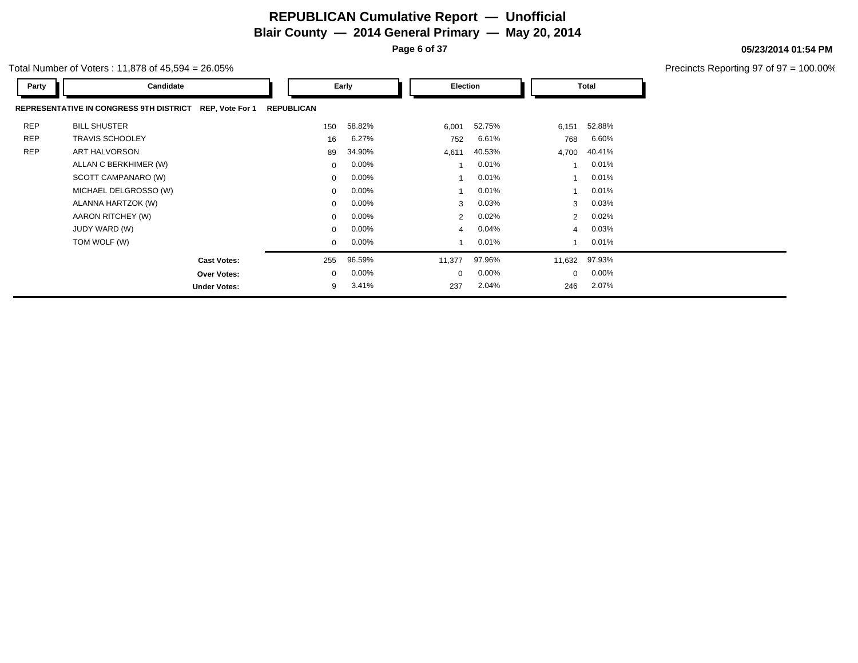**Page 6 of 37**

|            | otal Number of Voters: 11,878 of 45,594 = 26.05%                  |                   |          |                |          |                |              | Precincts Reporting 97 of 97 = 100.00% |
|------------|-------------------------------------------------------------------|-------------------|----------|----------------|----------|----------------|--------------|----------------------------------------|
| Party      | Candidate                                                         |                   | Early    | Election       |          |                | <b>Total</b> |                                        |
|            | <b>REPRESENTATIVE IN CONGRESS 9TH DISTRICT</b><br>REP, Vote For 1 | <b>REPUBLICAN</b> |          |                |          |                |              |                                        |
| <b>REP</b> | <b>BILL SHUSTER</b>                                               | 150               | 58.82%   | 6,001          | 52.75%   | 6,151          | 52.88%       |                                        |
| <b>REP</b> | <b>TRAVIS SCHOOLEY</b>                                            | 16                | 6.27%    | 752            | 6.61%    | 768            | 6.60%        |                                        |
| <b>REP</b> | <b>ART HALVORSON</b>                                              | 89                | 34.90%   | 4,611          | 40.53%   | 4,700          | 40.41%       |                                        |
|            | ALLAN C BERKHIMER (W)                                             | $\mathbf{0}$      | $0.00\%$ |                | 0.01%    |                | 0.01%        |                                        |
|            | SCOTT CAMPANARO (W)                                               | $\mathbf{0}$      | $0.00\%$ |                | 0.01%    |                | 0.01%        |                                        |
|            | MICHAEL DELGROSSO (W)                                             | $\mathbf{0}$      | 0.00%    |                | 0.01%    |                | 0.01%        |                                        |
|            | ALANNA HARTZOK (W)                                                | $\mathbf{0}$      | 0.00%    | 3              | 0.03%    | 3              | 0.03%        |                                        |
|            | AARON RITCHEY (W)                                                 | $\mathbf{0}$      | $0.00\%$ | $\overline{2}$ | 0.02%    | $\overline{2}$ | 0.02%        |                                        |
|            | JUDY WARD (W)                                                     | $\Omega$          | $0.00\%$ | 4              | 0.04%    | 4              | 0.03%        |                                        |
|            | TOM WOLF (W)                                                      | $\mathbf{0}$      | $0.00\%$ |                | 0.01%    |                | 0.01%        |                                        |
|            | <b>Cast Votes:</b>                                                | 255               | 96.59%   | 11,377         | 97.96%   | 11,632         | 97.93%       |                                        |
|            | <b>Over Votes:</b>                                                | $\mathbf{0}$      | $0.00\%$ | $\mathbf{0}$   | $0.00\%$ | $\mathbf{0}$   | $0.00\%$     |                                        |
|            | <b>Under Votes:</b>                                               | 9                 | 3.41%    | 237            | 2.04%    | 246            | 2.07%        |                                        |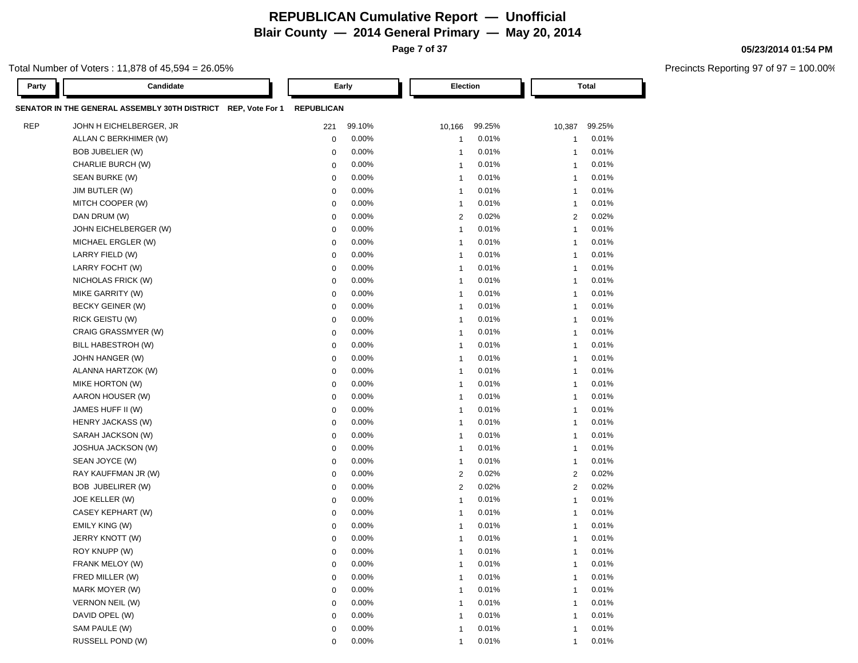**Page 7 of 37**

#### Total Number of Voters : 11,878 of 45,594 = 26.05%

| Party      | Candidate                                                     |                   | Early    | Election                 |        |                | <b>Total</b> |
|------------|---------------------------------------------------------------|-------------------|----------|--------------------------|--------|----------------|--------------|
|            | SENATOR IN THE GENERAL ASSEMBLY 30TH DISTRICT REP, Vote For 1 | <b>REPUBLICAN</b> |          |                          |        |                |              |
| <b>REP</b> | JOHN H EICHELBERGER, JR                                       | 221               | 99.10%   | 10,166                   | 99.25% | 10,387         | 99.25%       |
|            | ALLAN C BERKHIMER (W)                                         | $\mathbf 0$       | 0.00%    | $\overline{1}$           | 0.01%  | $\mathbf{1}$   | 0.01%        |
|            | BOB JUBELIER (W)                                              | $\mathbf 0$       | 0.00%    | $\overline{1}$           | 0.01%  | $\mathbf{1}$   | 0.01%        |
|            | CHARLIE BURCH (W)                                             | $\mathbf 0$       | 0.00%    | -1                       | 0.01%  | $\mathbf{1}$   | 0.01%        |
|            | SEAN BURKE (W)                                                | $\mathbf 0$       | 0.00%    | $\overline{1}$           | 0.01%  | $\mathbf{1}$   | 0.01%        |
|            | JIM BUTLER (W)                                                | 0                 | 0.00%    | $\overline{1}$           | 0.01%  | $\mathbf{1}$   | 0.01%        |
|            | MITCH COOPER (W)                                              | 0                 | 0.00%    | $\overline{1}$           | 0.01%  | $\mathbf{1}$   | 0.01%        |
|            | DAN DRUM (W)                                                  | 0                 | 0.00%    | $\overline{2}$           | 0.02%  | 2              | 0.02%        |
|            | JOHN EICHELBERGER (W)                                         | 0                 | 0.00%    | $\overline{1}$           | 0.01%  | $\overline{1}$ | 0.01%        |
|            | MICHAEL ERGLER (W)                                            | 0                 | 0.00%    | -1                       | 0.01%  | $\mathbf{1}$   | 0.01%        |
|            | LARRY FIELD (W)                                               | 0                 | 0.00%    | -1                       | 0.01%  | $\overline{1}$ | 0.01%        |
|            | LARRY FOCHT (W)                                               | $\mathbf 0$       | 0.00%    | -1                       | 0.01%  | $\overline{1}$ | 0.01%        |
|            | NICHOLAS FRICK (W)                                            | 0                 | 0.00%    | $\overline{1}$           | 0.01%  | $\overline{1}$ | 0.01%        |
|            | MIKE GARRITY (W)                                              | $\mathbf 0$       | 0.00%    | -1                       | 0.01%  | $\mathbf{1}$   | 0.01%        |
|            | BECKY GEINER (W)                                              | $\mathbf 0$       | 0.00%    | -1                       | 0.01%  | $\mathbf{1}$   | 0.01%        |
|            | <b>RICK GEISTU (W)</b>                                        | $\mathbf 0$       | 0.00%    | $\overline{1}$           | 0.01%  | $\overline{1}$ | 0.01%        |
|            | CRAIG GRASSMYER (W)                                           | $\mathbf 0$       | 0.00%    | $\overline{1}$           | 0.01%  | $\overline{1}$ | 0.01%        |
|            | BILL HABESTROH (W)                                            | $\mathbf 0$       | 0.00%    | $\overline{1}$           | 0.01%  | $\mathbf{1}$   | 0.01%        |
|            | JOHN HANGER (W)                                               | $\mathbf 0$       | 0.00%    | $\overline{1}$           | 0.01%  | $\mathbf{1}$   | 0.01%        |
|            | ALANNA HARTZOK (W)                                            | $\mathbf 0$       | 0.00%    | $\overline{1}$           | 0.01%  | $\mathbf{1}$   | 0.01%        |
|            | MIKE HORTON (W)                                               | $\mathbf 0$       | 0.00%    | $\overline{1}$           | 0.01%  | $\mathbf{1}$   | 0.01%        |
|            | AARON HOUSER (W)                                              | $\mathbf 0$       | 0.00%    | $\overline{1}$           | 0.01%  | $\mathbf{1}$   | 0.01%        |
|            | JAMES HUFF II (W)                                             | $\mathbf 0$       | 0.00%    | $\overline{1}$           | 0.01%  | $\mathbf{1}$   | 0.01%        |
|            | <b>HENRY JACKASS (W)</b>                                      | $\mathbf 0$       | 0.00%    | $\overline{1}$           | 0.01%  | $\mathbf{1}$   | 0.01%        |
|            | SARAH JACKSON (W)                                             | $\mathbf 0$       | 0.00%    | $\overline{1}$           | 0.01%  | $\mathbf{1}$   | 0.01%        |
|            | <b>JOSHUA JACKSON (W)</b>                                     | $\mathbf 0$       | 0.00%    | $\overline{1}$           | 0.01%  | $\mathbf{1}$   | 0.01%        |
|            | SEAN JOYCE (W)                                                | $\mathbf 0$       | 0.00%    | $\overline{1}$           | 0.01%  | $\overline{1}$ | 0.01%        |
|            | RAY KAUFFMAN JR (W)                                           | $\mathbf 0$       | 0.00%    | $\overline{2}$           | 0.02%  | 2              | 0.02%        |
|            | BOB JUBELIRER (W)                                             | $\mathbf 0$       | 0.00%    | $\overline{c}$           | 0.02%  | $\overline{c}$ | 0.02%        |
|            | JOE KELLER (W)                                                | $\mathbf 0$       | 0.00%    | $\overline{1}$           | 0.01%  | $\mathbf{1}$   | 0.01%        |
|            | CASEY KEPHART (W)                                             | $\mathbf 0$       | 0.00%    | $\overline{1}$           | 0.01%  | $\overline{1}$ | 0.01%        |
|            | EMILY KING (W)                                                | $\mathbf 0$       | 0.00%    | $\overline{1}$           | 0.01%  | $\overline{1}$ | 0.01%        |
|            | JERRY KNOTT (W)                                               | $\mathbf 0$       | $0.00\%$ | $\overline{1}$           | 0.01%  | $\overline{1}$ | 0.01%        |
|            | ROY KNUPP (W)                                                 | $\mathbf 0$       | 0.00%    | $\overline{1}$           | 0.01%  | $\mathbf{1}$   | 0.01%        |
|            | FRANK MELOY (W)                                               | $\mathbf 0$       | 0.00%    | $\overline{1}$           | 0.01%  | $\mathbf{1}$   | 0.01%        |
|            | FRED MILLER (W)                                               | $\mathbf 0$       | 0.00%    | $\overline{\mathbf{1}}$  | 0.01%  | $\overline{1}$ | 0.01%        |
|            | MARK MOYER (W)                                                | $\mathbf 0$       | 0.00%    | $\overline{1}$           | 0.01%  | $\mathbf{1}$   | 0.01%        |
|            | <b>VERNON NEIL (W)</b>                                        | $\mathbf 0$       | 0.00%    | $\overline{\mathbf{1}}$  | 0.01%  | $\overline{1}$ | 0.01%        |
|            | DAVID OPEL (W)                                                | $\mathbf 0$       | 0.00%    | $\overline{\phantom{a}}$ | 0.01%  | $\overline{1}$ | 0.01%        |
|            | SAM PAULE (W)                                                 | $\mathbf 0$       | 0.00%    | $\overline{\phantom{a}}$ | 0.01%  | $\mathbf 1$    | 0.01%        |
|            | RUSSELL POND (W)                                              | $\mathbf 0$       | 0.00%    | $\overline{1}$           | 0.01%  | $\mathbf{1}$   | 0.01%        |

#### **05/23/2014 01:54 PM**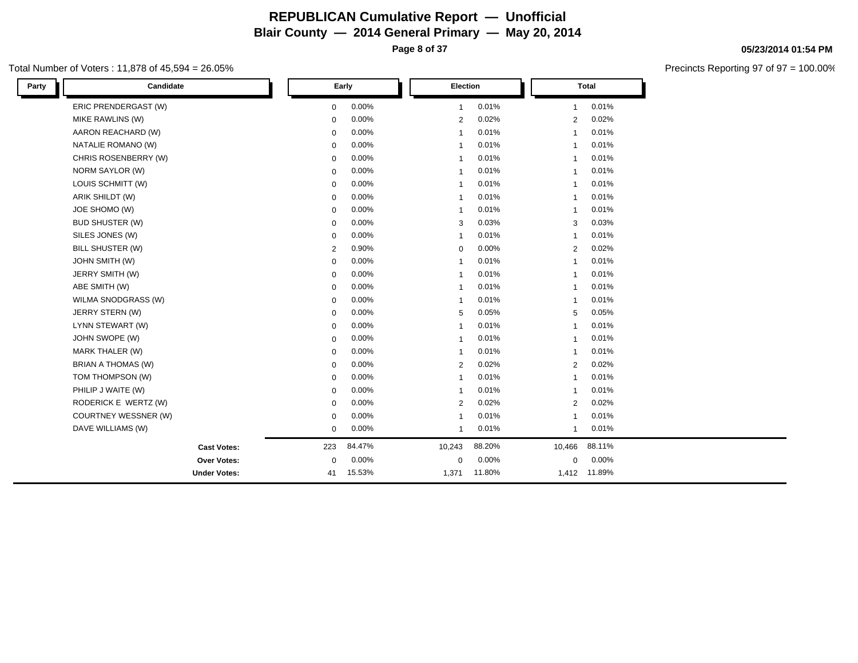#### Total Number of Voters : 11,878 of 45,594 = 26.05%

| Party | Candidate              |                | Early  | Election       |        |                | <b>Total</b> |  |
|-------|------------------------|----------------|--------|----------------|--------|----------------|--------------|--|
|       | ERIC PRENDERGAST (W)   | $\mathbf 0$    | 0.00%  | $\mathbf{1}$   | 0.01%  | $\mathbf{1}$   | 0.01%        |  |
|       | MIKE RAWLINS (W)       | $\mathbf 0$    | 0.00%  | $\overline{2}$ | 0.02%  | 2              | 0.02%        |  |
|       | AARON REACHARD (W)     | $\mathbf 0$    | 0.00%  | $\overline{1}$ | 0.01%  | $\overline{1}$ | 0.01%        |  |
|       | NATALIE ROMANO (W)     | $\mathbf 0$    | 0.00%  | $\overline{1}$ | 0.01%  | 1              | 0.01%        |  |
|       | CHRIS ROSENBERRY (W)   | $\mathbf 0$    | 0.00%  | $\overline{1}$ | 0.01%  | $\overline{1}$ | 0.01%        |  |
|       | NORM SAYLOR (W)        | 0              | 0.00%  | -1             | 0.01%  | -1             | 0.01%        |  |
|       | LOUIS SCHMITT (W)      | $\mathbf 0$    | 0.00%  | $\overline{1}$ | 0.01%  | 1              | 0.01%        |  |
|       | ARIK SHILDT (W)        | $\mathbf 0$    | 0.00%  | $\overline{1}$ | 0.01%  | $\overline{1}$ | 0.01%        |  |
|       | JOE SHOMO (W)          | 0              | 0.00%  | -1             | 0.01%  | -1             | 0.01%        |  |
|       | <b>BUD SHUSTER (W)</b> | $\mathbf 0$    | 0.00%  | 3              | 0.03%  | 3              | 0.03%        |  |
|       | SILES JONES (W)        | $\mathbf 0$    | 0.00%  | $\overline{1}$ | 0.01%  | $\mathbf{1}$   | 0.01%        |  |
|       | BILL SHUSTER (W)       | $\overline{2}$ | 0.90%  | $\mathbf 0$    | 0.00%  | $\overline{c}$ | 0.02%        |  |
|       | <b>JOHN SMITH (W)</b>  | $\mathbf 0$    | 0.00%  | $\overline{1}$ | 0.01%  | $\overline{1}$ | 0.01%        |  |
|       | JERRY SMITH (W)        | 0              | 0.00%  | $\overline{1}$ | 0.01%  | 1              | 0.01%        |  |
|       | ABE SMITH (W)          | 0              | 0.00%  | $\mathbf{1}$   | 0.01%  | $\overline{1}$ | 0.01%        |  |
|       | WILMA SNODGRASS (W)    | $\mathbf 0$    | 0.00%  | $\overline{1}$ | 0.01%  | $\mathbf{1}$   | 0.01%        |  |
|       | JERRY STERN (W)        | 0              | 0.00%  | 5              | 0.05%  | 5              | 0.05%        |  |
|       | LYNN STEWART (W)       | $\mathbf 0$    | 0.00%  | $\overline{1}$ | 0.01%  | 1              | 0.01%        |  |
|       | JOHN SWOPE (W)         | $\mathbf 0$    | 0.00%  | $\overline{1}$ | 0.01%  | $\mathbf{1}$   | 0.01%        |  |
|       | MARK THALER (W)        | $\mathbf 0$    | 0.00%  | $\overline{1}$ | 0.01%  | $\overline{1}$ | 0.01%        |  |
|       | BRIAN A THOMAS (W)     | $\mathbf 0$    | 0.00%  | $\overline{2}$ | 0.02%  | 2              | 0.02%        |  |
|       | TOM THOMPSON (W)       | $\mathbf 0$    | 0.00%  | $\overline{1}$ | 0.01%  | $\overline{1}$ | 0.01%        |  |
|       | PHILIP J WAITE (W)     | 0              | 0.00%  | $\overline{1}$ | 0.01%  | $\mathbf{1}$   | 0.01%        |  |
|       | RODERICK E WERTZ (W)   | $\mathbf 0$    | 0.00%  | $\overline{2}$ | 0.02%  | 2              | 0.02%        |  |
|       | COURTNEY WESSNER (W)   | $\mathbf 0$    | 0.00%  | $\overline{1}$ | 0.01%  | $\overline{1}$ | 0.01%        |  |
|       | DAVE WILLIAMS (W)      | $\mathbf 0$    | 0.00%  | $\mathbf{1}$   | 0.01%  | $\mathbf{1}$   | 0.01%        |  |
|       | <b>Cast Votes:</b>     | 223            | 84.47% | 10,243         | 88.20% | 10,466         | 88.11%       |  |
|       | Over Votes:            | 0              | 0.00%  | $\mathbf 0$    | 0.00%  | 0              | 0.00%        |  |
|       | <b>Under Votes:</b>    | 41             | 15.53% | 1,371          | 11.80% |                | 1,412 11.89% |  |

**05/23/2014 01:54 PM**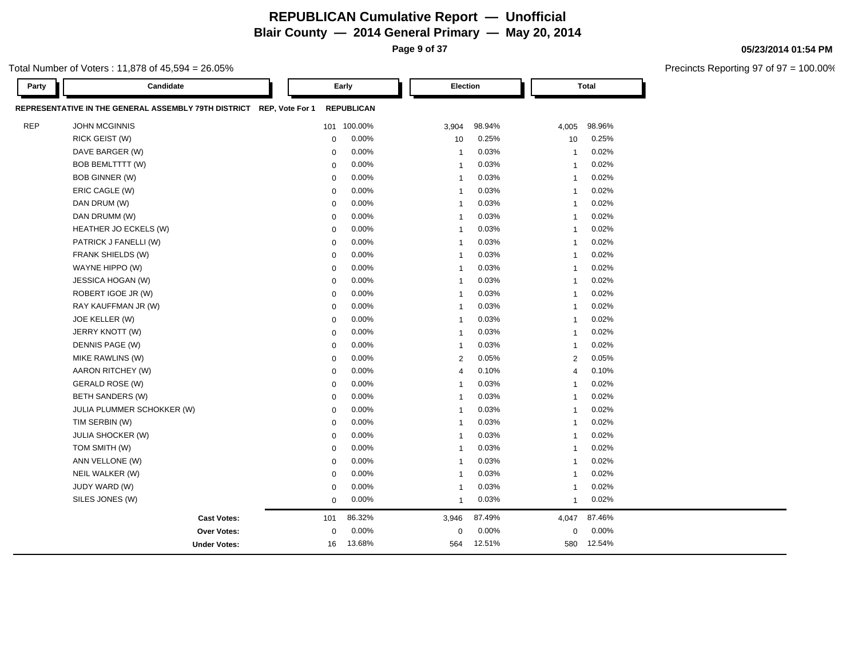**Page 9 of 37**

#### Total Number of Voters : 11,878 of 45,594 = 26.05%

| Party      | Candidate                                                            |             | Early             | Election                |        |                | <b>Total</b> |  |
|------------|----------------------------------------------------------------------|-------------|-------------------|-------------------------|--------|----------------|--------------|--|
|            | REPRESENTATIVE IN THE GENERAL ASSEMBLY 79TH DISTRICT REP, Vote For 1 |             | <b>REPUBLICAN</b> |                         |        |                |              |  |
| <b>REP</b> | <b>JOHN MCGINNIS</b>                                                 |             | 101 100.00%       | 3,904                   | 98.94% | 4,005          | 98.96%       |  |
|            | RICK GEIST (W)                                                       | $\mathbf 0$ | 0.00%             | 10                      | 0.25%  | 10             | 0.25%        |  |
|            | DAVE BARGER (W)                                                      | 0           | 0.00%             | $\overline{1}$          | 0.03%  | $\mathbf{1}$   | 0.02%        |  |
|            | <b>BOB BEMLTTTT (W)</b>                                              | $\mathbf 0$ | 0.00%             | $\overline{1}$          | 0.03%  | $\overline{1}$ | 0.02%        |  |
|            | BOB GINNER (W)                                                       | $\mathbf 0$ | 0.00%             | $\overline{\mathbf{1}}$ | 0.03%  | $\overline{1}$ | 0.02%        |  |
|            | ERIC CAGLE (W)                                                       | $\mathbf 0$ | 0.00%             | $\overline{1}$          | 0.03%  | $\overline{1}$ | 0.02%        |  |
|            | DAN DRUM (W)                                                         | $\mathbf 0$ | 0.00%             | $\overline{1}$          | 0.03%  | $\overline{1}$ | 0.02%        |  |
|            | DAN DRUMM (W)                                                        | $\mathbf 0$ | 0.00%             | $\overline{1}$          | 0.03%  | $\overline{1}$ | 0.02%        |  |
|            | HEATHER JO ECKELS (W)                                                | $\mathbf 0$ | 0.00%             | $\overline{1}$          | 0.03%  | $\overline{1}$ | 0.02%        |  |
|            | PATRICK J FANELLI (W)                                                | $\mathbf 0$ | 0.00%             | $\overline{\mathbf{1}}$ | 0.03%  | $\overline{1}$ | 0.02%        |  |
|            | FRANK SHIELDS (W)                                                    | $\mathbf 0$ | 0.00%             | $\overline{1}$          | 0.03%  | $\overline{1}$ | 0.02%        |  |
|            | WAYNE HIPPO (W)                                                      | $\mathbf 0$ | 0.00%             | $\overline{1}$          | 0.03%  | $\overline{1}$ | 0.02%        |  |
|            | <b>JESSICA HOGAN (W)</b>                                             | $\mathbf 0$ | 0.00%             | $\overline{1}$          | 0.03%  | $\overline{1}$ | 0.02%        |  |
|            | ROBERT IGOE JR (W)                                                   | $\mathbf 0$ | 0.00%             | $\overline{1}$          | 0.03%  | $\overline{1}$ | 0.02%        |  |
|            | RAY KAUFFMAN JR (W)                                                  | $\mathbf 0$ | 0.00%             | $\overline{1}$          | 0.03%  | $\overline{1}$ | 0.02%        |  |
|            | JOE KELLER (W)                                                       | $\mathbf 0$ | 0.00%             | $\overline{1}$          | 0.03%  | $\overline{1}$ | 0.02%        |  |
|            | JERRY KNOTT (W)                                                      | $\mathbf 0$ | 0.00%             | $\overline{1}$          | 0.03%  | $\overline{1}$ | 0.02%        |  |
|            | DENNIS PAGE (W)                                                      | $\mathbf 0$ | 0.00%             | $\overline{1}$          | 0.03%  | $\overline{1}$ | 0.02%        |  |
|            | MIKE RAWLINS (W)                                                     | $\mathbf 0$ | 0.00%             | $\overline{2}$          | 0.05%  | $\overline{2}$ | 0.05%        |  |
|            | AARON RITCHEY (W)                                                    | $\mathbf 0$ | 0.00%             | $\overline{4}$          | 0.10%  | $\overline{4}$ | 0.10%        |  |
|            | <b>GERALD ROSE (W)</b>                                               | $\mathbf 0$ | 0.00%             | $\overline{1}$          | 0.03%  | $\overline{1}$ | 0.02%        |  |
|            | <b>BETH SANDERS (W)</b>                                              | $\mathbf 0$ | 0.00%             | $\overline{1}$          | 0.03%  | $\overline{1}$ | 0.02%        |  |
|            | JULIA PLUMMER SCHOKKER (W)                                           | $\mathbf 0$ | 0.00%             | $\overline{1}$          | 0.03%  | $\overline{1}$ | 0.02%        |  |
|            | TIM SERBIN (W)                                                       | $\mathbf 0$ | 0.00%             | $\overline{1}$          | 0.03%  | $\overline{1}$ | 0.02%        |  |
|            | <b>JULIA SHOCKER (W)</b>                                             | $\mathbf 0$ | 0.00%             | $\overline{1}$          | 0.03%  | $\overline{1}$ | 0.02%        |  |
|            | TOM SMITH (W)                                                        | $\mathbf 0$ | 0.00%             | $\overline{1}$          | 0.03%  | $\overline{1}$ | 0.02%        |  |
|            | ANN VELLONE (W)                                                      | $\mathbf 0$ | 0.00%             | $\overline{1}$          | 0.03%  | $\overline{1}$ | 0.02%        |  |
|            | NEIL WALKER (W)                                                      | $\mathbf 0$ | 0.00%             | $\overline{1}$          | 0.03%  | $\overline{1}$ | 0.02%        |  |
|            | JUDY WARD (W)                                                        | $\Omega$    | 0.00%             | $\overline{\mathbf{1}}$ | 0.03%  | $\overline{1}$ | 0.02%        |  |
|            | SILES JONES (W)                                                      | $\mathbf 0$ | 0.00%             | $\overline{1}$          | 0.03%  | $\overline{1}$ | 0.02%        |  |
|            | <b>Cast Votes:</b>                                                   | 101         | 86.32%            | 3,946                   | 87.49% | 4,047          | 87.46%       |  |
|            | Over Votes:                                                          | $\mathbf 0$ | 0.00%             | $\mathbf 0$             | 0.00%  | $\mathbf 0$    | 0.00%        |  |
|            | <b>Under Votes:</b>                                                  | 16          | 13.68%            | 564                     | 12.51% | 580            | 12.54%       |  |

#### **05/23/2014 01:54 PM**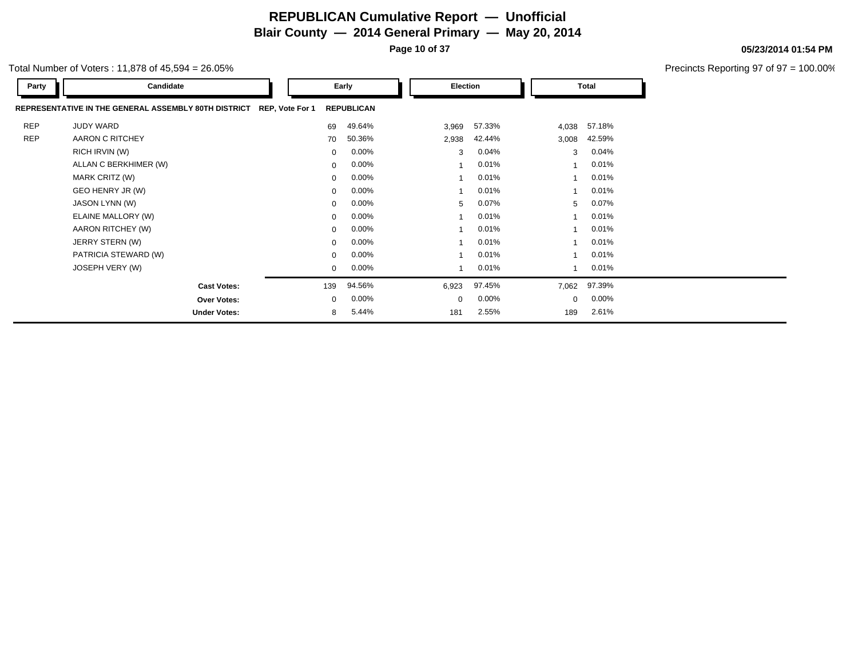**Page 10 of 37**

#### Total Number of Voters : 11,878 of 45,594 = 26.05%

| Party      | Candidate                                            |                 | Early             |       | Election |             | Total  |
|------------|------------------------------------------------------|-----------------|-------------------|-------|----------|-------------|--------|
|            | REPRESENTATIVE IN THE GENERAL ASSEMBLY 80TH DISTRICT | REP, Vote For 1 | <b>REPUBLICAN</b> |       |          |             |        |
| <b>REP</b> | <b>JUDY WARD</b>                                     | 69              | 49.64%            | 3,969 | 57.33%   | 4,038       | 57.18% |
| <b>REP</b> | AARON C RITCHEY                                      | 70              | 50.36%            | 2,938 | 42.44%   | 3,008       | 42.59% |
|            | RICH IRVIN (W)                                       | $\mathbf{0}$    | $0.00\%$          | 3     | 0.04%    | 3           | 0.04%  |
|            | ALLAN C BERKHIMER (W)                                | $\mathbf 0$     | $0.00\%$          |       | 0.01%    |             | 0.01%  |
|            | MARK CRITZ (W)                                       | 0               | $0.00\%$          |       | 0.01%    |             | 0.01%  |
|            | GEO HENRY JR (W)                                     | 0               | $0.00\%$          |       | 0.01%    |             | 0.01%  |
|            | JASON LYNN (W)                                       | 0               | $0.00\%$          | 5     | 0.07%    | 5           | 0.07%  |
|            | ELAINE MALLORY (W)                                   | $\mathbf{0}$    | $0.00\%$          |       | 0.01%    |             | 0.01%  |
|            | AARON RITCHEY (W)                                    | $\mathbf{0}$    | $0.00\%$          |       | 0.01%    |             | 0.01%  |
|            | JERRY STERN (W)                                      | $\mathbf{0}$    | $0.00\%$          |       | 0.01%    |             | 0.01%  |
|            | PATRICIA STEWARD (W)                                 | $\mathbf{0}$    | $0.00\%$          |       | 0.01%    |             | 0.01%  |
|            | JOSEPH VERY (W)                                      | $\mathbf 0$     | $0.00\%$          |       | 0.01%    |             | 0.01%  |
|            | <b>Cast Votes:</b>                                   | 139             | 94.56%            | 6,923 | 97.45%   | 7,062       | 97.39% |
|            | <b>Over Votes:</b>                                   | $\mathbf 0$     | $0.00\%$          | 0     | 0.00%    | $\mathbf 0$ | 0.00%  |
|            | <b>Under Votes:</b>                                  | 8               | 5.44%             | 181   | 2.55%    | 189         | 2.61%  |

**05/23/2014 01:54 PM**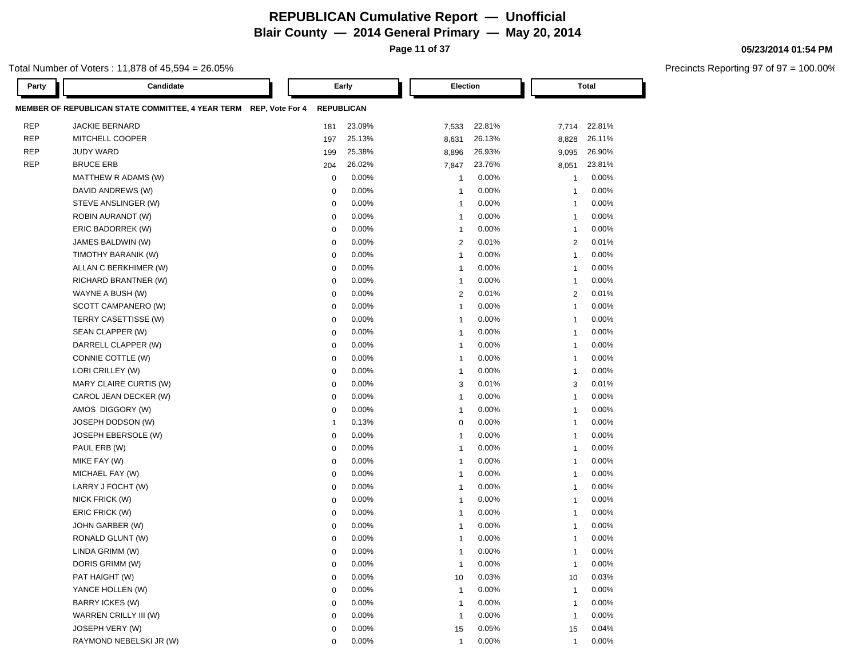**Page 11 of 37**

#### Total Number of Voters : 11,878 of 45,594 = 26.05%

| Party      | Candidate                                                         |              | Early             | Election                |        |                | <b>Total</b> |
|------------|-------------------------------------------------------------------|--------------|-------------------|-------------------------|--------|----------------|--------------|
|            | MEMBER OF REPUBLICAN STATE COMMITTEE, 4 YEAR TERM REP, Vote For 4 |              | <b>REPUBLICAN</b> |                         |        |                |              |
| <b>REP</b> | JACKIE BERNARD                                                    | 181          | 23.09%            | 7,533                   | 22.81% | 7,714          | 22.81%       |
| <b>REP</b> | MITCHELL COOPER                                                   | 197          | 25.13%            | 8,631                   | 26.13% | 8,828          | 26.11%       |
| <b>REP</b> | <b>JUDY WARD</b>                                                  | 199          | 25.38%            | 8,896                   | 26.93% | 9,095          | 26.90%       |
| <b>REP</b> | <b>BRUCE ERB</b>                                                  | 204          | 26.02%            | 7,847                   | 23.76% | 8,051          | 23.81%       |
|            | MATTHEW R ADAMS (W)                                               | $\mathbf 0$  | 0.00%             | $\mathbf{1}$            | 0.00%  | $\mathbf{1}$   | 0.00%        |
|            | DAVID ANDREWS (W)                                                 | 0            | 0.00%             | $\mathbf{1}$            | 0.00%  | $\mathbf{1}$   | 0.00%        |
|            | STEVE ANSLINGER (W)                                               | 0            | 0.00%             | $\mathbf{1}$            | 0.00%  | $\mathbf{1}$   | 0.00%        |
|            | ROBIN AURANDT (W)                                                 | 0            | 0.00%             | $\mathbf{1}$            | 0.00%  | $\mathbf{1}$   | 0.00%        |
|            | ERIC BADORREK (W)                                                 | 0            | 0.00%             | $\mathbf{1}$            | 0.00%  | -1             | 0.00%        |
|            | JAMES BALDWIN (W)                                                 | 0            | $0.00\%$          | $\overline{2}$          | 0.01%  | $\overline{2}$ | 0.01%        |
|            | TIMOTHY BARANIK (W)                                               | 0            | $0.00\%$          | $\mathbf{1}$            | 0.00%  | $\mathbf 1$    | 0.00%        |
|            | ALLAN C BERKHIMER (W)                                             | $\mathbf 0$  | 0.00%             | $\mathbf{1}$            | 0.00%  | -1             | 0.00%        |
|            | RICHARD BRANTNER (W)                                              | $\mathbf 0$  | 0.00%             | $\mathbf{1}$            | 0.00%  | -1             | 0.00%        |
|            | WAYNE A BUSH (W)                                                  | $\mathbf 0$  | 0.00%             | $\overline{2}$          | 0.01%  | $\overline{2}$ | 0.01%        |
|            | SCOTT CAMPANERO (W)                                               | $\mathbf 0$  | 0.00%             | $\mathbf{1}$            | 0.00%  | -1             | 0.00%        |
|            | TERRY CASETTISSE (W)                                              | $\mathbf 0$  | $0.00\%$          | $\mathbf{1}$            | 0.00%  | -1             | 0.00%        |
|            | SEAN CLAPPER (W)                                                  | $\mathbf 0$  | $0.00\%$          | $\mathbf{1}$            | 0.00%  | -1             | 0.00%        |
|            | DARRELL CLAPPER (W)                                               | $\mathbf 0$  | 0.00%             | $\mathbf{1}$            | 0.00%  | $\mathbf{1}$   | 0.00%        |
|            | CONNIE COTTLE (W)                                                 | $\mathbf 0$  | 0.00%             | $\mathbf{1}$            | 0.00%  | -1             | 0.00%        |
|            | LORI CRILLEY (W)                                                  | $\mathbf 0$  | $0.00\%$          | $\mathbf{1}$            | 0.00%  | $\mathbf{1}$   | 0.00%        |
|            | MARY CLAIRE CURTIS (W)                                            | $\mathbf 0$  | $0.00\%$          | 3                       | 0.01%  | 3              | 0.01%        |
|            | CAROL JEAN DECKER (W)                                             | $\mathbf 0$  | $0.00\%$          | $\mathbf{1}$            | 0.00%  | $\mathbf{1}$   | 0.00%        |
|            | AMOS DIGGORY (W)                                                  | $\mathbf 0$  | $0.00\%$          | $\mathbf{1}$            | 0.00%  | $\mathbf{1}$   | 0.00%        |
|            | JOSEPH DODSON (W)                                                 | $\mathbf{1}$ | 0.13%             | 0                       | 0.00%  | $\mathbf{1}$   | 0.00%        |
|            | JOSEPH EBERSOLE (W)                                               | $\mathbf 0$  | 0.00%             | $\mathbf{1}$            | 0.00%  | $\mathbf{1}$   | 0.00%        |
|            | PAUL ERB (W)                                                      | 0            | 0.00%             | $\mathbf{1}$            | 0.00%  | $\mathbf{1}$   | 0.00%        |
|            | MIKE FAY (W)                                                      | $\mathbf 0$  | 0.00%             | $\mathbf{1}$            | 0.00%  | $\mathbf{1}$   | 0.00%        |
|            | MICHAEL FAY (W)                                                   | $\mathbf 0$  | 0.00%             | $\mathbf{1}$            | 0.00%  | $\mathbf{1}$   | 0.00%        |
|            | LARRY J FOCHT (W)                                                 | $\mathbf 0$  | 0.00%             | $\mathbf{1}$            | 0.00%  | $\mathbf{1}$   | 0.00%        |
|            | NICK FRICK (W)                                                    | $\mathbf 0$  | 0.00%             | $\mathbf{1}$            | 0.00%  | -1             | 0.00%        |
|            | ERIC FRICK (W)                                                    | $\mathbf 0$  | $0.00\%$          | $\mathbf{1}$            | 0.00%  | $\mathbf{1}$   | 0.00%        |
|            | JOHN GARBER (W)                                                   | $\mathbf 0$  | $0.00\%$          | $\overline{\mathbf{1}}$ | 0.00%  | $\mathbf{1}$   | 0.00%        |
|            | RONALD GLUNT (W)                                                  | $\mathbf 0$  | 0.00%             | $\overline{\mathbf{1}}$ | 0.00%  | -1             | 0.00%        |
|            | LINDA GRIMM (W)                                                   | $\mathbf 0$  | 0.00%             | $\mathbf{1}$            | 0.00%  | -1             | 0.00%        |
|            | DORIS GRIMM (W)                                                   | $\mathbf 0$  | 0.00%             | $\mathbf{1}$            | 0.00%  | $\mathbf{1}$   | 0.00%        |
|            | PAT HAIGHT (W)                                                    | $\mathbf 0$  | 0.00%             | 10                      | 0.03%  | 10             | 0.03%        |
|            | YANCE HOLLEN (W)                                                  | $\mathbf 0$  | 0.00%             | $\mathbf{1}$            | 0.00%  | $\mathbf{1}$   | 0.00%        |
|            | <b>BARRY ICKES (W)</b>                                            | $\mathbf 0$  | 0.00%             | $\overline{\mathbf{1}}$ | 0.00%  | $\mathbf{1}$   | 0.00%        |
|            | WARREN CRILLY III (W)                                             | $\mathbf 0$  | 0.00%             | $\mathbf{1}$            | 0.00%  | $\mathbf{1}$   | 0.00%        |
|            | JOSEPH VERY (W)                                                   | $\mathbf 0$  | 0.00%             | 15                      | 0.05%  | 15             | 0.04%        |
|            | RAYMOND NEBELSKI JR (W)                                           | $\mathbf 0$  | 0.00%             | $\mathbf{1}$            | 0.00%  | $\mathbf{1}$   | 0.00%        |

**05/23/2014 01:54 PM**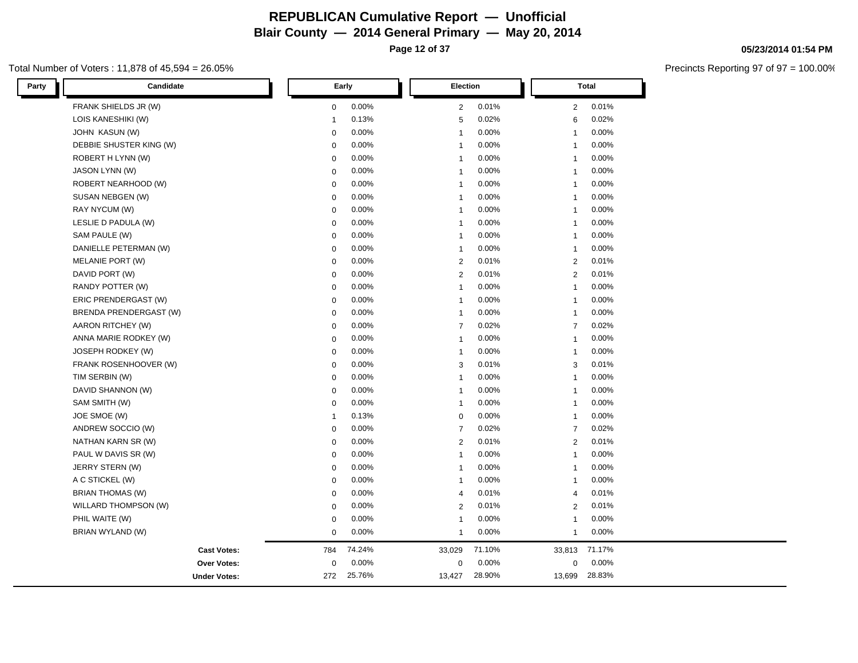Total Number of Voters : 11,878 of 45,594 = 26.05%

| Party | Candidate               |              | Early  |                | Election |                | <b>Total</b> |  |
|-------|-------------------------|--------------|--------|----------------|----------|----------------|--------------|--|
|       | FRANK SHIELDS JR (W)    | $\mathbf 0$  | 0.00%  | 2              | 0.01%    | $\overline{2}$ | 0.01%        |  |
|       | LOIS KANESHIKI (W)      | 1            | 0.13%  | 5              | 0.02%    | 6              | 0.02%        |  |
|       | <b>JOHN KASUN (W)</b>   | $\mathbf 0$  | 0.00%  | $\mathbf{1}$   | 0.00%    | $\mathbf{1}$   | 0.00%        |  |
|       | DEBBIE SHUSTER KING (W) | $\mathbf 0$  | 0.00%  | $\mathbf{1}$   | 0.00%    | $\mathbf{1}$   | 0.00%        |  |
|       | ROBERT H LYNN (W)       | $\mathbf 0$  | 0.00%  | $\mathbf{1}$   | 0.00%    | $\mathbf{1}$   | 0.00%        |  |
|       | <b>JASON LYNN (W)</b>   | $\mathbf 0$  | 0.00%  | $\mathbf{1}$   | 0.00%    | $\mathbf{1}$   | 0.00%        |  |
|       | ROBERT NEARHOOD (W)     | $\mathbf 0$  | 0.00%  | $\mathbf{1}$   | 0.00%    | $\mathbf{1}$   | 0.00%        |  |
|       | SUSAN NEBGEN (W)        | $\mathbf 0$  | 0.00%  | $\overline{1}$ | 0.00%    | $\mathbf{1}$   | 0.00%        |  |
|       | RAY NYCUM (W)           | $\mathbf 0$  | 0.00%  | $\mathbf{1}$   | 0.00%    | $\mathbf{1}$   | 0.00%        |  |
|       | LESLIE D PADULA (W)     | $\mathbf 0$  | 0.00%  | $\mathbf{1}$   | 0.00%    | $\mathbf{1}$   | 0.00%        |  |
|       | SAM PAULE (W)           | $\mathbf 0$  | 0.00%  | $\mathbf{1}$   | 0.00%    | $\mathbf{1}$   | 0.00%        |  |
|       | DANIELLE PETERMAN (W)   | $\mathbf 0$  | 0.00%  | $\mathbf{1}$   | 0.00%    | $\mathbf{1}$   | 0.00%        |  |
|       | MELANIE PORT (W)        | $\mathbf 0$  | 0.00%  | 2              | 0.01%    | 2              | 0.01%        |  |
|       | DAVID PORT (W)          | $\mathsf 0$  | 0.00%  | 2              | 0.01%    | $\overline{2}$ | 0.01%        |  |
|       | RANDY POTTER (W)        | $\mathbf 0$  | 0.00%  | $\mathbf{1}$   | 0.00%    | $\mathbf{1}$   | 0.00%        |  |
|       | ERIC PRENDERGAST (W)    | 0            | 0.00%  | $\mathbf{1}$   | 0.00%    | $\mathbf{1}$   | 0.00%        |  |
|       | BRENDA PRENDERGAST (W)  | $\mathsf 0$  | 0.00%  | $\mathbf{1}$   | 0.00%    | $\mathbf{1}$   | 0.00%        |  |
|       | AARON RITCHEY (W)       | $\mathbf 0$  | 0.00%  | $\overline{7}$ | 0.02%    | $\overline{7}$ | 0.02%        |  |
|       | ANNA MARIE RODKEY (W)   | $\mathbf 0$  | 0.00%  | $\mathbf{1}$   | 0.00%    | $\mathbf{1}$   | 0.00%        |  |
|       | JOSEPH RODKEY (W)       | $\mathbf 0$  | 0.00%  | $\mathbf{1}$   | 0.00%    | $\mathbf{1}$   | 0.00%        |  |
|       | FRANK ROSENHOOVER (W)   | $\mathbf 0$  | 0.00%  | 3              | 0.01%    | 3              | 0.01%        |  |
|       | TIM SERBIN (W)          | $\mathbf 0$  | 0.00%  | $\mathbf{1}$   | 0.00%    | $\mathbf{1}$   | 0.00%        |  |
|       | DAVID SHANNON (W)       | $\mathbf 0$  | 0.00%  | $\mathbf{1}$   | 0.00%    | $\mathbf{1}$   | 0.00%        |  |
|       | SAM SMITH (W)           | $\mathbf 0$  | 0.00%  | $\mathbf{1}$   | 0.00%    | $\mathbf{1}$   | 0.00%        |  |
|       | JOE SMOE (W)            | $\mathbf{1}$ | 0.13%  | $\mathbf 0$    | 0.00%    | $\mathbf{1}$   | 0.00%        |  |
|       | ANDREW SOCCIO (W)       | $\mathbf 0$  | 0.00%  | $\overline{7}$ | 0.02%    | $\overline{7}$ | 0.02%        |  |
|       | NATHAN KARN SR (W)      | $\mathbf 0$  | 0.00%  | 2              | 0.01%    | 2              | 0.01%        |  |
|       | PAUL W DAVIS SR (W)     | $\mathbf 0$  | 0.00%  | $\mathbf{1}$   | 0.00%    | $\mathbf{1}$   | 0.00%        |  |
|       | JERRY STERN (W)         | $\mathbf 0$  | 0.00%  | $\mathbf{1}$   | 0.00%    | $\mathbf{1}$   | 0.00%        |  |
|       | A C STICKEL (W)         | $\mathsf 0$  | 0.00%  | $\mathbf{1}$   | 0.00%    | $\mathbf{1}$   | 0.00%        |  |
|       | BRIAN THOMAS (W)        | $\mathbf 0$  | 0.00%  | $\overline{4}$ | 0.01%    | $\overline{4}$ | 0.01%        |  |
|       | WILLARD THOMPSON (W)    | $\mathbf 0$  | 0.00%  | 2              | 0.01%    | 2              | 0.01%        |  |
|       | PHIL WAITE (W)          | $\mathbf 0$  | 0.00%  | $\mathbf{1}$   | 0.00%    | $\mathbf{1}$   | 0.00%        |  |
|       | BRIAN WYLAND (W)        | $\mathbf 0$  | 0.00%  | $\mathbf{1}$   | 0.00%    | $\mathbf{1}$   | 0.00%        |  |
|       | <b>Cast Votes:</b>      | 784          | 74.24% | 33,029         | 71.10%   | 33,813         | 71.17%       |  |
|       | <b>Over Votes:</b>      | $\mathbf 0$  | 0.00%  | $\mathbf 0$    | 0.00%    | $\mathbf 0$    | 0.00%        |  |
|       | <b>Under Votes:</b>     | 272          | 25.76% | 13,427         | 28.90%   | 13,699         | 28.83%       |  |

#### **05/23/2014 01:54 PM**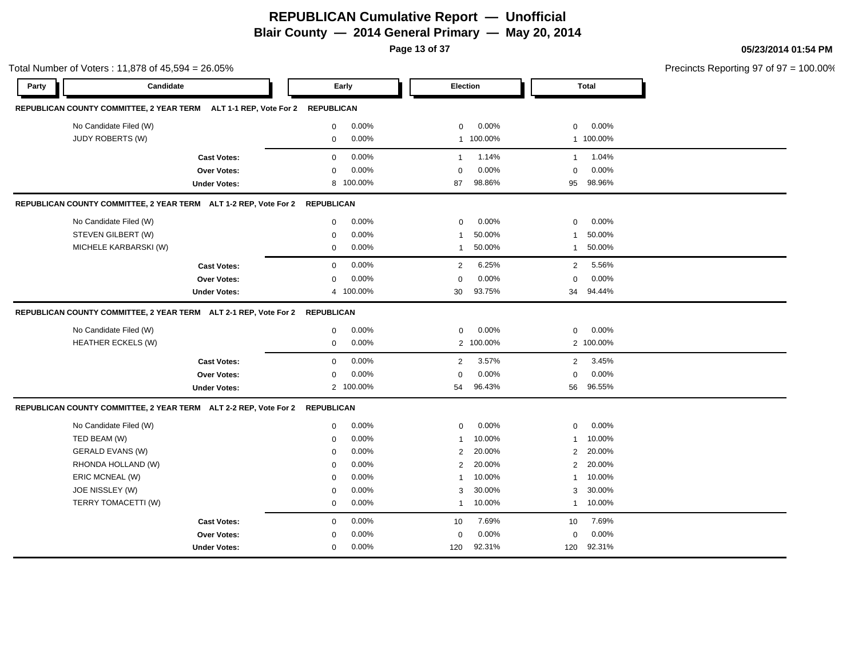**Page 13 of 37**

|       | Total Number of Voters: 11,878 of 45,594 = 26.05%                           |                     |                   |           |                |           |                |              | Precincts Reporting 97 of 97 = 100.00% |
|-------|-----------------------------------------------------------------------------|---------------------|-------------------|-----------|----------------|-----------|----------------|--------------|----------------------------------------|
| Party | Candidate                                                                   |                     |                   | Early     | Election       |           |                | <b>Total</b> |                                        |
|       | REPUBLICAN COUNTY COMMITTEE, 2 YEAR TERM ALT 1-1 REP, Vote For 2 REPUBLICAN |                     |                   |           |                |           |                |              |                                        |
|       | No Candidate Filed (W)                                                      |                     | $\mathbf 0$       | 0.00%     | $\mathbf 0$    | 0.00%     | $\mathbf 0$    | 0.00%        |                                        |
|       | JUDY ROBERTS (W)                                                            |                     | $\mathbf 0$       | 0.00%     |                | 1 100.00% |                | 1 100.00%    |                                        |
|       |                                                                             | <b>Cast Votes:</b>  | $\mathbf{0}$      | 0.00%     | $\overline{1}$ | 1.14%     | $\mathbf{1}$   | 1.04%        |                                        |
|       |                                                                             | <b>Over Votes:</b>  | $\mathbf 0$       | 0.00%     | $\Omega$       | 0.00%     | $\mathbf 0$    | 0.00%        |                                        |
|       |                                                                             | <b>Under Votes:</b> | 8                 | 100.00%   | 87             | 98.86%    | 95             | 98.96%       |                                        |
|       | REPUBLICAN COUNTY COMMITTEE, 2 YEAR TERM ALT 1-2 REP, Vote For 2 REPUBLICAN |                     |                   |           |                |           |                |              |                                        |
|       | No Candidate Filed (W)                                                      |                     | $\mathbf{0}$      | 0.00%     | $\mathbf 0$    | 0.00%     | $\mathbf 0$    | 0.00%        |                                        |
|       | STEVEN GILBERT (W)                                                          |                     | $\mathbf 0$       | 0.00%     | -1             | 50.00%    | $\mathbf{1}$   | 50.00%       |                                        |
|       | MICHELE KARBARSKI (W)                                                       |                     | $\mathbf{0}$      | 0.00%     | $\mathbf 1$    | 50.00%    | $\mathbf{1}$   | 50.00%       |                                        |
|       |                                                                             | <b>Cast Votes:</b>  | $\mathbf 0$       | 0.00%     | $\overline{2}$ | 6.25%     | 2              | 5.56%        |                                        |
|       |                                                                             | <b>Over Votes:</b>  | $\mathbf 0$       | 0.00%     | $\mathbf 0$    | 0.00%     | $\mathbf 0$    | 0.00%        |                                        |
|       |                                                                             | <b>Under Votes:</b> |                   | 4 100.00% | 30             | 93.75%    | 34             | 94.44%       |                                        |
|       | REPUBLICAN COUNTY COMMITTEE, 2 YEAR TERM ALT 2-1 REP, Vote For 2 REPUBLICAN |                     |                   |           |                |           |                |              |                                        |
|       | No Candidate Filed (W)                                                      |                     | 0                 | 0.00%     | $\mathbf 0$    | 0.00%     | 0              | 0.00%        |                                        |
|       | <b>HEATHER ECKELS (W)</b>                                                   |                     | 0                 | 0.00%     |                | 2 100.00% |                | 2 100.00%    |                                        |
|       |                                                                             | <b>Cast Votes:</b>  | $\mathbf{0}$      | 0.00%     | $\overline{2}$ | 3.57%     | $\overline{2}$ | 3.45%        |                                        |
|       |                                                                             | <b>Over Votes:</b>  | $\Omega$          | 0.00%     | $\overline{0}$ | 0.00%     | $\mathbf 0$    | 0.00%        |                                        |
|       |                                                                             | <b>Under Votes:</b> |                   | 2 100.00% | 54             | 96.43%    | 56             | 96.55%       |                                        |
|       | REPUBLICAN COUNTY COMMITTEE, 2 YEAR TERM ALT 2-2 REP, Vote For 2            |                     | <b>REPUBLICAN</b> |           |                |           |                |              |                                        |
|       | No Candidate Filed (W)                                                      |                     | $\mathbf{0}$      | 0.00%     | $\mathbf 0$    | $0.00\%$  | $\mathbf 0$    | 0.00%        |                                        |
|       | TED BEAM (W)                                                                |                     | $\mathbf 0$       | 0.00%     | -1             | 10.00%    | $\mathbf{1}$   | 10.00%       |                                        |
|       | <b>GERALD EVANS (W)</b>                                                     |                     | $\mathbf 0$       | 0.00%     | 2              | 20.00%    | 2              | 20.00%       |                                        |
|       | RHONDA HOLLAND (W)                                                          |                     | 0                 | 0.00%     | 2              | 20.00%    | $\overline{2}$ | 20.00%       |                                        |
|       | ERIC MCNEAL (W)                                                             |                     | $\mathbf 0$       | 0.00%     | -1             | 10.00%    | $\mathbf{1}$   | 10.00%       |                                        |
|       | JOE NISSLEY (W)                                                             |                     | $\mathbf 0$       | 0.00%     | 3              | 30.00%    | 3              | 30.00%       |                                        |
|       | TERRY TOMACETTI (W)                                                         |                     | $\mathbf{0}$      | 0.00%     | $\mathbf{1}$   | 10.00%    | $\mathbf{1}$   | 10.00%       |                                        |
|       |                                                                             | <b>Cast Votes:</b>  | $\mathbf{0}$      | 0.00%     | 10             | 7.69%     | 10             | 7.69%        |                                        |
|       |                                                                             | <b>Over Votes:</b>  | $\mathbf 0$       | 0.00%     | $\Omega$       | 0.00%     | 0              | 0.00%        |                                        |
|       |                                                                             | <b>Under Votes:</b> | $\mathbf 0$       | 0.00%     | 120            | 92.31%    | 120            | 92.31%       |                                        |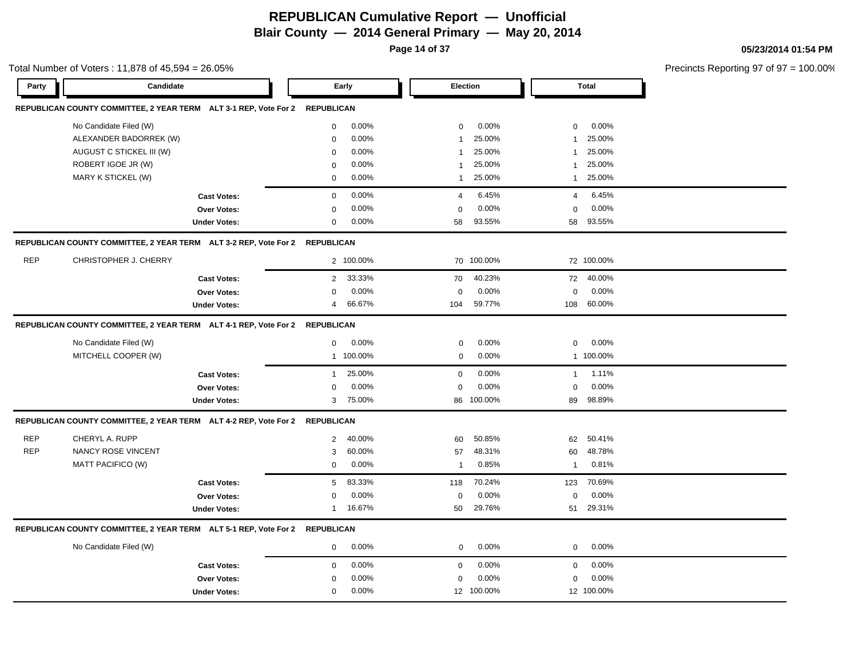**Page 14 of 37**

|            | Total Number of Voters: 11,878 of 45,594 = 26.05%                           |                     |                |           |                |            |                |              | Precincts Reporting 97 of 97 = 100.00% |
|------------|-----------------------------------------------------------------------------|---------------------|----------------|-----------|----------------|------------|----------------|--------------|----------------------------------------|
| Party      | Candidate                                                                   |                     |                | Early     | Election       |            |                | <b>Total</b> |                                        |
|            | REPUBLICAN COUNTY COMMITTEE, 2 YEAR TERM ALT 3-1 REP, Vote For 2 REPUBLICAN |                     |                |           |                |            |                |              |                                        |
|            | No Candidate Filed (W)                                                      |                     | 0              | 0.00%     | $\mathbf 0$    | 0.00%      | $\mathbf 0$    | 0.00%        |                                        |
|            | ALEXANDER BADORREK (W)                                                      |                     | 0              | 0.00%     | 1              | 25.00%     | $\mathbf{1}$   | 25.00%       |                                        |
|            | AUGUST C STICKEL III (W)                                                    |                     | $\mathbf 0$    | 0.00%     | -1             | 25.00%     | $\mathbf{1}$   | 25.00%       |                                        |
|            | ROBERT IGOE JR (W)                                                          |                     | $\mathbf 0$    | 0.00%     | -1             | 25.00%     | 1              | 25.00%       |                                        |
|            | MARY K STICKEL (W)                                                          |                     | $\mathbf 0$    | 0.00%     | $\mathbf{1}$   | 25.00%     | $\mathbf{1}$   | 25.00%       |                                        |
|            |                                                                             | <b>Cast Votes:</b>  | $\mathbf 0$    | 0.00%     | $\overline{4}$ | 6.45%      | $\overline{4}$ | 6.45%        |                                        |
|            |                                                                             | Over Votes:         | $\mathbf 0$    | 0.00%     | $\mathbf 0$    | 0.00%      | $\mathbf 0$    | 0.00%        |                                        |
|            |                                                                             | <b>Under Votes:</b> | $\mathbf 0$    | 0.00%     | 58             | 93.55%     | 58             | 93.55%       |                                        |
|            | REPUBLICAN COUNTY COMMITTEE, 2 YEAR TERM ALT 3-2 REP, Vote For 2 REPUBLICAN |                     |                |           |                |            |                |              |                                        |
| <b>REP</b> | CHRISTOPHER J. CHERRY                                                       |                     |                | 2 100.00% |                | 70 100.00% |                | 72 100.00%   |                                        |
|            |                                                                             | <b>Cast Votes:</b>  | $\mathbf{2}$   | 33.33%    | 70             | 40.23%     |                | 72 40.00%    |                                        |
|            |                                                                             | Over Votes:         | $\mathbf 0$    | 0.00%     | $\mathbf 0$    | 0.00%      | $\mathbf 0$    | 0.00%        |                                        |
|            |                                                                             | <b>Under Votes:</b> | $\overline{4}$ | 66.67%    | 104            | 59.77%     |                | 108 60.00%   |                                        |
|            | REPUBLICAN COUNTY COMMITTEE, 2 YEAR TERM ALT 4-1 REP, Vote For 2 REPUBLICAN |                     |                |           |                |            |                |              |                                        |
|            | No Candidate Filed (W)                                                      |                     | $\mathbf 0$    | $0.00\%$  | $\mathbf 0$    | 0.00%      | $\mathbf 0$    | 0.00%        |                                        |
|            | MITCHELL COOPER (W)                                                         |                     |                | 1 100.00% | $\mathbf 0$    | 0.00%      |                | 1 100.00%    |                                        |
|            |                                                                             | <b>Cast Votes:</b>  | $\mathbf{1}$   | 25.00%    | $\mathbf 0$    | 0.00%      | $\mathbf{1}$   | 1.11%        |                                        |
|            |                                                                             | Over Votes:         | $\mathbf 0$    | 0.00%     | $\mathbf 0$    | 0.00%      | $\mathbf 0$    | 0.00%        |                                        |
|            |                                                                             | <b>Under Votes:</b> |                | 3 75.00%  |                | 86 100.00% |                | 89 98.89%    |                                        |
|            | REPUBLICAN COUNTY COMMITTEE, 2 YEAR TERM ALT 4-2 REP, Vote For 2 REPUBLICAN |                     |                |           |                |            |                |              |                                        |
| <b>REP</b> | CHERYL A. RUPP                                                              |                     | $\overline{2}$ | 40.00%    | 60             | 50.85%     | 62             | 50.41%       |                                        |
| <b>REP</b> | <b>NANCY ROSE VINCENT</b>                                                   |                     | 3              | 60.00%    | 57             | 48.31%     | 60             | 48.78%       |                                        |
|            | MATT PACIFICO (W)                                                           |                     | $\mathbf 0$    | 0.00%     | $\overline{1}$ | 0.85%      | $\mathbf{1}$   | 0.81%        |                                        |
|            |                                                                             | <b>Cast Votes:</b>  | 5              | 83.33%    | 118            | 70.24%     | 123            | 70.69%       |                                        |
|            |                                                                             | Over Votes:         | $\mathbf 0$    | 0.00%     | $\mathbf 0$    | 0.00%      | $\mathbf 0$    | 0.00%        |                                        |
|            |                                                                             | <b>Under Votes:</b> | $\overline{1}$ | 16.67%    | 50             | 29.76%     | 51             | 29.31%       |                                        |
|            | REPUBLICAN COUNTY COMMITTEE, 2 YEAR TERM ALT 5-1 REP, Vote For 2 REPUBLICAN |                     |                |           |                |            |                |              |                                        |
|            | No Candidate Filed (W)                                                      |                     | 0              | 0.00%     | $\mathbf 0$    | 0.00%      | 0              | 0.00%        |                                        |
|            |                                                                             | <b>Cast Votes:</b>  | 0              | 0.00%     | $\mathbf 0$    | 0.00%      | $\mathbf 0$    | 0.00%        |                                        |
|            |                                                                             | Over Votes:         | $\mathbf 0$    | 0.00%     | $\mathbf 0$    | 0.00%      | 0              | 0.00%        |                                        |
|            |                                                                             | <b>Under Votes:</b> | $\mathbf 0$    | 0.00%     |                | 12 100.00% |                | 12 100.00%   |                                        |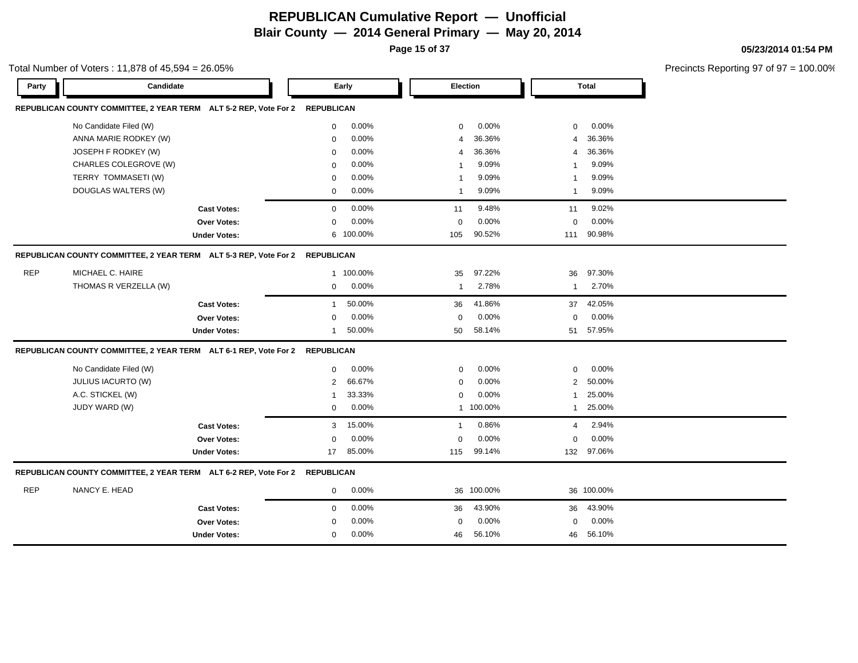**Page 15 of 37**

#### **05/23/2014 01:54 PM**

|            | Total Number of Voters: 11,878 of 45,594 = 26.05%                           |                     |                   |         |                |            |                |              | Precincts Reporting 97 of 97 |
|------------|-----------------------------------------------------------------------------|---------------------|-------------------|---------|----------------|------------|----------------|--------------|------------------------------|
| Party      | Candidate                                                                   |                     |                   | Early   |                | Election   |                | <b>Total</b> |                              |
|            | REPUBLICAN COUNTY COMMITTEE, 2 YEAR TERM ALT 5-2 REP, Vote For 2            |                     | <b>REPUBLICAN</b> |         |                |            |                |              |                              |
|            | No Candidate Filed (W)                                                      |                     | 0                 | 0.00%   | $\mathbf 0$    | 0.00%      | $\mathbf 0$    | 0.00%        |                              |
|            | ANNA MARIE RODKEY (W)                                                       |                     | $\mathbf 0$       | 0.00%   | $\overline{4}$ | 36.36%     | $\overline{4}$ | 36.36%       |                              |
|            | JOSEPH F RODKEY (W)                                                         |                     | 0                 | 0.00%   | $\overline{4}$ | 36.36%     | 4              | 36.36%       |                              |
|            | CHARLES COLEGROVE (W)                                                       |                     | $\mathbf 0$       | 0.00%   | -1             | 9.09%      | -1             | 9.09%        |                              |
|            | TERRY TOMMASETI (W)                                                         |                     | $\mathbf 0$       | 0.00%   | -1             | 9.09%      | -1             | 9.09%        |                              |
|            | DOUGLAS WALTERS (W)                                                         |                     | 0                 | 0.00%   | -1             | 9.09%      | 1              | 9.09%        |                              |
|            |                                                                             | <b>Cast Votes:</b>  | $\mathbf{0}$      | 0.00%   | 11             | 9.48%      | 11             | 9.02%        |                              |
|            |                                                                             | Over Votes:         | $\Omega$          | 0.00%   | $\mathbf 0$    | 0.00%      | $\mathbf 0$    | 0.00%        |                              |
|            |                                                                             | <b>Under Votes:</b> | 6                 | 100.00% | 105            | 90.52%     | 111            | 90.98%       |                              |
|            | REPUBLICAN COUNTY COMMITTEE, 2 YEAR TERM ALT 5-3 REP, Vote For 2 REPUBLICAN |                     |                   |         |                |            |                |              |                              |
| <b>REP</b> | MICHAEL C. HAIRE                                                            |                     | 1                 | 100.00% | 35             | 97.22%     | 36             | 97.30%       |                              |
|            | THOMAS R VERZELLA (W)                                                       |                     | 0                 | 0.00%   | $\mathbf{1}$   | 2.78%      | $\mathbf{1}$   | 2.70%        |                              |
|            |                                                                             | <b>Cast Votes:</b>  | $\mathbf{1}$      | 50.00%  | 36             | 41.86%     | 37             | 42.05%       |                              |
|            |                                                                             | Over Votes:         | $\Omega$          | 0.00%   | $\mathbf 0$    | 0.00%      | $\mathbf 0$    | 0.00%        |                              |
|            |                                                                             | <b>Under Votes:</b> | $\mathbf 1$       | 50.00%  | 50             | 58.14%     | 51             | 57.95%       |                              |
|            | REPUBLICAN COUNTY COMMITTEE, 2 YEAR TERM ALT 6-1 REP, Vote For 2 REPUBLICAN |                     |                   |         |                |            |                |              |                              |
|            | No Candidate Filed (W)                                                      |                     | $\mathbf{0}$      | 0.00%   | $\mathbf 0$    | 0.00%      | $\mathbf 0$    | 0.00%        |                              |
|            | JULIUS IACURTO (W)                                                          |                     | $\overline{2}$    | 66.67%  | $\mathbf 0$    | 0.00%      | 2              | 50.00%       |                              |
|            | A.C. STICKEL (W)                                                            |                     | -1                | 33.33%  | $\mathbf 0$    | 0.00%      | -1             | 25.00%       |                              |
|            | JUDY WARD (W)                                                               |                     | $\mathbf 0$       | 0.00%   | $\mathbf{1}$   | 100.00%    | $\mathbf{1}$   | 25.00%       |                              |
|            |                                                                             | <b>Cast Votes:</b>  | 3                 | 15.00%  | $\mathbf{1}$   | 0.86%      | $\overline{4}$ | 2.94%        |                              |
|            |                                                                             | Over Votes:         | 0                 | 0.00%   | $\mathbf 0$    | 0.00%      | $\mathbf 0$    | 0.00%        |                              |
|            |                                                                             | <b>Under Votes:</b> | 17                | 85.00%  | 115            | 99.14%     | 132            | 97.06%       |                              |
|            | REPUBLICAN COUNTY COMMITTEE, 2 YEAR TERM ALT 6-2 REP, Vote For 2 REPUBLICAN |                     |                   |         |                |            |                |              |                              |
| REP        | NANCY E. HEAD                                                               |                     | 0                 | 0.00%   |                | 36 100.00% |                | 36 100.00%   |                              |
|            |                                                                             | <b>Cast Votes:</b>  | $\mathbf 0$       | 0.00%   | 36             | 43.90%     | 36             | 43.90%       |                              |
|            |                                                                             | <b>Over Votes:</b>  | $\Omega$          | 0.00%   | $\mathbf 0$    | 0.00%      | $\Omega$       | 0.00%        |                              |
|            |                                                                             | <b>Under Votes:</b> | 0                 | 0.00%   | 46             | 56.10%     | 46             | 56.10%       |                              |
|            |                                                                             |                     |                   |         |                |            |                |              |                              |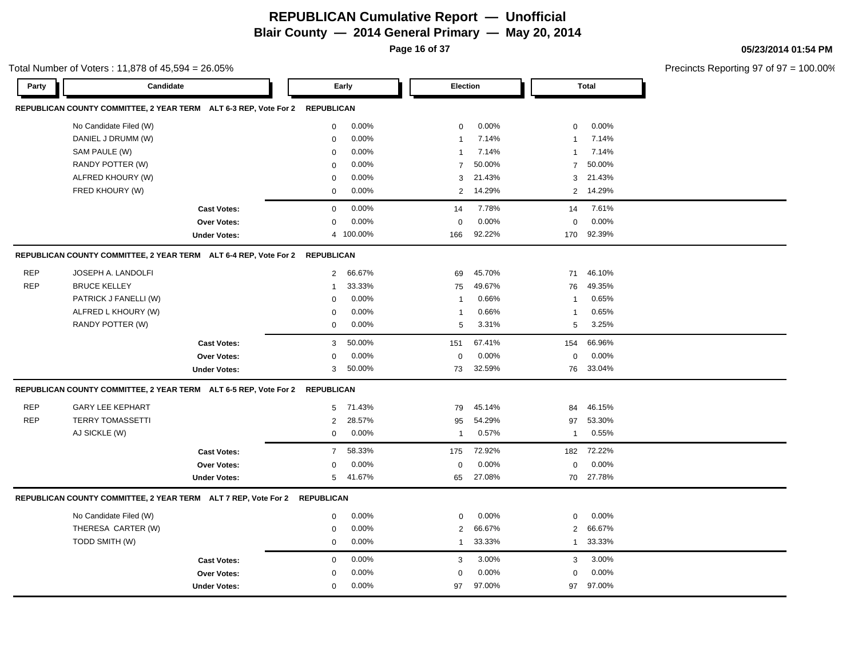**Page 16 of 37**

|            | Total Number of Voters: 11,878 of 45,594 = 26.05%                           |                     |                 |           |                |           |                |            | Precincts Reporting 97 of 97 = 100.00% |
|------------|-----------------------------------------------------------------------------|---------------------|-----------------|-----------|----------------|-----------|----------------|------------|----------------------------------------|
| Party      | Candidate                                                                   |                     | Early           |           | Election       |           |                | Total      |                                        |
|            | REPUBLICAN COUNTY COMMITTEE, 2 YEAR TERM ALT 6-3 REP, Vote For 2 REPUBLICAN |                     |                 |           |                |           |                |            |                                        |
|            | No Candidate Filed (W)                                                      |                     | $\mathbf 0$     | $0.00\%$  | $\mathbf{0}$   | 0.00%     | $\mathbf 0$    | $0.00\%$   |                                        |
|            | DANIEL J DRUMM (W)                                                          |                     | $\Omega$        | $0.00\%$  | -1             | 7.14%     | $\overline{1}$ | 7.14%      |                                        |
|            | SAM PAULE (W)                                                               |                     | $\mathbf 0$     | 0.00%     | $\mathbf{1}$   | 7.14%     | $\mathbf{1}$   | 7.14%      |                                        |
|            | RANDY POTTER (W)                                                            |                     | $\Omega$        | 0.00%     | $\overline{7}$ | 50.00%    |                | 7 50.00%   |                                        |
|            | ALFRED KHOURY (W)                                                           |                     | 0               | 0.00%     | 3              | 21.43%    |                | 3 21.43%   |                                        |
|            | FRED KHOURY (W)                                                             |                     | $\mathbf 0$     | 0.00%     |                | 2 14.29%  |                | 2 14.29%   |                                        |
|            |                                                                             | <b>Cast Votes:</b>  | $\mathbf 0$     | 0.00%     | 14             | 7.78%     |                | 14 7.61%   |                                        |
|            |                                                                             | Over Votes:         | $\mathbf 0$     | 0.00%     | $\Omega$       | 0.00%     | $\mathbf 0$    | 0.00%      |                                        |
|            |                                                                             | <b>Under Votes:</b> |                 | 4 100.00% | 166            | 92.22%    |                | 170 92.39% |                                        |
|            | REPUBLICAN COUNTY COMMITTEE, 2 YEAR TERM ALT 6-4 REP, Vote For 2 REPUBLICAN |                     |                 |           |                |           |                |            |                                        |
| <b>REP</b> | JOSEPH A. LANDOLFI                                                          |                     |                 | 2 66.67%  | 69             | 45.70%    |                | 71 46.10%  |                                        |
| <b>REP</b> | <b>BRUCE KELLEY</b>                                                         |                     | $\mathbf 1$     | 33.33%    | 75             | 49.67%    |                | 76 49.35%  |                                        |
|            | PATRICK J FANELLI (W)                                                       |                     | $\Omega$        | 0.00%     | 1              | 0.66%     | $\overline{1}$ | 0.65%      |                                        |
|            | ALFRED L KHOURY (W)                                                         |                     | 0               | 0.00%     | 1              | 0.66%     | -1             | 0.65%      |                                        |
|            | RANDY POTTER (W)                                                            |                     | $\mathbf 0$     | 0.00%     | 5              | 3.31%     | $5^{\circ}$    | 3.25%      |                                        |
|            |                                                                             | <b>Cast Votes:</b>  |                 | 3 50.00%  | 151            | 67.41%    |                | 154 66.96% |                                        |
|            |                                                                             | Over Votes:         | $\mathbf 0$     | 0.00%     | $\mathbf 0$    | 0.00%     | $\mathbf 0$    | $0.00\%$   |                                        |
|            |                                                                             | <b>Under Votes:</b> |                 | 3 50.00%  | 73             | 32.59%    |                | 76 33.04%  |                                        |
|            | REPUBLICAN COUNTY COMMITTEE, 2 YEAR TERM ALT 6-5 REP, Vote For 2 REPUBLICAN |                     |                 |           |                |           |                |            |                                        |
| REP        | <b>GARY LEE KEPHART</b>                                                     |                     |                 | 5 71.43%  | 79             | 45.14%    | 84             | 46.15%     |                                        |
| REP        | <b>TERRY TOMASSETTI</b>                                                     |                     | $\overline{2}$  | 28.57%    | 95             | 54.29%    |                | 97 53.30%  |                                        |
|            | AJ SICKLE (W)                                                               |                     | $\mathbf{0}$    | 0.00%     | $\mathbf{1}$   | 0.57%     |                | 1 0.55%    |                                        |
|            |                                                                             | <b>Cast Votes:</b>  | $7\overline{ }$ | 58.33%    | 175            | 72.92%    |                | 182 72.22% |                                        |
|            |                                                                             | Over Votes:         | $\Omega$        | 0.00%     | $\Omega$       | 0.00%     | $\mathbf 0$    | 0.00%      |                                        |
|            |                                                                             | <b>Under Votes:</b> |                 | 5 41.67%  |                | 65 27.08% |                | 70 27.78%  |                                        |
|            | REPUBLICAN COUNTY COMMITTEE, 2 YEAR TERM ALT 7 REP, Vote For 2 REPUBLICAN   |                     |                 |           |                |           |                |            |                                        |
|            | No Candidate Filed (W)                                                      |                     | $\mathbf 0$     | 0.00%     | $\Omega$       | 0.00%     | $\mathbf 0$    | $0.00\%$   |                                        |
|            | THERESA CARTER (W)                                                          |                     | $\mathbf 0$     | 0.00%     | $\overline{2}$ | 66.67%    |                | 2 66.67%   |                                        |
|            | TODD SMITH (W)                                                              |                     | $\mathbf{0}$    | $0.00\%$  |                | 1 33.33%  |                | 1 33.33%   |                                        |
|            |                                                                             | <b>Cast Votes:</b>  | $\mathbf 0$     | 0.00%     | 3              | 3.00%     | $\mathbf{3}$   | 3.00%      |                                        |
|            |                                                                             | Over Votes:         | 0               | 0.00%     | 0              | 0.00%     | $\mathbf 0$    | 0.00%      |                                        |
|            |                                                                             | <b>Under Votes:</b> | $\mathbf 0$     | 0.00%     | 97             | 97.00%    |                | 97 97.00%  |                                        |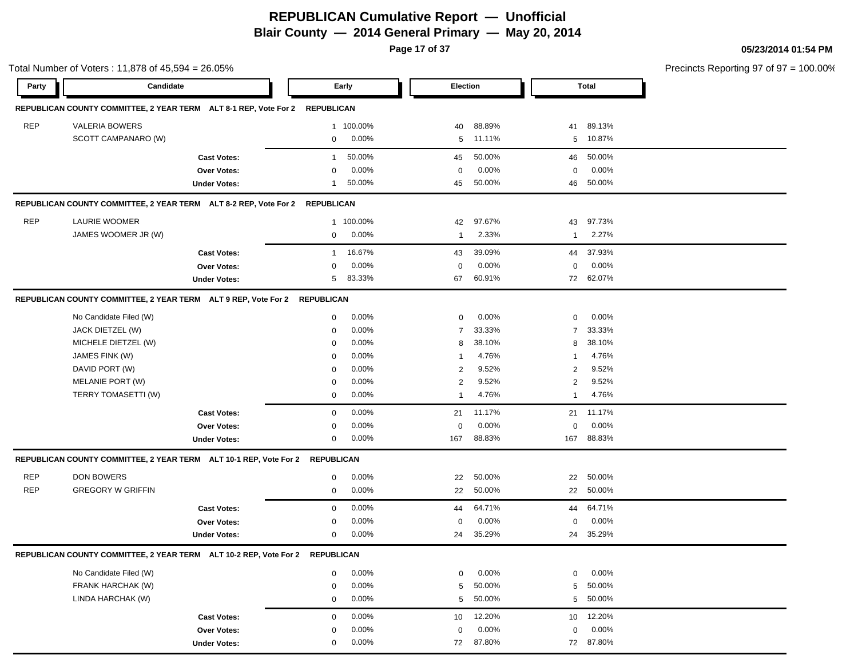**Page 17 of 37**

|            | Candidate                                                                    |                     |                   |                 | <b>Election</b> |                 |                   | <b>Total</b>    | Precincts Reporting 97 of 97 = 100.00% |
|------------|------------------------------------------------------------------------------|---------------------|-------------------|-----------------|-----------------|-----------------|-------------------|-----------------|----------------------------------------|
| Party      |                                                                              |                     |                   | Early           |                 |                 |                   |                 |                                        |
|            | REPUBLICAN COUNTY COMMITTEE, 2 YEAR TERM ALT 8-1 REP, Vote For 2 REPUBLICAN  |                     |                   |                 |                 |                 |                   |                 |                                        |
| <b>REP</b> | <b>VALERIA BOWERS</b>                                                        |                     | $\mathbf{1}$      | 100.00%         | 40              | 88.89%          | 41                | 89.13%          |                                        |
|            | SCOTT CAMPANARO (W)                                                          |                     | $\mathbf 0$       | 0.00%           | 5               | 11.11%          | 5                 | 10.87%          |                                        |
|            |                                                                              | <b>Cast Votes:</b>  | $\mathbf{1}$      | 50.00%          | 45              | 50.00%          | 46                | 50.00%          |                                        |
|            |                                                                              | <b>Over Votes:</b>  | $\mathbf 0$       | 0.00%           | 0               | 0.00%           | $\mathbf 0$       | 0.00%           |                                        |
|            |                                                                              | <b>Under Votes:</b> | $\overline{1}$    | 50.00%          | 45              | 50.00%          | 46                | 50.00%          |                                        |
|            | REPUBLICAN COUNTY COMMITTEE, 2 YEAR TERM ALT 8-2 REP, Vote For 2             |                     | <b>REPUBLICAN</b> |                 |                 |                 |                   |                 |                                        |
| <b>REP</b> | LAURIE WOOMER                                                                |                     |                   | 1 100.00%       | 42              | 97.67%          | 43                | 97.73%          |                                        |
|            | JAMES WOOMER JR (W)                                                          |                     | $\mathbf 0$       | 0.00%           | $\mathbf{1}$    | 2.33%           | $\mathbf{1}$      | 2.27%           |                                        |
|            |                                                                              |                     |                   |                 |                 |                 |                   |                 |                                        |
|            |                                                                              | <b>Cast Votes:</b>  | $\overline{1}$    | 16.67%<br>0.00% | 43              | 39.09%<br>0.00% | 44<br>$\mathbf 0$ | 37.93%<br>0.00% |                                        |
|            |                                                                              | Over Votes:         | $\mathbf 0$<br>5  | 83.33%          | 0<br>67         | 60.91%          |                   | 72 62.07%       |                                        |
|            |                                                                              | <b>Under Votes:</b> |                   |                 |                 |                 |                   |                 |                                        |
|            | REPUBLICAN COUNTY COMMITTEE, 2 YEAR TERM ALT 9 REP, Vote For 2 REPUBLICAN    |                     |                   |                 |                 |                 |                   |                 |                                        |
|            | No Candidate Filed (W)                                                       |                     | 0                 | 0.00%           | $\mathbf 0$     | 0.00%           | 0                 | 0.00%           |                                        |
|            | JACK DIETZEL (W)                                                             |                     | 0                 | 0.00%           | $\overline{7}$  | 33.33%          | $\overline{7}$    | 33.33%          |                                        |
|            | MICHELE DIETZEL (W)                                                          |                     | 0                 | 0.00%           | 8               | 38.10%          | 8                 | 38.10%          |                                        |
|            | JAMES FINK (W)                                                               |                     | 0                 | 0.00%           |                 | 4.76%           | $\mathbf 1$       | 4.76%           |                                        |
|            | DAVID PORT (W)                                                               |                     | 0                 | 0.00%           | $\overline{2}$  | 9.52%           | $\overline{2}$    | 9.52%           |                                        |
|            | MELANIE PORT (W)                                                             |                     | 0                 | 0.00%           | $\overline{2}$  | 9.52%           | $\overline{2}$    | 9.52%           |                                        |
|            | TERRY TOMASETTI (W)                                                          |                     | 0                 | 0.00%           | -1              | 4.76%           | $\mathbf{1}$      | 4.76%           |                                        |
|            |                                                                              | <b>Cast Votes:</b>  | $\mathbf 0$       | 0.00%           | 21              | 11.17%          | 21                | 11.17%          |                                        |
|            |                                                                              | <b>Over Votes:</b>  | 0                 | 0.00%           | 0               | 0.00%           | $\mathbf 0$       | 0.00%           |                                        |
|            |                                                                              | <b>Under Votes:</b> | $\mathbf 0$       | 0.00%           | 167             | 88.83%          | 167               | 88.83%          |                                        |
|            | REPUBLICAN COUNTY COMMITTEE, 2 YEAR TERM ALT 10-1 REP, Vote For 2 REPUBLICAN |                     |                   |                 |                 |                 |                   |                 |                                        |
| REP        | DON BOWERS                                                                   |                     | $\mathbf 0$       | 0.00%           | 22              | 50.00%          | 22                | 50.00%          |                                        |
| <b>REP</b> | <b>GREGORY W GRIFFIN</b>                                                     |                     | $\mathbf 0$       | $0.00\%$        | 22              | 50.00%          | 22                | 50.00%          |                                        |
|            |                                                                              | <b>Cast Votes:</b>  | $\mathbf 0$       | 0.00%           | 44              | 64.71%          | 44                | 64.71%          |                                        |
|            |                                                                              | Over Votes:         | 0                 | 0.00%           | $\mathbf 0$     | 0.00%           | 0                 | 0.00%           |                                        |
|            |                                                                              | <b>Under Votes:</b> | $\mathbf 0$       | 0.00%           | 24              | 35.29%          | 24                | 35.29%          |                                        |
|            | REPUBLICAN COUNTY COMMITTEE, 2 YEAR TERM ALT 10-2 REP, Vote For 2 REPUBLICAN |                     |                   |                 |                 |                 |                   |                 |                                        |
|            | No Candidate Filed (W)                                                       |                     | $\mathbf 0$       | $0.00\%$        | $\mathbf 0$     | 0.00%           | 0                 | 0.00%           |                                        |
|            | FRANK HARCHAK (W)                                                            |                     | $\mathbf 0$       | $0.00\%$        | 5               | 50.00%          | 5                 | 50.00%          |                                        |
|            | LINDA HARCHAK (W)                                                            |                     | $\mathbf 0$       | 0.00%           | 5               | 50.00%          | 5                 | 50.00%          |                                        |
|            |                                                                              | <b>Cast Votes:</b>  | $\mathbf 0$       | 0.00%           | 10              | 12.20%          | 10                | 12.20%          |                                        |
|            |                                                                              | Over Votes:         | 0                 | 0.00%           | 0               | 0.00%           | 0                 | 0.00%           |                                        |
|            |                                                                              | <b>Under Votes:</b> | $\mathbf 0$       | 0.00%           |                 | 72 87.80%       |                   | 72 87.80%       |                                        |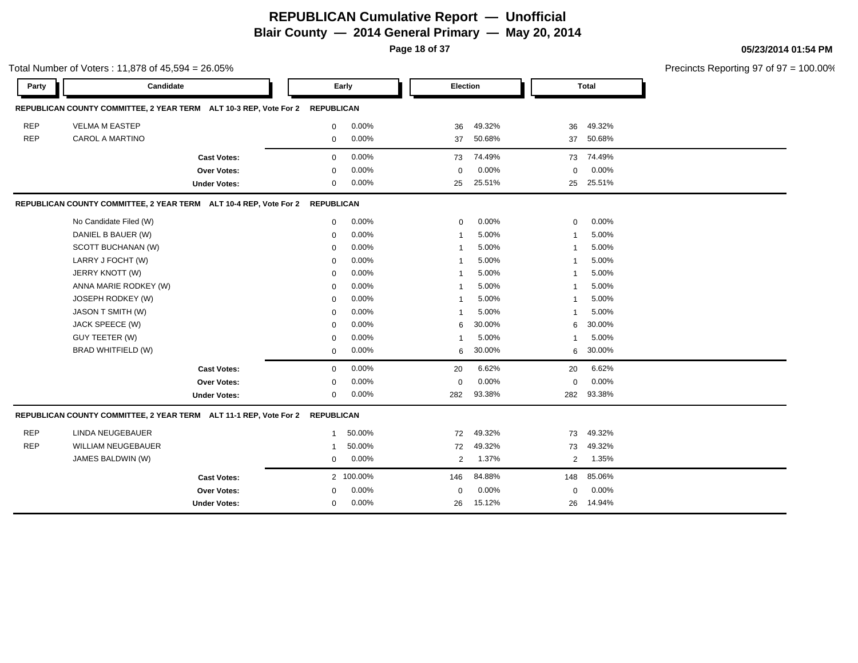**Page 18 of 37**

|            | Total Number of Voters: 11,878 of 45,594 = 26.05%                            |                     |              |           |             |        |              |        | Precincts Reporting 97 of 97 = 100.00% |
|------------|------------------------------------------------------------------------------|---------------------|--------------|-----------|-------------|--------|--------------|--------|----------------------------------------|
| Party      | Candidate                                                                    |                     |              | Early     | Election    |        |              | Total  |                                        |
|            | REPUBLICAN COUNTY COMMITTEE, 2 YEAR TERM ALT 10-3 REP, Vote For 2 REPUBLICAN |                     |              |           |             |        |              |        |                                        |
| <b>REP</b> | <b>VELMA M EASTEP</b>                                                        |                     | 0            | 0.00%     | 36          | 49.32% | 36           | 49.32% |                                        |
| <b>REP</b> | <b>CAROL A MARTINO</b>                                                       |                     | 0            | 0.00%     | 37          | 50.68% | 37           | 50.68% |                                        |
|            |                                                                              | <b>Cast Votes:</b>  | 0            | 0.00%     | 73          | 74.49% | 73           | 74.49% |                                        |
|            |                                                                              | Over Votes:         | $\mathbf 0$  | 0.00%     | $\mathbf 0$ | 0.00%  | $\mathbf 0$  | 0.00%  |                                        |
|            |                                                                              | <b>Under Votes:</b> | 0            | 0.00%     | 25          | 25.51% | 25           | 25.51% |                                        |
|            | REPUBLICAN COUNTY COMMITTEE, 2 YEAR TERM ALT 10-4 REP, Vote For 2 REPUBLICAN |                     |              |           |             |        |              |        |                                        |
|            | No Candidate Filed (W)                                                       |                     | 0            | 0.00%     | 0           | 0.00%  | 0            | 0.00%  |                                        |
|            | DANIEL B BAUER (W)                                                           |                     | $\mathbf 0$  | 0.00%     | -1          | 5.00%  | 1            | 5.00%  |                                        |
|            | SCOTT BUCHANAN (W)                                                           |                     | 0            | 0.00%     |             | 5.00%  | 1            | 5.00%  |                                        |
|            | LARRY J FOCHT (W)                                                            |                     | $\mathbf 0$  | 0.00%     |             | 5.00%  | 1            | 5.00%  |                                        |
|            | JERRY KNOTT (W)                                                              |                     | $\mathbf 0$  | 0.00%     |             | 5.00%  | 1            | 5.00%  |                                        |
|            | ANNA MARIE RODKEY (W)                                                        |                     | $\mathbf 0$  | 0.00%     | -1          | 5.00%  | 1            | 5.00%  |                                        |
|            | JOSEPH RODKEY (W)                                                            |                     | $\mathbf 0$  | 0.00%     | -1          | 5.00%  | $\mathbf{1}$ | 5.00%  |                                        |
|            | JASON T SMITH (W)                                                            |                     | $\mathbf 0$  | 0.00%     | -1          | 5.00%  | 1            | 5.00%  |                                        |
|            | JACK SPEECE (W)                                                              |                     | $\mathbf 0$  | 0.00%     | 6           | 30.00% | 6            | 30.00% |                                        |
|            | GUY TEETER (W)                                                               |                     | 0            | 0.00%     | -1          | 5.00%  | 1            | 5.00%  |                                        |
|            | <b>BRAD WHITFIELD (W)</b>                                                    |                     | 0            | 0.00%     | 6           | 30.00% | 6            | 30.00% |                                        |
|            |                                                                              | <b>Cast Votes:</b>  | 0            | 0.00%     | 20          | 6.62%  | 20           | 6.62%  |                                        |
|            |                                                                              | Over Votes:         | 0            | 0.00%     | $\mathbf 0$ | 0.00%  | $\mathbf 0$  | 0.00%  |                                        |
|            |                                                                              | <b>Under Votes:</b> | 0            | 0.00%     | 282         | 93.38% | 282          | 93.38% |                                        |
|            | REPUBLICAN COUNTY COMMITTEE, 2 YEAR TERM ALT 11-1 REP, Vote For 2 REPUBLICAN |                     |              |           |             |        |              |        |                                        |
| <b>REP</b> | <b>LINDA NEUGEBAUER</b>                                                      |                     | $\mathbf{1}$ | 50.00%    | 72          | 49.32% | 73           | 49.32% |                                        |
| <b>REP</b> | <b>WILLIAM NEUGEBAUER</b>                                                    |                     | -1           | 50.00%    | 72          | 49.32% | 73           | 49.32% |                                        |
|            | JAMES BALDWIN (W)                                                            |                     | 0            | 0.00%     | 2           | 1.37%  | 2            | 1.35%  |                                        |
|            |                                                                              | <b>Cast Votes:</b>  |              | 2 100.00% | 146         | 84.88% | 148          | 85.06% |                                        |
|            |                                                                              | Over Votes:         | $\Omega$     | 0.00%     | $\mathbf 0$ | 0.00%  | 0            | 0.00%  |                                        |
|            |                                                                              | <b>Under Votes:</b> | 0            | 0.00%     | 26          | 15.12% | 26           | 14.94% |                                        |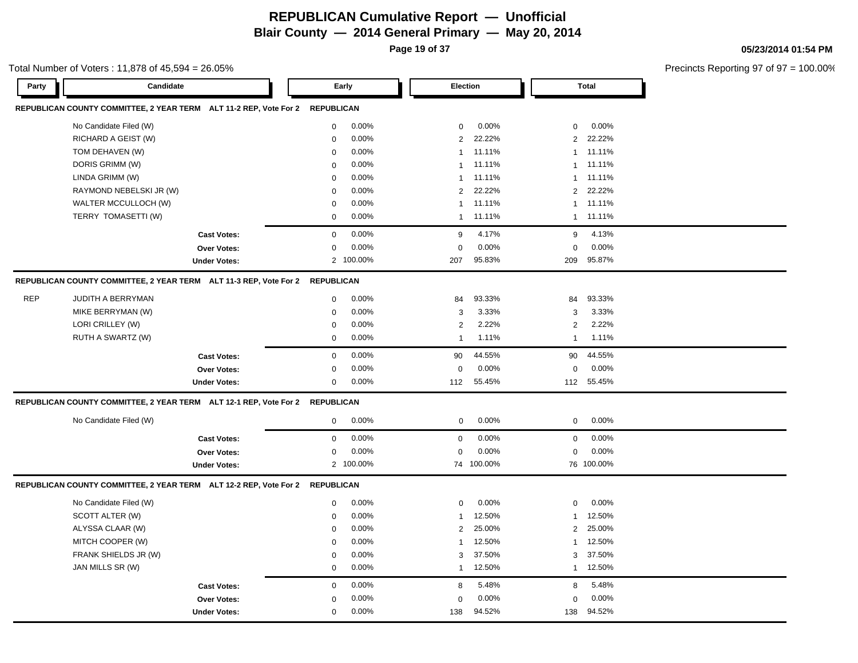**Page 19 of 37**

#### Total Number of Voters : 11,878 of 45,594 = 26.05%

**05/23/2014 01:54 PM**

| REPUBLICAN COUNTY COMMITTEE, 2 YEAR TERM ALT 11-2 REP, Vote For 2 REPUBLICAN<br>No Candidate Filed (W)<br>0.00%<br>0.00%<br>0.00%<br>$\mathbf 0$<br>$\mathbf 0$<br>$\mathbf 0$<br>22.22%<br>RICHARD A GEIST (W)<br>0.00%<br>$\overline{2}$<br>22.22%<br>2<br>$\mathbf 0$<br>0.00%<br>11.11%<br>11.11%<br>TOM DEHAVEN (W)<br>$\mathbf 0$<br>$\mathbf{1}$<br>1<br>DORIS GRIMM (W)<br>0.00%<br>$\mathbf 0$<br>11.11%<br>11.11%<br>$\mathbf{1}$<br>$\mathbf{1}$<br>0.00%<br>LINDA GRIMM (W)<br>11.11%<br>11.11%<br>$\mathbf 0$<br>$\mathbf{1}$<br>$\mathbf{1}$<br>22.22%<br>0.00%<br>$\overline{2}$<br>22.22%<br>RAYMOND NEBELSKI JR (W)<br>2<br>$\mathbf 0$<br>WALTER MCCULLOCH (W)<br>11.11%<br>11.11%<br>$\mathbf 0$<br>0.00%<br>$\mathbf{1}$<br>$\mathbf{1}$<br>TERRY TOMASETTI (W)<br>0.00%<br>$\mathbf 0$<br>11.11%<br>1 11.11%<br>$\mathbf{1}$<br>0.00%<br>4.13%<br>4.17%<br>$\mathbf 0$<br>9<br>$9\,$<br><b>Cast Votes:</b><br>0.00%<br>0.00%<br>0.00%<br>Over Votes:<br>$\mathbf 0$<br>$\Omega$<br>$\Omega$<br><b>Under Votes:</b><br>2 100.00%<br>95.83%<br>209<br>95.87%<br>207<br>REPUBLICAN COUNTY COMMITTEE, 2 YEAR TERM ALT 11-3 REP, Vote For 2<br><b>REPUBLICAN</b><br><b>REP</b><br>JUDITH A BERRYMAN<br>0.00%<br>93.33%<br>93.33%<br>$\mathbf 0$<br>84<br>84<br>MIKE BERRYMAN (W)<br>0.00%<br>3<br>3.33%<br>3.33%<br>$\mathbf 0$<br>3<br>LORI CRILLEY (W)<br>$\overline{2}$<br>2.22%<br>2.22%<br>$\pmb{0}$<br>0.00%<br>$\overline{2}$<br>RUTH A SWARTZ (W)<br>0.00%<br>1.11%<br>1.11%<br>$\mathbf 0$<br>$\mathbf{1}$<br>$\mathbf{1}$<br>0.00%<br>$\mathbf 0$<br>44.55%<br>90<br>44.55%<br><b>Cast Votes:</b><br>90<br>0.00%<br>0.00%<br>0.00%<br>Over Votes:<br>0<br>$\mathbf 0$<br>$\mathbf 0$<br>0.00%<br>55.45%<br>112 55.45%<br><b>Under Votes:</b><br>$\mathbf 0$<br>112<br>REPUBLICAN COUNTY COMMITTEE, 2 YEAR TERM ALT 12-1 REP, Vote For 2 REPUBLICAN<br>No Candidate Filed (W)<br>0.00%<br>0.00%<br>0.00%<br>$\mathbf 0$<br>$\mathbf 0$<br>$\mathbf 0$<br>0.00%<br>0<br>0.00%<br>$\mathbf 0$<br>0.00%<br>$\mathbf 0$<br><b>Cast Votes:</b><br>0.00%<br>0.00%<br>0.00%<br>$\mathbf 0$<br>$\mathbf 0$<br>$\mathbf 0$<br><b>Over Votes:</b><br>2 100.00%<br>74 100.00%<br>76 100.00%<br><b>Under Votes:</b><br>REPUBLICAN COUNTY COMMITTEE, 2 YEAR TERM ALT 12-2 REP, Vote For 2<br>REPUBLICAN<br>No Candidate Filed (W)<br>0.00%<br>0.00%<br>0.00%<br>$\mathbf 0$<br>$\mathbf 0$<br>$\mathbf 0$<br>0.00%<br>12.50%<br>SCOTT ALTER (W)<br>12.50%<br>$\mathbf 0$<br>$\mathbf{1}$<br>$\mathbf{1}$<br>25.00%<br>ALYSSA CLAAR (W)<br>0.00%<br>$\overline{2}$<br>25.00%<br>$\mathbf 0$<br>$\overline{2}$<br>MITCH COOPER (W)<br>0.00%<br>12.50%<br>12.50%<br>$\mathbf 0$<br>$\mathbf{1}$<br>$\mathbf{1}$<br>FRANK SHIELDS JR (W)<br>0.00%<br>3<br>37.50%<br>37.50%<br>$\mathbf 0$<br>3<br>JAN MILLS SR (W)<br>12.50%<br>12.50%<br>$\mathbf 0$<br>$0.00\%$<br>$\mathbf{1}$<br>$\mathbf{1}$<br>0.00%<br>5.48%<br>5.48%<br>$\mathbf 0$<br>8<br>8<br><b>Cast Votes:</b><br>0.00%<br>0.00%<br>0.00%<br><b>Over Votes:</b><br>$\mathbf 0$<br>0<br>$\mathbf 0$<br>0.00%<br>94.52%<br>94.52%<br><b>Under Votes:</b><br>$\mathbf 0$<br>138<br>138 | Party | Candidate |  | Early | Election | <b>Total</b> |
|----------------------------------------------------------------------------------------------------------------------------------------------------------------------------------------------------------------------------------------------------------------------------------------------------------------------------------------------------------------------------------------------------------------------------------------------------------------------------------------------------------------------------------------------------------------------------------------------------------------------------------------------------------------------------------------------------------------------------------------------------------------------------------------------------------------------------------------------------------------------------------------------------------------------------------------------------------------------------------------------------------------------------------------------------------------------------------------------------------------------------------------------------------------------------------------------------------------------------------------------------------------------------------------------------------------------------------------------------------------------------------------------------------------------------------------------------------------------------------------------------------------------------------------------------------------------------------------------------------------------------------------------------------------------------------------------------------------------------------------------------------------------------------------------------------------------------------------------------------------------------------------------------------------------------------------------------------------------------------------------------------------------------------------------------------------------------------------------------------------------------------------------------------------------------------------------------------------------------------------------------------------------------------------------------------------------------------------------------------------------------------------------------------------------------------------------------------------------------------------------------------------------------------------------------------------------------------------------------------------------------------------------------------------------------------------------------------------------------------------------------------------------------------------------------------------------------------------------------------------------------------------------------------------------------------------------------------------------------------------------------------------------------------------------------------------------------------------------------------------------------------------------------------|-------|-----------|--|-------|----------|--------------|
|                                                                                                                                                                                                                                                                                                                                                                                                                                                                                                                                                                                                                                                                                                                                                                                                                                                                                                                                                                                                                                                                                                                                                                                                                                                                                                                                                                                                                                                                                                                                                                                                                                                                                                                                                                                                                                                                                                                                                                                                                                                                                                                                                                                                                                                                                                                                                                                                                                                                                                                                                                                                                                                                                                                                                                                                                                                                                                                                                                                                                                                                                                                                                          |       |           |  |       |          |              |
|                                                                                                                                                                                                                                                                                                                                                                                                                                                                                                                                                                                                                                                                                                                                                                                                                                                                                                                                                                                                                                                                                                                                                                                                                                                                                                                                                                                                                                                                                                                                                                                                                                                                                                                                                                                                                                                                                                                                                                                                                                                                                                                                                                                                                                                                                                                                                                                                                                                                                                                                                                                                                                                                                                                                                                                                                                                                                                                                                                                                                                                                                                                                                          |       |           |  |       |          |              |
|                                                                                                                                                                                                                                                                                                                                                                                                                                                                                                                                                                                                                                                                                                                                                                                                                                                                                                                                                                                                                                                                                                                                                                                                                                                                                                                                                                                                                                                                                                                                                                                                                                                                                                                                                                                                                                                                                                                                                                                                                                                                                                                                                                                                                                                                                                                                                                                                                                                                                                                                                                                                                                                                                                                                                                                                                                                                                                                                                                                                                                                                                                                                                          |       |           |  |       |          |              |
|                                                                                                                                                                                                                                                                                                                                                                                                                                                                                                                                                                                                                                                                                                                                                                                                                                                                                                                                                                                                                                                                                                                                                                                                                                                                                                                                                                                                                                                                                                                                                                                                                                                                                                                                                                                                                                                                                                                                                                                                                                                                                                                                                                                                                                                                                                                                                                                                                                                                                                                                                                                                                                                                                                                                                                                                                                                                                                                                                                                                                                                                                                                                                          |       |           |  |       |          |              |
|                                                                                                                                                                                                                                                                                                                                                                                                                                                                                                                                                                                                                                                                                                                                                                                                                                                                                                                                                                                                                                                                                                                                                                                                                                                                                                                                                                                                                                                                                                                                                                                                                                                                                                                                                                                                                                                                                                                                                                                                                                                                                                                                                                                                                                                                                                                                                                                                                                                                                                                                                                                                                                                                                                                                                                                                                                                                                                                                                                                                                                                                                                                                                          |       |           |  |       |          |              |
|                                                                                                                                                                                                                                                                                                                                                                                                                                                                                                                                                                                                                                                                                                                                                                                                                                                                                                                                                                                                                                                                                                                                                                                                                                                                                                                                                                                                                                                                                                                                                                                                                                                                                                                                                                                                                                                                                                                                                                                                                                                                                                                                                                                                                                                                                                                                                                                                                                                                                                                                                                                                                                                                                                                                                                                                                                                                                                                                                                                                                                                                                                                                                          |       |           |  |       |          |              |
|                                                                                                                                                                                                                                                                                                                                                                                                                                                                                                                                                                                                                                                                                                                                                                                                                                                                                                                                                                                                                                                                                                                                                                                                                                                                                                                                                                                                                                                                                                                                                                                                                                                                                                                                                                                                                                                                                                                                                                                                                                                                                                                                                                                                                                                                                                                                                                                                                                                                                                                                                                                                                                                                                                                                                                                                                                                                                                                                                                                                                                                                                                                                                          |       |           |  |       |          |              |
|                                                                                                                                                                                                                                                                                                                                                                                                                                                                                                                                                                                                                                                                                                                                                                                                                                                                                                                                                                                                                                                                                                                                                                                                                                                                                                                                                                                                                                                                                                                                                                                                                                                                                                                                                                                                                                                                                                                                                                                                                                                                                                                                                                                                                                                                                                                                                                                                                                                                                                                                                                                                                                                                                                                                                                                                                                                                                                                                                                                                                                                                                                                                                          |       |           |  |       |          |              |
|                                                                                                                                                                                                                                                                                                                                                                                                                                                                                                                                                                                                                                                                                                                                                                                                                                                                                                                                                                                                                                                                                                                                                                                                                                                                                                                                                                                                                                                                                                                                                                                                                                                                                                                                                                                                                                                                                                                                                                                                                                                                                                                                                                                                                                                                                                                                                                                                                                                                                                                                                                                                                                                                                                                                                                                                                                                                                                                                                                                                                                                                                                                                                          |       |           |  |       |          |              |
|                                                                                                                                                                                                                                                                                                                                                                                                                                                                                                                                                                                                                                                                                                                                                                                                                                                                                                                                                                                                                                                                                                                                                                                                                                                                                                                                                                                                                                                                                                                                                                                                                                                                                                                                                                                                                                                                                                                                                                                                                                                                                                                                                                                                                                                                                                                                                                                                                                                                                                                                                                                                                                                                                                                                                                                                                                                                                                                                                                                                                                                                                                                                                          |       |           |  |       |          |              |
|                                                                                                                                                                                                                                                                                                                                                                                                                                                                                                                                                                                                                                                                                                                                                                                                                                                                                                                                                                                                                                                                                                                                                                                                                                                                                                                                                                                                                                                                                                                                                                                                                                                                                                                                                                                                                                                                                                                                                                                                                                                                                                                                                                                                                                                                                                                                                                                                                                                                                                                                                                                                                                                                                                                                                                                                                                                                                                                                                                                                                                                                                                                                                          |       |           |  |       |          |              |
|                                                                                                                                                                                                                                                                                                                                                                                                                                                                                                                                                                                                                                                                                                                                                                                                                                                                                                                                                                                                                                                                                                                                                                                                                                                                                                                                                                                                                                                                                                                                                                                                                                                                                                                                                                                                                                                                                                                                                                                                                                                                                                                                                                                                                                                                                                                                                                                                                                                                                                                                                                                                                                                                                                                                                                                                                                                                                                                                                                                                                                                                                                                                                          |       |           |  |       |          |              |
|                                                                                                                                                                                                                                                                                                                                                                                                                                                                                                                                                                                                                                                                                                                                                                                                                                                                                                                                                                                                                                                                                                                                                                                                                                                                                                                                                                                                                                                                                                                                                                                                                                                                                                                                                                                                                                                                                                                                                                                                                                                                                                                                                                                                                                                                                                                                                                                                                                                                                                                                                                                                                                                                                                                                                                                                                                                                                                                                                                                                                                                                                                                                                          |       |           |  |       |          |              |
|                                                                                                                                                                                                                                                                                                                                                                                                                                                                                                                                                                                                                                                                                                                                                                                                                                                                                                                                                                                                                                                                                                                                                                                                                                                                                                                                                                                                                                                                                                                                                                                                                                                                                                                                                                                                                                                                                                                                                                                                                                                                                                                                                                                                                                                                                                                                                                                                                                                                                                                                                                                                                                                                                                                                                                                                                                                                                                                                                                                                                                                                                                                                                          |       |           |  |       |          |              |
|                                                                                                                                                                                                                                                                                                                                                                                                                                                                                                                                                                                                                                                                                                                                                                                                                                                                                                                                                                                                                                                                                                                                                                                                                                                                                                                                                                                                                                                                                                                                                                                                                                                                                                                                                                                                                                                                                                                                                                                                                                                                                                                                                                                                                                                                                                                                                                                                                                                                                                                                                                                                                                                                                                                                                                                                                                                                                                                                                                                                                                                                                                                                                          |       |           |  |       |          |              |
|                                                                                                                                                                                                                                                                                                                                                                                                                                                                                                                                                                                                                                                                                                                                                                                                                                                                                                                                                                                                                                                                                                                                                                                                                                                                                                                                                                                                                                                                                                                                                                                                                                                                                                                                                                                                                                                                                                                                                                                                                                                                                                                                                                                                                                                                                                                                                                                                                                                                                                                                                                                                                                                                                                                                                                                                                                                                                                                                                                                                                                                                                                                                                          |       |           |  |       |          |              |
|                                                                                                                                                                                                                                                                                                                                                                                                                                                                                                                                                                                                                                                                                                                                                                                                                                                                                                                                                                                                                                                                                                                                                                                                                                                                                                                                                                                                                                                                                                                                                                                                                                                                                                                                                                                                                                                                                                                                                                                                                                                                                                                                                                                                                                                                                                                                                                                                                                                                                                                                                                                                                                                                                                                                                                                                                                                                                                                                                                                                                                                                                                                                                          |       |           |  |       |          |              |
|                                                                                                                                                                                                                                                                                                                                                                                                                                                                                                                                                                                                                                                                                                                                                                                                                                                                                                                                                                                                                                                                                                                                                                                                                                                                                                                                                                                                                                                                                                                                                                                                                                                                                                                                                                                                                                                                                                                                                                                                                                                                                                                                                                                                                                                                                                                                                                                                                                                                                                                                                                                                                                                                                                                                                                                                                                                                                                                                                                                                                                                                                                                                                          |       |           |  |       |          |              |
|                                                                                                                                                                                                                                                                                                                                                                                                                                                                                                                                                                                                                                                                                                                                                                                                                                                                                                                                                                                                                                                                                                                                                                                                                                                                                                                                                                                                                                                                                                                                                                                                                                                                                                                                                                                                                                                                                                                                                                                                                                                                                                                                                                                                                                                                                                                                                                                                                                                                                                                                                                                                                                                                                                                                                                                                                                                                                                                                                                                                                                                                                                                                                          |       |           |  |       |          |              |
|                                                                                                                                                                                                                                                                                                                                                                                                                                                                                                                                                                                                                                                                                                                                                                                                                                                                                                                                                                                                                                                                                                                                                                                                                                                                                                                                                                                                                                                                                                                                                                                                                                                                                                                                                                                                                                                                                                                                                                                                                                                                                                                                                                                                                                                                                                                                                                                                                                                                                                                                                                                                                                                                                                                                                                                                                                                                                                                                                                                                                                                                                                                                                          |       |           |  |       |          |              |
|                                                                                                                                                                                                                                                                                                                                                                                                                                                                                                                                                                                                                                                                                                                                                                                                                                                                                                                                                                                                                                                                                                                                                                                                                                                                                                                                                                                                                                                                                                                                                                                                                                                                                                                                                                                                                                                                                                                                                                                                                                                                                                                                                                                                                                                                                                                                                                                                                                                                                                                                                                                                                                                                                                                                                                                                                                                                                                                                                                                                                                                                                                                                                          |       |           |  |       |          |              |
|                                                                                                                                                                                                                                                                                                                                                                                                                                                                                                                                                                                                                                                                                                                                                                                                                                                                                                                                                                                                                                                                                                                                                                                                                                                                                                                                                                                                                                                                                                                                                                                                                                                                                                                                                                                                                                                                                                                                                                                                                                                                                                                                                                                                                                                                                                                                                                                                                                                                                                                                                                                                                                                                                                                                                                                                                                                                                                                                                                                                                                                                                                                                                          |       |           |  |       |          |              |
|                                                                                                                                                                                                                                                                                                                                                                                                                                                                                                                                                                                                                                                                                                                                                                                                                                                                                                                                                                                                                                                                                                                                                                                                                                                                                                                                                                                                                                                                                                                                                                                                                                                                                                                                                                                                                                                                                                                                                                                                                                                                                                                                                                                                                                                                                                                                                                                                                                                                                                                                                                                                                                                                                                                                                                                                                                                                                                                                                                                                                                                                                                                                                          |       |           |  |       |          |              |
|                                                                                                                                                                                                                                                                                                                                                                                                                                                                                                                                                                                                                                                                                                                                                                                                                                                                                                                                                                                                                                                                                                                                                                                                                                                                                                                                                                                                                                                                                                                                                                                                                                                                                                                                                                                                                                                                                                                                                                                                                                                                                                                                                                                                                                                                                                                                                                                                                                                                                                                                                                                                                                                                                                                                                                                                                                                                                                                                                                                                                                                                                                                                                          |       |           |  |       |          |              |
|                                                                                                                                                                                                                                                                                                                                                                                                                                                                                                                                                                                                                                                                                                                                                                                                                                                                                                                                                                                                                                                                                                                                                                                                                                                                                                                                                                                                                                                                                                                                                                                                                                                                                                                                                                                                                                                                                                                                                                                                                                                                                                                                                                                                                                                                                                                                                                                                                                                                                                                                                                                                                                                                                                                                                                                                                                                                                                                                                                                                                                                                                                                                                          |       |           |  |       |          |              |
|                                                                                                                                                                                                                                                                                                                                                                                                                                                                                                                                                                                                                                                                                                                                                                                                                                                                                                                                                                                                                                                                                                                                                                                                                                                                                                                                                                                                                                                                                                                                                                                                                                                                                                                                                                                                                                                                                                                                                                                                                                                                                                                                                                                                                                                                                                                                                                                                                                                                                                                                                                                                                                                                                                                                                                                                                                                                                                                                                                                                                                                                                                                                                          |       |           |  |       |          |              |
|                                                                                                                                                                                                                                                                                                                                                                                                                                                                                                                                                                                                                                                                                                                                                                                                                                                                                                                                                                                                                                                                                                                                                                                                                                                                                                                                                                                                                                                                                                                                                                                                                                                                                                                                                                                                                                                                                                                                                                                                                                                                                                                                                                                                                                                                                                                                                                                                                                                                                                                                                                                                                                                                                                                                                                                                                                                                                                                                                                                                                                                                                                                                                          |       |           |  |       |          |              |
|                                                                                                                                                                                                                                                                                                                                                                                                                                                                                                                                                                                                                                                                                                                                                                                                                                                                                                                                                                                                                                                                                                                                                                                                                                                                                                                                                                                                                                                                                                                                                                                                                                                                                                                                                                                                                                                                                                                                                                                                                                                                                                                                                                                                                                                                                                                                                                                                                                                                                                                                                                                                                                                                                                                                                                                                                                                                                                                                                                                                                                                                                                                                                          |       |           |  |       |          |              |
|                                                                                                                                                                                                                                                                                                                                                                                                                                                                                                                                                                                                                                                                                                                                                                                                                                                                                                                                                                                                                                                                                                                                                                                                                                                                                                                                                                                                                                                                                                                                                                                                                                                                                                                                                                                                                                                                                                                                                                                                                                                                                                                                                                                                                                                                                                                                                                                                                                                                                                                                                                                                                                                                                                                                                                                                                                                                                                                                                                                                                                                                                                                                                          |       |           |  |       |          |              |
|                                                                                                                                                                                                                                                                                                                                                                                                                                                                                                                                                                                                                                                                                                                                                                                                                                                                                                                                                                                                                                                                                                                                                                                                                                                                                                                                                                                                                                                                                                                                                                                                                                                                                                                                                                                                                                                                                                                                                                                                                                                                                                                                                                                                                                                                                                                                                                                                                                                                                                                                                                                                                                                                                                                                                                                                                                                                                                                                                                                                                                                                                                                                                          |       |           |  |       |          |              |
|                                                                                                                                                                                                                                                                                                                                                                                                                                                                                                                                                                                                                                                                                                                                                                                                                                                                                                                                                                                                                                                                                                                                                                                                                                                                                                                                                                                                                                                                                                                                                                                                                                                                                                                                                                                                                                                                                                                                                                                                                                                                                                                                                                                                                                                                                                                                                                                                                                                                                                                                                                                                                                                                                                                                                                                                                                                                                                                                                                                                                                                                                                                                                          |       |           |  |       |          |              |
|                                                                                                                                                                                                                                                                                                                                                                                                                                                                                                                                                                                                                                                                                                                                                                                                                                                                                                                                                                                                                                                                                                                                                                                                                                                                                                                                                                                                                                                                                                                                                                                                                                                                                                                                                                                                                                                                                                                                                                                                                                                                                                                                                                                                                                                                                                                                                                                                                                                                                                                                                                                                                                                                                                                                                                                                                                                                                                                                                                                                                                                                                                                                                          |       |           |  |       |          |              |
|                                                                                                                                                                                                                                                                                                                                                                                                                                                                                                                                                                                                                                                                                                                                                                                                                                                                                                                                                                                                                                                                                                                                                                                                                                                                                                                                                                                                                                                                                                                                                                                                                                                                                                                                                                                                                                                                                                                                                                                                                                                                                                                                                                                                                                                                                                                                                                                                                                                                                                                                                                                                                                                                                                                                                                                                                                                                                                                                                                                                                                                                                                                                                          |       |           |  |       |          |              |
|                                                                                                                                                                                                                                                                                                                                                                                                                                                                                                                                                                                                                                                                                                                                                                                                                                                                                                                                                                                                                                                                                                                                                                                                                                                                                                                                                                                                                                                                                                                                                                                                                                                                                                                                                                                                                                                                                                                                                                                                                                                                                                                                                                                                                                                                                                                                                                                                                                                                                                                                                                                                                                                                                                                                                                                                                                                                                                                                                                                                                                                                                                                                                          |       |           |  |       |          |              |
|                                                                                                                                                                                                                                                                                                                                                                                                                                                                                                                                                                                                                                                                                                                                                                                                                                                                                                                                                                                                                                                                                                                                                                                                                                                                                                                                                                                                                                                                                                                                                                                                                                                                                                                                                                                                                                                                                                                                                                                                                                                                                                                                                                                                                                                                                                                                                                                                                                                                                                                                                                                                                                                                                                                                                                                                                                                                                                                                                                                                                                                                                                                                                          |       |           |  |       |          |              |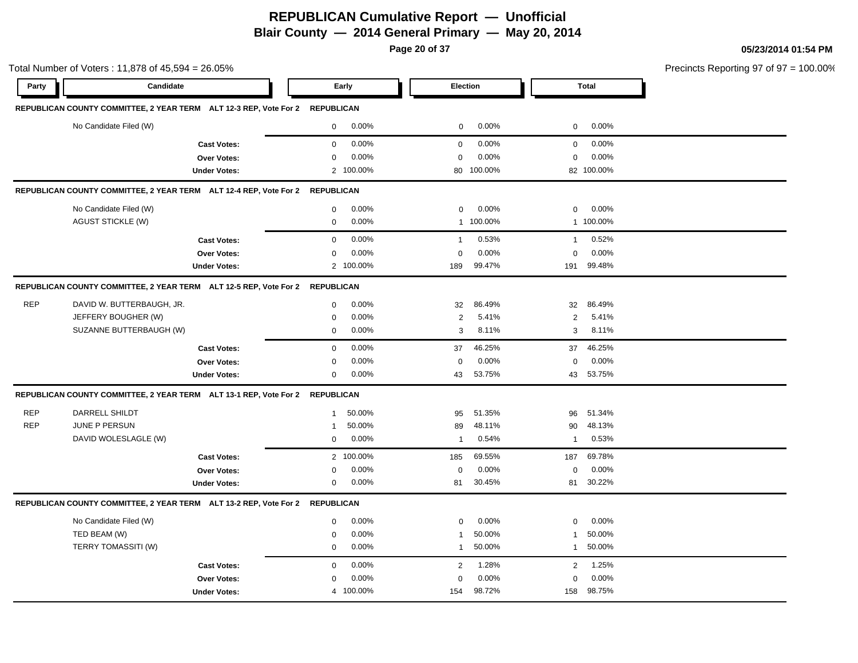**Page 20 of 37**

| 05/23/2014 01:54 PM |  |
|---------------------|--|
|---------------------|--|

|            | Total Number of Voters: 11,878 of 45,594 = 26.05%                            |                     |              |           |                |            |                |              | Precincts Reporting 97 of 97 = 100.00% |
|------------|------------------------------------------------------------------------------|---------------------|--------------|-----------|----------------|------------|----------------|--------------|----------------------------------------|
| Party      | Candidate                                                                    |                     |              | Early     | Election       |            |                | <b>Total</b> |                                        |
|            | REPUBLICAN COUNTY COMMITTEE, 2 YEAR TERM ALT 12-3 REP, Vote For 2 REPUBLICAN |                     |              |           |                |            |                |              |                                        |
|            | No Candidate Filed (W)                                                       |                     | $\mathbf 0$  | $0.00\%$  | $\mathbf 0$    | 0.00%      | $\mathbf 0$    | 0.00%        |                                        |
|            |                                                                              | <b>Cast Votes:</b>  | 0            | 0.00%     | $\mathbf 0$    | 0.00%      | $\mathbf 0$    | 0.00%        |                                        |
|            |                                                                              | Over Votes:         | 0            | 0.00%     | $\mathbf 0$    | 0.00%      | $\mathbf 0$    | 0.00%        |                                        |
|            |                                                                              | <b>Under Votes:</b> |              | 2 100.00% |                | 80 100.00% |                | 82 100.00%   |                                        |
|            | REPUBLICAN COUNTY COMMITTEE, 2 YEAR TERM ALT 12-4 REP, Vote For 2 REPUBLICAN |                     |              |           |                |            |                |              |                                        |
|            | No Candidate Filed (W)                                                       |                     | $\mathbf{0}$ | 0.00%     | $\mathbf 0$    | 0.00%      | $\mathbf 0$    | 0.00%        |                                        |
|            | <b>AGUST STICKLE (W)</b>                                                     |                     | $\mathbf 0$  | 0.00%     |                | 1 100.00%  |                | 1 100.00%    |                                        |
|            |                                                                              | <b>Cast Votes:</b>  | 0            | 0.00%     | $\mathbf{1}$   | 0.53%      | $\mathbf{1}$   | 0.52%        |                                        |
|            |                                                                              | Over Votes:         | $\mathbf{0}$ | 0.00%     | $\mathbf 0$    | 0.00%      | $\mathbf 0$    | 0.00%        |                                        |
|            |                                                                              | <b>Under Votes:</b> |              | 2 100.00% | 189            | 99.47%     | 191            | 99.48%       |                                        |
|            | REPUBLICAN COUNTY COMMITTEE, 2 YEAR TERM ALT 12-5 REP, Vote For 2 REPUBLICAN |                     |              |           |                |            |                |              |                                        |
| <b>REP</b> | DAVID W. BUTTERBAUGH, JR.                                                    |                     | 0            | 0.00%     | 32             | 86.49%     | 32             | 86.49%       |                                        |
|            | JEFFERY BOUGHER (W)                                                          |                     | $\mathbf 0$  | 0.00%     | 2              | 5.41%      | $\overline{2}$ | 5.41%        |                                        |
|            | SUZANNE BUTTERBAUGH (W)                                                      |                     | $\mathbf 0$  | 0.00%     | 3              | 8.11%      | 3              | 8.11%        |                                        |
|            |                                                                              | <b>Cast Votes:</b>  | 0            | 0.00%     | 37             | 46.25%     | 37             | 46.25%       |                                        |
|            |                                                                              | Over Votes:         | $\Omega$     | 0.00%     | $\mathbf 0$    | 0.00%      | $\mathbf 0$    | 0.00%        |                                        |
|            |                                                                              | <b>Under Votes:</b> | 0            | 0.00%     | 43             | 53.75%     |                | 43 53.75%    |                                        |
|            | REPUBLICAN COUNTY COMMITTEE, 2 YEAR TERM ALT 13-1 REP, Vote For 2 REPUBLICAN |                     |              |           |                |            |                |              |                                        |
| <b>REP</b> | DARRELL SHILDT                                                               |                     | $\mathbf{1}$ | 50.00%    | 95             | 51.35%     | 96             | 51.34%       |                                        |
| <b>REP</b> | JUNE P PERSUN                                                                |                     | 1            | 50.00%    | 89             | 48.11%     | 90             | 48.13%       |                                        |
|            | DAVID WOLESLAGLE (W)                                                         |                     | $\mathbf 0$  | 0.00%     | $\mathbf{1}$   | 0.54%      | $\mathbf{1}$   | 0.53%        |                                        |
|            |                                                                              | <b>Cast Votes:</b>  |              | 2 100.00% | 185            | 69.55%     | 187            | 69.78%       |                                        |
|            |                                                                              | Over Votes:         | 0            | 0.00%     | $\mathbf 0$    | 0.00%      | $\mathbf 0$    | 0.00%        |                                        |
|            |                                                                              | <b>Under Votes:</b> | 0            | 0.00%     | 81             | 30.45%     | 81             | 30.22%       |                                        |
|            | REPUBLICAN COUNTY COMMITTEE, 2 YEAR TERM ALT 13-2 REP, Vote For 2 REPUBLICAN |                     |              |           |                |            |                |              |                                        |
|            | No Candidate Filed (W)                                                       |                     | 0            | 0.00%     | 0              | 0.00%      | $\mathbf 0$    | 0.00%        |                                        |
|            | TED BEAM (W)                                                                 |                     | 0            | 0.00%     | $\mathbf{1}$   | 50.00%     | $\mathbf{1}$   | 50.00%       |                                        |
|            | TERRY TOMASSITI (W)                                                          |                     | 0            | 0.00%     | $\mathbf{1}$   | 50.00%     | $\mathbf{1}$   | 50.00%       |                                        |
|            |                                                                              | <b>Cast Votes:</b>  | $\mathbf 0$  | 0.00%     | $\overline{2}$ | 1.28%      | $\overline{2}$ | 1.25%        |                                        |
|            |                                                                              | <b>Over Votes:</b>  | 0            | 0.00%     | $\mathbf 0$    | 0.00%      | $\mathbf 0$    | 0.00%        |                                        |
|            |                                                                              | <b>Under Votes:</b> |              | 4 100.00% | 154            | 98.72%     | 158            | 98.75%       |                                        |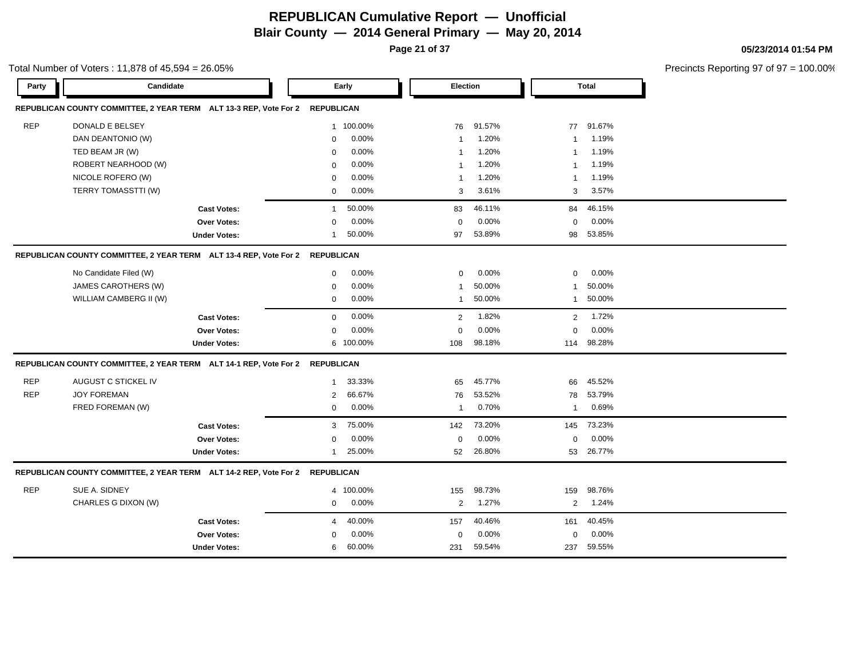**Page 21 of 37**

| Party      | Total Number of Voters: 11,878 of 45,594 = 26.05%<br>Candidate               |                     |                   | Early     | <b>Election</b> |        |                | <b>Total</b> | Precincts Reporting 97 of 97 = 100.00% |
|------------|------------------------------------------------------------------------------|---------------------|-------------------|-----------|-----------------|--------|----------------|--------------|----------------------------------------|
|            |                                                                              |                     |                   |           |                 |        |                |              |                                        |
|            | REPUBLICAN COUNTY COMMITTEE, 2 YEAR TERM ALT 13-3 REP, Vote For 2 REPUBLICAN |                     |                   |           |                 |        |                |              |                                        |
| <b>REP</b> | DONALD E BELSEY                                                              |                     | $\mathbf{1}$      | 100.00%   | 76              | 91.57% | 77             | 91.67%       |                                        |
|            | DAN DEANTONIO (W)                                                            |                     | $\mathbf 0$       | 0.00%     | 1               | 1.20%  | $\mathbf{1}$   | 1.19%        |                                        |
|            | TED BEAM JR (W)                                                              |                     | $\mathbf 0$       | 0.00%     | -1              | 1.20%  | $\mathbf{1}$   | 1.19%        |                                        |
|            | ROBERT NEARHOOD (W)                                                          |                     | $\mathbf 0$       | 0.00%     | 1               | 1.20%  | $\mathbf{1}$   | 1.19%        |                                        |
|            | NICOLE ROFERO (W)                                                            |                     | $\mathbf 0$       | 0.00%     | $\mathbf{1}$    | 1.20%  | $\mathbf{1}$   | 1.19%        |                                        |
|            | TERRY TOMASSTTI (W)                                                          |                     | $\mathbf 0$       | 0.00%     | 3               | 3.61%  | 3              | 3.57%        |                                        |
|            |                                                                              | <b>Cast Votes:</b>  | $\mathbf 1$       | 50.00%    | 83              | 46.11% | 84             | 46.15%       |                                        |
|            |                                                                              | Over Votes:         | $\Omega$          | 0.00%     | $\mathbf 0$     | 0.00%  | $\mathbf 0$    | 0.00%        |                                        |
|            |                                                                              | <b>Under Votes:</b> | $\mathbf 1$       | 50.00%    | 97              | 53.89% | 98             | 53.85%       |                                        |
|            | REPUBLICAN COUNTY COMMITTEE, 2 YEAR TERM ALT 13-4 REP, Vote For 2 REPUBLICAN |                     |                   |           |                 |        |                |              |                                        |
|            | No Candidate Filed (W)                                                       |                     | $\mathbf 0$       | 0.00%     | 0               | 0.00%  | $\mathbf 0$    | 0.00%        |                                        |
|            | JAMES CAROTHERS (W)                                                          |                     | $\mathbf 0$       | 0.00%     | 1               | 50.00% | $\mathbf{1}$   | 50.00%       |                                        |
|            | WILLIAM CAMBERG II (W)                                                       |                     | $\mathbf 0$       | 0.00%     | $\mathbf{1}$    | 50.00% | $\mathbf{1}$   | 50.00%       |                                        |
|            |                                                                              | <b>Cast Votes:</b>  | $\mathbf 0$       | 0.00%     | $\overline{2}$  | 1.82%  | $\overline{2}$ | 1.72%        |                                        |
|            |                                                                              | Over Votes:         | $\mathbf 0$       | 0.00%     | 0               | 0.00%  | 0              | 0.00%        |                                        |
|            |                                                                              | <b>Under Votes:</b> |                   | 6 100.00% | 108             | 98.18% | 114            | 98.28%       |                                        |
|            | REPUBLICAN COUNTY COMMITTEE, 2 YEAR TERM ALT 14-1 REP, Vote For 2 REPUBLICAN |                     |                   |           |                 |        |                |              |                                        |
| <b>REP</b> | AUGUST C STICKEL IV                                                          |                     | $\mathbf 1$       | 33.33%    | 65              | 45.77% | 66             | 45.52%       |                                        |
| <b>REP</b> | <b>JOY FOREMAN</b>                                                           |                     | $\overline{2}$    | 66.67%    | 76              | 53.52% | 78             | 53.79%       |                                        |
|            | FRED FOREMAN (W)                                                             |                     | $\Omega$          | 0.00%     | 1               | 0.70%  | $\mathbf{1}$   | 0.69%        |                                        |
|            |                                                                              | <b>Cast Votes:</b>  | 3                 | 75.00%    | 142             | 73.20% | 145            | 73.23%       |                                        |
|            |                                                                              | Over Votes:         | $\Omega$          | 0.00%     | $\mathbf 0$     | 0.00%  | $\mathbf 0$    | $0.00\%$     |                                        |
|            |                                                                              | <b>Under Votes:</b> | 1                 | 25.00%    | 52              | 26.80% | 53             | 26.77%       |                                        |
|            | REPUBLICAN COUNTY COMMITTEE, 2 YEAR TERM ALT 14-2 REP, Vote For 2            |                     | <b>REPUBLICAN</b> |           |                 |        |                |              |                                        |
| <b>REP</b> | SUE A. SIDNEY                                                                |                     | 4                 | 100.00%   | 155             | 98.73% | 159            | 98.76%       |                                        |
|            | CHARLES G DIXON (W)                                                          |                     | 0                 | 0.00%     | $\overline{2}$  | 1.27%  | $\overline{2}$ | 1.24%        |                                        |
|            |                                                                              | <b>Cast Votes:</b>  | 4                 | 40.00%    | 157             | 40.46% | 161            | 40.45%       |                                        |
|            |                                                                              | <b>Over Votes:</b>  | $\Omega$          | 0.00%     | 0               | 0.00%  | 0              | 0.00%        |                                        |
|            |                                                                              | <b>Under Votes:</b> | 6                 | 60.00%    | 231             | 59.54% | 237            | 59.55%       |                                        |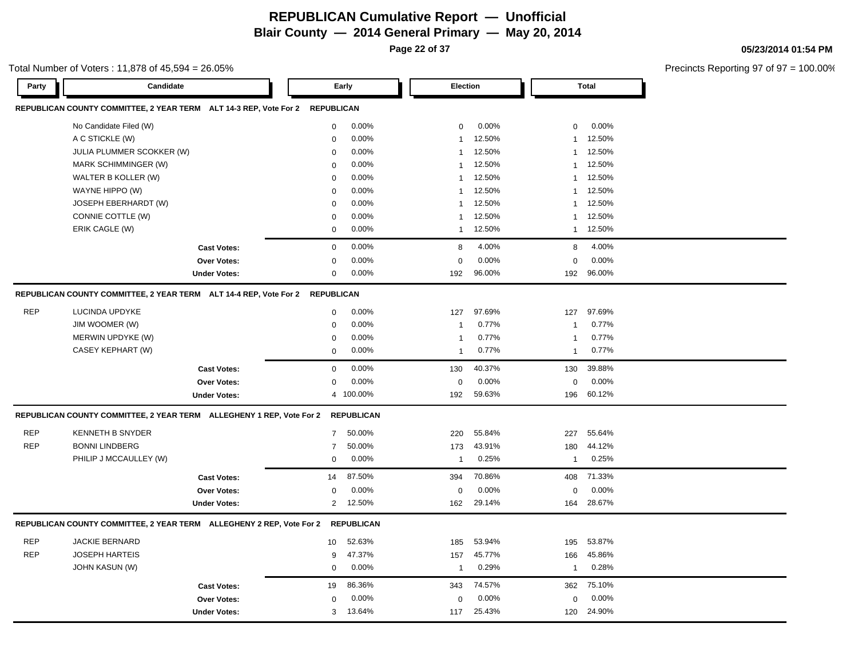**Page 22 of 37**

#### Total Number of Voters : 11,878 of 45,594 = 26.05%

**05/23/2014 01:54 PM**

| Party      | Candidate                                                                    |                     |                | Early             | Election                |        |              | <b>Total</b> |
|------------|------------------------------------------------------------------------------|---------------------|----------------|-------------------|-------------------------|--------|--------------|--------------|
|            | REPUBLICAN COUNTY COMMITTEE, 2 YEAR TERM ALT 14-3 REP, Vote For 2 REPUBLICAN |                     |                |                   |                         |        |              |              |
|            | No Candidate Filed (W)                                                       |                     | $\mathbf 0$    | 0.00%             | $\mathbf 0$             | 0.00%  | $\mathbf 0$  | 0.00%        |
|            | A C STICKLE (W)                                                              |                     | $\mathbf 0$    | 0.00%             | $\overline{1}$          | 12.50% | $\mathbf{1}$ | 12.50%       |
|            | JULIA PLUMMER SCOKKER (W)                                                    |                     | $\mathbf 0$    | 0.00%             | $\overline{1}$          | 12.50% | $\mathbf{1}$ | 12.50%       |
|            | MARK SCHIMMINGER (W)                                                         |                     | $\mathbf 0$    | 0.00%             | $\mathbf{1}$            | 12.50% | $\mathbf{1}$ | 12.50%       |
|            | WALTER B KOLLER (W)                                                          |                     | 0              | 0.00%             | $\overline{\mathbf{1}}$ | 12.50% | $\mathbf{1}$ | 12.50%       |
|            | WAYNE HIPPO (W)                                                              |                     | $\mathbf 0$    | 0.00%             | $\overline{1}$          | 12.50% | $\mathbf{1}$ | 12.50%       |
|            | JOSEPH EBERHARDT (W)                                                         |                     | 0              | 0.00%             | $\overline{1}$          | 12.50% | $\mathbf{1}$ | 12.50%       |
|            | CONNIE COTTLE (W)                                                            |                     | $\mathbf 0$    | 0.00%             | $\overline{1}$          | 12.50% | $\mathbf{1}$ | 12.50%       |
|            | ERIK CAGLE (W)                                                               |                     | $\mathbf 0$    | 0.00%             | $\overline{1}$          | 12.50% | $\mathbf{1}$ | 12.50%       |
|            |                                                                              | <b>Cast Votes:</b>  | $\mathsf 0$    | 0.00%             | 8                       | 4.00%  | 8            | 4.00%        |
|            |                                                                              | Over Votes:         | $\mathbf 0$    | 0.00%             | $\Omega$                | 0.00%  | $\mathbf 0$  | 0.00%        |
|            |                                                                              | <b>Under Votes:</b> | 0              | 0.00%             | 192                     | 96.00% | 192          | 96.00%       |
|            | REPUBLICAN COUNTY COMMITTEE, 2 YEAR TERM ALT 14-4 REP, Vote For 2 REPUBLICAN |                     |                |                   |                         |        |              |              |
| <b>REP</b> | LUCINDA UPDYKE                                                               |                     | $\mathbf 0$    | 0.00%             | 127                     | 97.69% | 127          | 97.69%       |
|            | JIM WOOMER (W)                                                               |                     | 0              | 0.00%             | $\overline{1}$          | 0.77%  | $\mathbf{1}$ | 0.77%        |
|            | MERWIN UPDYKE (W)                                                            |                     | $\mathbf 0$    | 0.00%             | $\overline{1}$          | 0.77%  | $\mathbf{1}$ | 0.77%        |
|            | CASEY KEPHART (W)                                                            |                     | $\mathbf 0$    | 0.00%             | $\overline{1}$          | 0.77%  | $\mathbf{1}$ | 0.77%        |
|            |                                                                              | <b>Cast Votes:</b>  | $\mathbf 0$    | 0.00%             | 130                     | 40.37% | 130          | 39.88%       |
|            |                                                                              | Over Votes:         | $\mathbf 0$    | 0.00%             | $\Omega$                | 0.00%  | $\mathbf 0$  | 0.00%        |
|            |                                                                              | <b>Under Votes:</b> |                | 4 100.00%         | 192                     | 59.63% | 196          | 60.12%       |
|            | REPUBLICAN COUNTY COMMITTEE, 2 YEAR TERM ALLEGHENY 1 REP, Vote For 2         |                     |                | <b>REPUBLICAN</b> |                         |        |              |              |
| <b>REP</b> | <b>KENNETH B SNYDER</b>                                                      |                     | $\overline{7}$ | 50.00%            | 220                     | 55.84% | 227          | 55.64%       |
| <b>REP</b> | <b>BONNI LINDBERG</b>                                                        |                     | $\overline{7}$ | 50.00%            | 173                     | 43.91% | 180          | 44.12%       |
|            | PHILIP J MCCAULLEY (W)                                                       |                     | $\mathbf 0$    | 0.00%             | $\overline{1}$          | 0.25%  | $\mathbf{1}$ | 0.25%        |
|            |                                                                              | <b>Cast Votes:</b>  | 14             | 87.50%            | 394                     | 70.86% | 408          | 71.33%       |
|            |                                                                              | Over Votes:         | 0              | 0.00%             | $\mathbf 0$             | 0.00%  | $\mathbf 0$  | 0.00%        |
|            |                                                                              | <b>Under Votes:</b> | $\overline{2}$ | 12.50%            | 162                     | 29.14% | 164          | 28.67%       |
|            | REPUBLICAN COUNTY COMMITTEE, 2 YEAR TERM ALLEGHENY 2 REP, Vote For 2         |                     |                | <b>REPUBLICAN</b> |                         |        |              |              |
| <b>REP</b> | <b>JACKIE BERNARD</b>                                                        |                     | 10             | 52.63%            | 185                     | 53.94% | 195          | 53.87%       |
| <b>REP</b> | <b>JOSEPH HARTEIS</b>                                                        |                     | 9              | 47.37%            | 157                     | 45.77% | 166          | 45.86%       |
|            | <b>JOHN KASUN (W)</b>                                                        |                     | $\mathbf 0$    | 0.00%             | $\overline{1}$          | 0.29%  | $\mathbf{1}$ | 0.28%        |
|            |                                                                              | <b>Cast Votes:</b>  | 19             | 86.36%            | 343                     | 74.57% | 362          | 75.10%       |
|            |                                                                              | <b>Over Votes:</b>  | $\mathbf 0$    | 0.00%             | $\Omega$                | 0.00%  | $\Omega$     | 0.00%        |
|            |                                                                              | <b>Under Votes:</b> | 3              | 13.64%            | 117                     | 25.43% | 120          | 24.90%       |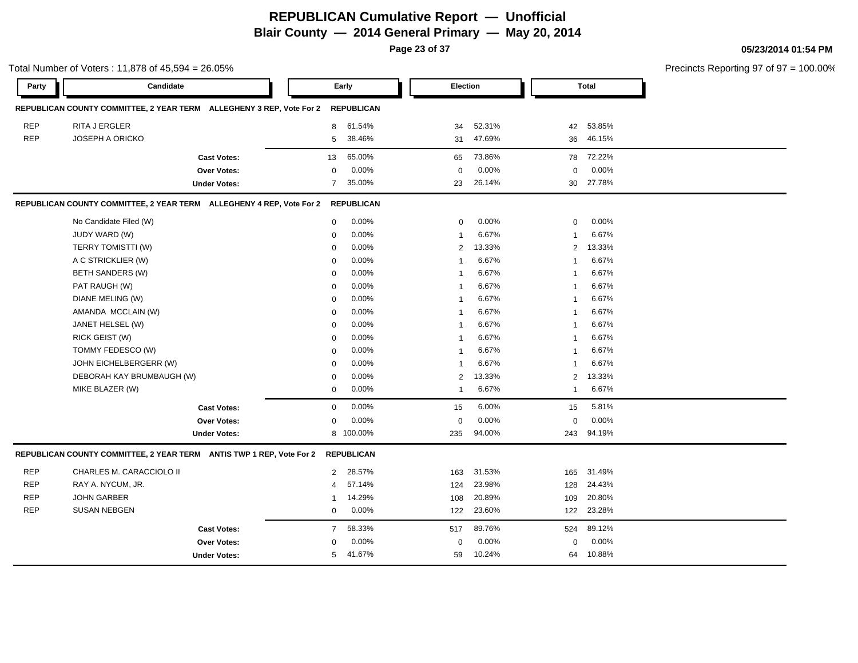**Page 23 of 37**

#### **05/23/2014 01:54 PM**

Total Number of Voters : 11,878 of 45,594 = 26.05% Precincts Reporting 97 of 97 = 100.00% **Party Candidate Early Election Total REPUBLICAN COUNTY COMMITTEE, 2 YEAR TERM ALLEGHENY 3 REP, Vote For 2 REPUBLICAN** REP RITA J ERGLER 8 61.54% 34 52.31% 42 53.85% REP JOSEPH A ORICKO 5 38.46% 31 47.69% 36 46.15% **Cast Votes:** 13 65.00% 65 73.86% 78 72.22% **Over Votes:** 0 0.00% Under Votes: 7 35.00% 0.00% 0 23 26.14% 23 30 26.14% 27.78% 0.00% 0 0.00% **REPUBLICAN COUNTY COMMITTEE, 2 YEAR TERM ALLEGHENY 4 REP, Vote For 2 REPUBLICAN** No Candidate Filed (W) 0 0.00% 0 0.00% 0 0.00% JUDY WARD (W) 0 0.00% 1 6.67% 1 6.67% TERRY TOMISTTI (W) 0 0.00% 2 13.33% 2 13.33% A C STRICKLIER (W) 0 0.00% 1 6.67% 1 6.67% BETH SANDERS (W) 0 0.00% 1 6.67% 1 6.67% PAT RAUGH (W) 0 0.00% 1 6.67% 1 6.67% DIANE MELING (W) 0 0.00% 1 6.67% 1 6.67% AMANDA MCCLAIN (W) 0 0.00% 1 6.67% 1 6.67% JANET HELSEL (W) 0 0.00% 1 6.67% 1 6.67% RICK GEIST (W) 0 0.00% 1 6.67% 1 6.67% TOMMY FEDESCO (W) 0 0.00% 1 6.67% 1 6.67% JOHN EICHELBERGERR (W) 0 0.00% 1 6.67% 1 6.67% DEBORAH KAY BRUMBAUGH (W) 0 0.00% 2 13.33% 2 13.33% MIKE BLAZER (W) 0 0.00% 1 6.67% 1 6.67% **Cast Votes:** 0 0.00% 15 6.00% 15 5.81% **Over Votes:** 0 0.00% **Under Votes:** 0.00% 0 8 100.00% 235 94.00% 243 0.00% 0 0.00% 94.00% 94.19% **REPUBLICAN COUNTY COMMITTEE, 2 YEAR TERM ANTIS TWP 1 REP, Vote For 2 REPUBLICAN** REP CHARLES M. CARACCIOLO II 2 28.57% 163 31.53% 165 31.49% REP RAY A. NYCUM, JR. 4 57.14% 124 23.98% 128 24.43% REP JOHN GARBER 1 14.29% 108 20.89% 109 20.80% REP SUSAN NEBGEN 0 0.00% 122 23.60% 122 23.28% **Cast Votes:** 7 58.33% 517 89.76% 524 89.12% **Over Votes:** 0 Under Votes: 5 41.67% 0.00% 0 59 10.24% 59 64 10.24% 10.88%0.00% 0 0.00%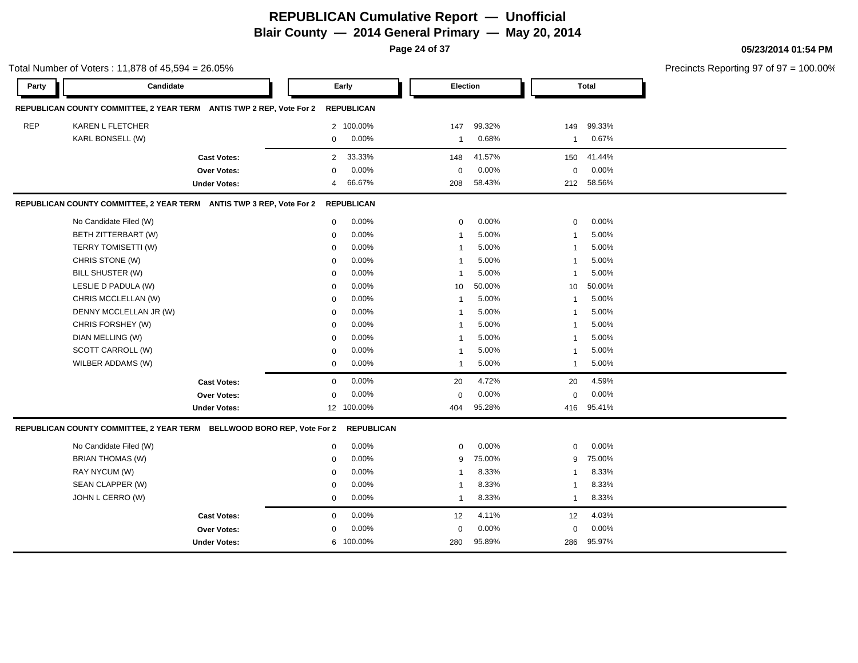**Page 24 of 37**

|            | Total Number of Voters: 11,878 of 45,594 = 26.05%                      |                     |                |                   |                 |        |                 |        | Precincts Reporting 97 of 97 = 100.00% |
|------------|------------------------------------------------------------------------|---------------------|----------------|-------------------|-----------------|--------|-----------------|--------|----------------------------------------|
| Party      | Candidate                                                              |                     |                | Early             | <b>Election</b> |        |                 | Total  |                                        |
|            | REPUBLICAN COUNTY COMMITTEE, 2 YEAR TERM ANTIS TWP 2 REP, Vote For 2   |                     |                | <b>REPUBLICAN</b> |                 |        |                 |        |                                        |
| <b>REP</b> | KAREN L FLETCHER                                                       |                     |                | 2 100.00%         | 147             | 99.32% | 149             | 99.33% |                                        |
|            | KARL BONSELL (W)                                                       |                     | $\mathbf 0$    | 0.00%             | $\mathbf{1}$    | 0.68%  | $\mathbf{1}$    | 0.67%  |                                        |
|            |                                                                        | <b>Cast Votes:</b>  | $\overline{2}$ | 33.33%            | 148             | 41.57% | 150             | 41.44% |                                        |
|            |                                                                        | Over Votes:         | $\Omega$       | 0.00%             | $\mathbf 0$     | 0.00%  | 0               | 0.00%  |                                        |
|            |                                                                        | <b>Under Votes:</b> | $\overline{4}$ | 66.67%            | 208             | 58.43% | 212             | 58.56% |                                        |
|            | REPUBLICAN COUNTY COMMITTEE, 2 YEAR TERM ANTIS TWP 3 REP, Vote For 2   |                     |                | <b>REPUBLICAN</b> |                 |        |                 |        |                                        |
|            | No Candidate Filed (W)                                                 |                     | $\mathbf 0$    | 0.00%             | 0               | 0.00%  | $\mathbf 0$     | 0.00%  |                                        |
|            | BETH ZITTERBART (W)                                                    |                     | $\mathbf 0$    | 0.00%             | -1              | 5.00%  | $\mathbf{1}$    | 5.00%  |                                        |
|            | TERRY TOMISETTI (W)                                                    |                     | $\Omega$       | 0.00%             | $\overline{1}$  | 5.00%  | $\overline{1}$  | 5.00%  |                                        |
|            | CHRIS STONE (W)                                                        |                     | $\mathbf 0$    | 0.00%             | 1               | 5.00%  | $\mathbf{1}$    | 5.00%  |                                        |
|            | BILL SHUSTER (W)                                                       |                     | $\mathbf 0$    | 0.00%             | $\overline{1}$  | 5.00%  | $\mathbf{1}$    | 5.00%  |                                        |
|            | LESLIE D PADULA (W)                                                    |                     | $\mathbf 0$    | 0.00%             | 10              | 50.00% | 10 <sup>°</sup> | 50.00% |                                        |
|            | CHRIS MCCLELLAN (W)                                                    |                     | $\mathbf 0$    | 0.00%             | -1              | 5.00%  | $\mathbf{1}$    | 5.00%  |                                        |
|            | DENNY MCCLELLAN JR (W)                                                 |                     | $\mathbf 0$    | 0.00%             | 1               | 5.00%  | $\mathbf{1}$    | 5.00%  |                                        |
|            | CHRIS FORSHEY (W)                                                      |                     | $\mathbf 0$    | 0.00%             | 1               | 5.00%  | $\mathbf{1}$    | 5.00%  |                                        |
|            | DIAN MELLING (W)                                                       |                     | $\mathbf 0$    | 0.00%             | $\mathbf{1}$    | 5.00%  | $\mathbf{1}$    | 5.00%  |                                        |
|            | SCOTT CARROLL (W)                                                      |                     | $\mathbf 0$    | 0.00%             | 1               | 5.00%  | $\mathbf{1}$    | 5.00%  |                                        |
|            | WILBER ADDAMS (W)                                                      |                     | 0              | 0.00%             | $\mathbf{1}$    | 5.00%  | $\mathbf{1}$    | 5.00%  |                                        |
|            |                                                                        | <b>Cast Votes:</b>  | $\mathbf 0$    | 0.00%             | 20              | 4.72%  | 20              | 4.59%  |                                        |
|            |                                                                        | Over Votes:         | $\Omega$       | 0.00%             | $\mathbf 0$     | 0.00%  | $\mathbf 0$     | 0.00%  |                                        |
|            |                                                                        | <b>Under Votes:</b> |                | 12 100.00%        | 404             | 95.28% | 416             | 95.41% |                                        |
|            | REPUBLICAN COUNTY COMMITTEE, 2 YEAR TERM BELLWOOD BORO REP, Vote For 2 |                     |                | <b>REPUBLICAN</b> |                 |        |                 |        |                                        |
|            | No Candidate Filed (W)                                                 |                     | $\mathbf 0$    | 0.00%             | 0               | 0.00%  | $\mathbf 0$     | 0.00%  |                                        |
|            | <b>BRIAN THOMAS (W)</b>                                                |                     | $\mathbf 0$    | 0.00%             | 9               | 75.00% | 9               | 75.00% |                                        |
|            | RAY NYCUM (W)                                                          |                     | $\mathbf 0$    | 0.00%             | -1              | 8.33%  | $\mathbf{1}$    | 8.33%  |                                        |
|            | SEAN CLAPPER (W)                                                       |                     | $\mathbf 0$    | 0.00%             | 1               | 8.33%  | $\mathbf{1}$    | 8.33%  |                                        |
|            | JOHN L CERRO (W)                                                       |                     | $\mathbf 0$    | 0.00%             | $\mathbf{1}$    | 8.33%  | $\mathbf{1}$    | 8.33%  |                                        |
|            |                                                                        | <b>Cast Votes:</b>  | $\mathbf 0$    | 0.00%             | 12              | 4.11%  | 12              | 4.03%  |                                        |
|            |                                                                        | Over Votes:         | $\Omega$       | 0.00%             | $\mathbf 0$     | 0.00%  | $\mathbf 0$     | 0.00%  |                                        |
|            |                                                                        | <b>Under Votes:</b> |                | 6 100.00%         | 280             | 95.89% | 286             | 95.97% |                                        |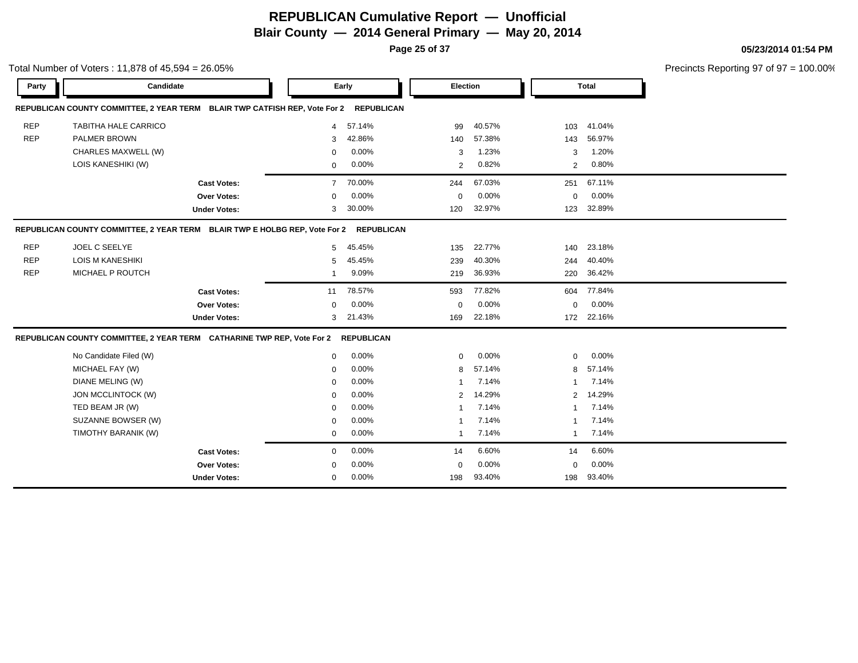**Page 25 of 37**

|            | Total Number of Voters: 11,878 of 45,594 = 26.05%                          |                     |                |                   |             |        |                |              |  |
|------------|----------------------------------------------------------------------------|---------------------|----------------|-------------------|-------------|--------|----------------|--------------|--|
| Party      | Candidate                                                                  |                     |                | Early             | Election    |        |                | <b>Total</b> |  |
|            | REPUBLICAN COUNTY COMMITTEE, 2 YEAR TERM BLAIR TWP CATFISH REP, Vote For 2 |                     |                | <b>REPUBLICAN</b> |             |        |                |              |  |
| <b>REP</b> | TABITHA HALE CARRICO                                                       |                     | $\overline{4}$ | 57.14%            | 99          | 40.57% | 103            | 41.04%       |  |
| <b>REP</b> | <b>PALMER BROWN</b>                                                        |                     | 3              | 42.86%            | 140         | 57.38% | 143            | 56.97%       |  |
|            | CHARLES MAXWELL (W)                                                        |                     | $\mathbf 0$    | 0.00%             | 3           | 1.23%  | 3              | 1.20%        |  |
|            | LOIS KANESHIKI (W)                                                         |                     | $\mathbf 0$    | 0.00%             | 2           | 0.82%  | $\overline{2}$ | 0.80%        |  |
|            |                                                                            | <b>Cast Votes:</b>  | $\overline{7}$ | 70.00%            | 244         | 67.03% | 251            | 67.11%       |  |
|            |                                                                            | <b>Over Votes:</b>  | $\Omega$       | 0.00%             | 0           | 0.00%  | $\mathbf 0$    | 0.00%        |  |
|            |                                                                            | <b>Under Votes:</b> | 3              | 30.00%            | 120         | 32.97% | 123            | 32.89%       |  |
|            | REPUBLICAN COUNTY COMMITTEE, 2 YEAR TERM BLAIR TWP E HOLBG REP, Vote For 2 |                     |                | <b>REPUBLICAN</b> |             |        |                |              |  |
| <b>REP</b> | JOEL C SEELYE                                                              |                     | 5              | 45.45%            | 135         | 22.77% | 140            | 23.18%       |  |
| <b>REP</b> | <b>LOIS M KANESHIKI</b>                                                    |                     | 5              | 45.45%            | 239         | 40.30% | 244            | 40.40%       |  |
| <b>REP</b> | MICHAEL P ROUTCH                                                           |                     | -1             | 9.09%             | 219         | 36.93% | 220            | 36.42%       |  |
|            |                                                                            | <b>Cast Votes:</b>  | 11             | 78.57%            | 593         | 77.82% | 604            | 77.84%       |  |
|            |                                                                            | <b>Over Votes:</b>  | $\Omega$       | 0.00%             | $\mathbf 0$ | 0.00%  | $\mathbf 0$    | $0.00\%$     |  |
|            |                                                                            | <b>Under Votes:</b> | 3              | 21.43%            | 169         | 22.18% |                | 172 22.16%   |  |
|            | REPUBLICAN COUNTY COMMITTEE, 2 YEAR TERM CATHARINE TWP REP, Vote For 2     |                     |                | <b>REPUBLICAN</b> |             |        |                |              |  |
|            | No Candidate Filed (W)                                                     |                     | $\mathbf 0$    | 0.00%             | $\mathbf 0$ | 0.00%  | $\mathbf 0$    | 0.00%        |  |
|            | MICHAEL FAY (W)                                                            |                     | $\mathbf 0$    | 0.00%             | 8           | 57.14% | 8              | 57.14%       |  |
|            | DIANE MELING (W)                                                           |                     | $\mathbf 0$    | 0.00%             | -1          | 7.14%  | $\mathbf{1}$   | 7.14%        |  |
|            | JON MCCLINTOCK (W)                                                         |                     | $\Omega$       | 0.00%             | 2           | 14.29% | $\overline{2}$ | 14.29%       |  |
|            | TED BEAM JR (W)                                                            |                     | $\Omega$       | 0.00%             |             | 7.14%  | 1              | 7.14%        |  |
|            | SUZANNE BOWSER (W)                                                         |                     | $\mathbf 0$    | 0.00%             | -1          | 7.14%  | $\overline{1}$ | 7.14%        |  |
|            | TIMOTHY BARANIK (W)                                                        |                     | $\mathbf 0$    | 0.00%             | $\mathbf 1$ | 7.14%  | $\mathbf{1}$   | 7.14%        |  |
|            |                                                                            | <b>Cast Votes:</b>  | $\mathbf 0$    | 0.00%             | 14          | 6.60%  | 14             | 6.60%        |  |
|            |                                                                            | <b>Over Votes:</b>  | $\mathbf 0$    | 0.00%             | 0           | 0.00%  | 0              | 0.00%        |  |
|            |                                                                            | <b>Under Votes:</b> | $\mathbf 0$    | 0.00%             | 198         | 93.40% | 198            | 93.40%       |  |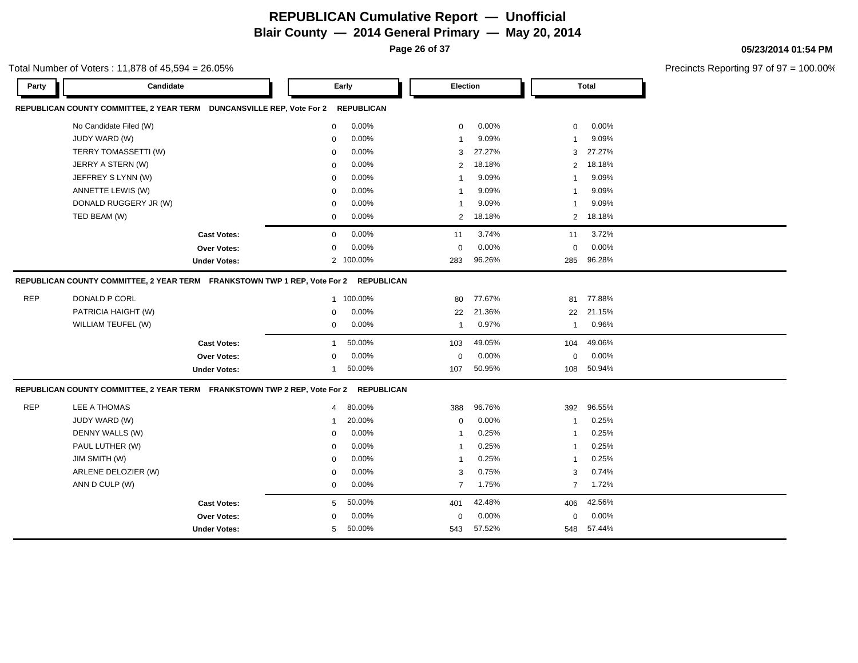**Page 26 of 37**

#### Total Number of Voters : 11,878 of 45,594 = 26.05%

**05/23/2014 01:54 PM**

| Candidate<br>Party                                                        | Early          |                   | Election       |        |                | <b>Total</b> |
|---------------------------------------------------------------------------|----------------|-------------------|----------------|--------|----------------|--------------|
| REPUBLICAN COUNTY COMMITTEE, 2 YEAR TERM DUNCANSVILLE REP, Vote For 2     |                | <b>REPUBLICAN</b> |                |        |                |              |
| No Candidate Filed (W)                                                    | $\mathbf 0$    | 0.00%             | $\mathbf 0$    | 0.00%  | $\mathbf 0$    | 0.00%        |
| JUDY WARD (W)                                                             | $\Omega$       | 0.00%             | $\mathbf 1$    | 9.09%  | -1             | 9.09%        |
| TERRY TOMASSETTI (W)                                                      | $\Omega$       | 0.00%             | 3              | 27.27% | 3              | 27.27%       |
| JERRY A STERN (W)                                                         | $\mathbf 0$    | 0.00%             | $\overline{2}$ | 18.18% | $\overline{2}$ | 18.18%       |
| JEFFREY S LYNN (W)                                                        | $\mathbf 0$    | 0.00%             | $\overline{1}$ | 9.09%  | $\mathbf{1}$   | 9.09%        |
| ANNETTE LEWIS (W)                                                         | $\mathbf 0$    | 0.00%             | $\overline{1}$ | 9.09%  | $\mathbf{1}$   | 9.09%        |
| DONALD RUGGERY JR (W)                                                     | $\mathbf 0$    | 0.00%             | $\overline{1}$ | 9.09%  | $\mathbf{1}$   | 9.09%        |
| TED BEAM (W)                                                              | $\mathbf 0$    | 0.00%             | 2              | 18.18% | 2              | 18.18%       |
| <b>Cast Votes:</b>                                                        | $\mathbf 0$    | 0.00%             | 11             | 3.74%  | 11             | 3.72%        |
| <b>Over Votes:</b>                                                        | $\Omega$       | 0.00%             | $\mathbf 0$    | 0.00%  | $\mathbf 0$    | 0.00%        |
| <b>Under Votes:</b>                                                       |                | 2 100.00%         | 283            | 96.26% | 285            | 96.28%       |
| REPUBLICAN COUNTY COMMITTEE, 2 YEAR TERM FRANKSTOWN TWP 1 REP, Vote For 2 |                | <b>REPUBLICAN</b> |                |        |                |              |
| <b>REP</b><br>DONALD P CORL                                               |                | 1 100.00%         | 80             | 77.67% | 81             | 77.88%       |
| PATRICIA HAIGHT (W)                                                       | $\mathbf 0$    | 0.00%             | 22             | 21.36% | 22             | 21.15%       |
| WILLIAM TEUFEL (W)                                                        | $\mathbf 0$    | 0.00%             | $\overline{1}$ | 0.97%  | $\mathbf{1}$   | 0.96%        |
| <b>Cast Votes:</b>                                                        | $\mathbf{1}$   | 50.00%            | 103            | 49.05% | 104            | 49.06%       |
| Over Votes:                                                               | $\Omega$       | 0.00%             | $\mathbf 0$    | 0.00%  | $\Omega$       | 0.00%        |
| <b>Under Votes:</b>                                                       | $\mathbf{1}$   | 50.00%            | 107            | 50.95% | 108            | 50.94%       |
| REPUBLICAN COUNTY COMMITTEE, 2 YEAR TERM FRANKSTOWN TWP 2 REP, Vote For 2 |                | <b>REPUBLICAN</b> |                |        |                |              |
| <b>REP</b><br>LEE A THOMAS                                                | $\overline{4}$ | 80.00%            | 388            | 96.76% | 392            | 96.55%       |
| JUDY WARD (W)                                                             | 1              | 20.00%            | $\mathbf 0$    | 0.00%  | -1             | 0.25%        |
| DENNY WALLS (W)                                                           | $\mathbf 0$    | 0.00%             | $\mathbf 1$    | 0.25%  | $\mathbf{1}$   | 0.25%        |
| PAUL LUTHER (W)                                                           | $\mathbf 0$    | 0.00%             | $\mathbf{1}$   | 0.25%  | $\mathbf{1}$   | 0.25%        |
| JIM SMITH (W)                                                             | $\mathbf 0$    | 0.00%             | $\overline{1}$ | 0.25%  | $\mathbf{1}$   | 0.25%        |
| ARLENE DELOZIER (W)                                                       | $\mathbf 0$    | 0.00%             | 3              | 0.75%  | 3              | 0.74%        |
| ANN D CULP (W)                                                            | 0              | 0.00%             | $\overline{7}$ | 1.75%  | $\overline{7}$ | 1.72%        |
| <b>Cast Votes:</b>                                                        | 5              | 50.00%            | 401            | 42.48% | 406            | 42.56%       |
| <b>Over Votes:</b>                                                        | $\Omega$       | 0.00%             | $\mathbf 0$    | 0.00%  | $\mathbf 0$    | 0.00%        |
| <b>Under Votes:</b>                                                       | 5              | 50.00%            | 543            | 57.52% | 548            | 57.44%       |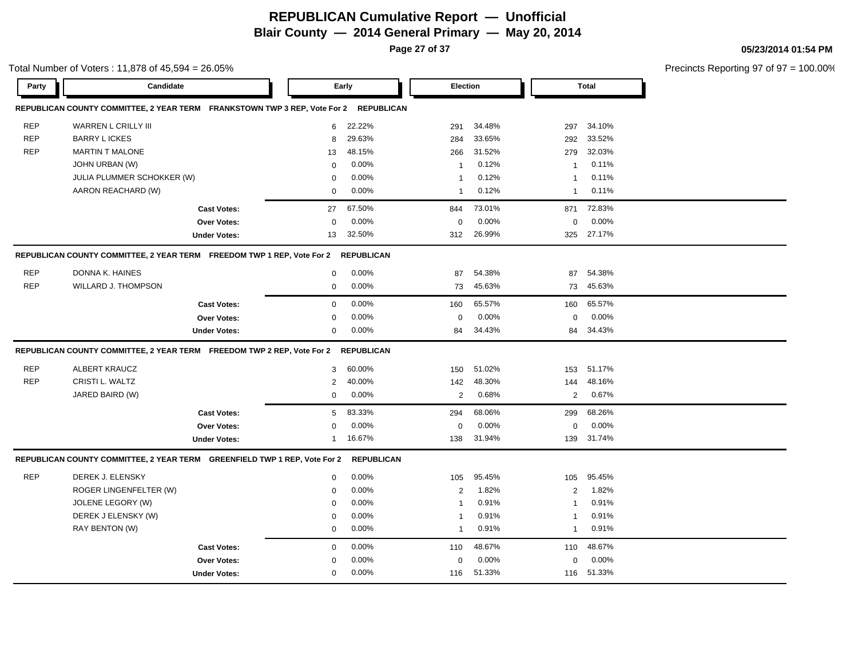**Page 27 of 37**

**05/23/2014 01:54 PM**

Precincts Reporting 97 of 97 = 100.00%

Total Number of Voters : 11,878 of 45,594 = 26.05%

| Party      | Candidate                                                                    |                     |                | Early             | Election       |        |                | <b>Total</b> |
|------------|------------------------------------------------------------------------------|---------------------|----------------|-------------------|----------------|--------|----------------|--------------|
|            | REPUBLICAN COUNTY COMMITTEE, 2 YEAR TERM FRANKSTOWN TWP 3 REP, Vote For 2    |                     |                | <b>REPUBLICAN</b> |                |        |                |              |
| <b>REP</b> | WARREN L CRILLY III                                                          |                     | 6              | 22.22%            | 291            | 34.48% | 297            | 34.10%       |
| <b>REP</b> | <b>BARRY LICKES</b>                                                          |                     | 8              | 29.63%            | 284            | 33.65% | 292            | 33.52%       |
| <b>REP</b> | <b>MARTIN T MALONE</b>                                                       |                     | 13             | 48.15%            | 266            | 31.52% | 279            | 32.03%       |
|            | JOHN URBAN (W)                                                               |                     | 0              | 0.00%             | -1             | 0.12%  | $\mathbf{1}$   | 0.11%        |
|            | JULIA PLUMMER SCHOKKER (W)                                                   |                     | $\Omega$       | 0.00%             | -1             | 0.12%  | -1             | 0.11%        |
|            | AARON REACHARD (W)                                                           |                     | 0              | 0.00%             | $\mathbf 1$    | 0.12%  | $\mathbf{1}$   | 0.11%        |
|            |                                                                              | <b>Cast Votes:</b>  | 27             | 67.50%            | 844            | 73.01% | 871            | 72.83%       |
|            |                                                                              | Over Votes:         | $\mathbf 0$    | 0.00%             | $\mathbf 0$    | 0.00%  | $\mathbf 0$    | 0.00%        |
|            |                                                                              | <b>Under Votes:</b> | 13             | 32.50%            | 312            | 26.99% | 325            | 27.17%       |
|            | REPUBLICAN COUNTY COMMITTEE, 2 YEAR TERM    FREEDOM TWP 1 REP, Vote For 2    |                     |                | <b>REPUBLICAN</b> |                |        |                |              |
| <b>REP</b> | DONNA K. HAINES                                                              |                     | $\mathbf 0$    | 0.00%             | 87             | 54.38% | 87             | 54.38%       |
| <b>REP</b> | WILLARD J. THOMPSON                                                          |                     | $\mathbf 0$    | 0.00%             | 73             | 45.63% | 73             | 45.63%       |
|            |                                                                              | <b>Cast Votes:</b>  | $\mathbf 0$    | 0.00%             | 160            | 65.57% | 160            | 65.57%       |
|            |                                                                              | <b>Over Votes:</b>  | $\Omega$       | 0.00%             | $\mathbf 0$    | 0.00%  | $\mathbf 0$    | 0.00%        |
|            |                                                                              | <b>Under Votes:</b> | $\mathbf 0$    | 0.00%             | 84             | 34.43% | 84             | 34.43%       |
|            | REPUBLICAN COUNTY COMMITTEE, 2 YEAR TERM    FREEDOM TWP 2 REP, Vote For 2    |                     |                | <b>REPUBLICAN</b> |                |        |                |              |
| <b>REP</b> | <b>ALBERT KRAUCZ</b>                                                         |                     | 3              | 60.00%            | 150            | 51.02% | 153            | 51.17%       |
| <b>REP</b> | CRISTI L. WALTZ                                                              |                     | $\overline{2}$ | 40.00%            | 142            | 48.30% | 144            | 48.16%       |
|            | JARED BAIRD (W)                                                              |                     | $\mathbf 0$    | 0.00%             | 2              | 0.68%  | $\overline{2}$ | 0.67%        |
|            |                                                                              | <b>Cast Votes:</b>  | 5              | 83.33%            | 294            | 68.06% | 299            | 68.26%       |
|            |                                                                              | Over Votes:         | $\Omega$       | 0.00%             | $\mathbf 0$    | 0.00%  | $\mathbf 0$    | 0.00%        |
|            |                                                                              | <b>Under Votes:</b> | $\mathbf{1}$   | 16.67%            | 138            | 31.94% | 139            | 31.74%       |
|            | REPUBLICAN COUNTY COMMITTEE, 2 YEAR TERM    GREENFIELD TWP 1 REP, Vote For 2 |                     |                | <b>REPUBLICAN</b> |                |        |                |              |
| <b>REP</b> | DEREK J. ELENSKY                                                             |                     | $\mathbf 0$    | 0.00%             | 105            | 95.45% | 105            | 95.45%       |
|            | ROGER LINGENFELTER (W)                                                       |                     | $\mathbf 0$    | 0.00%             | 2              | 1.82%  | 2              | 1.82%        |
|            | <b>JOLENE LEGORY (W)</b>                                                     |                     | $\Omega$       | 0.00%             |                | 0.91%  |                | 0.91%        |
|            | DEREK J ELENSKY (W)                                                          |                     | 0              | 0.00%             | -1             | 0.91%  | -1             | 0.91%        |
|            | RAY BENTON (W)                                                               |                     | $\mathbf 0$    | 0.00%             | $\overline{1}$ | 0.91%  | $\mathbf{1}$   | 0.91%        |
|            |                                                                              |                     |                |                   |                |        |                |              |
|            |                                                                              | <b>Cast Votes:</b>  | $\mathbf 0$    | 0.00%             | 110            | 48.67% | 110            | 48.67%       |
|            |                                                                              | <b>Over Votes:</b>  | $\Omega$       | 0.00%             | $\mathbf 0$    | 0.00%  | $\mathbf 0$    | 0.00%        |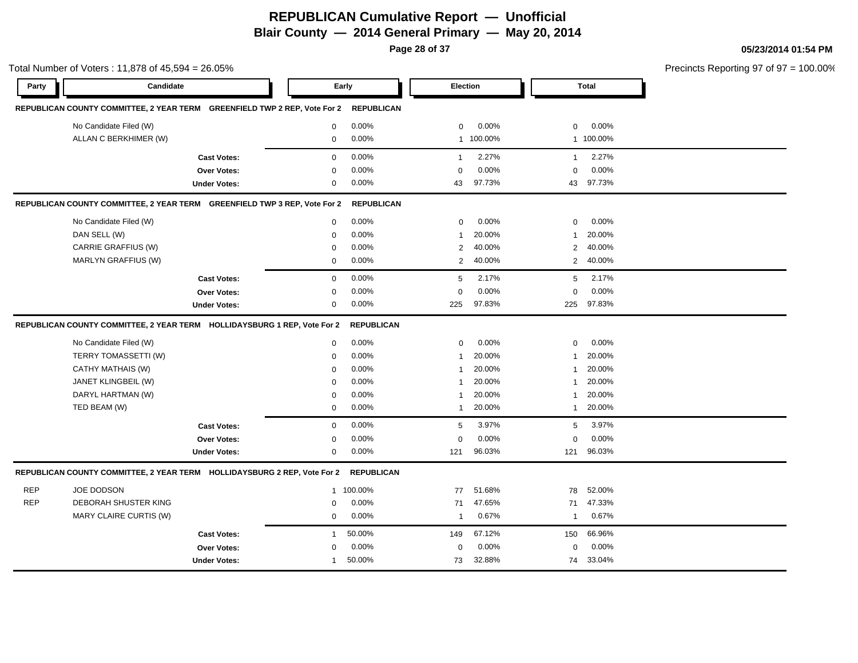**Page 28 of 37**

#### **05/23/2014 01:54 PM**

Precincts Reporting 97 of 97 = 100.00% **Party Candidate Early Election Total REPUBLICAN COUNTY COMMITTEE, 2 YEAR TERM GREENFIELD TWP 2 REP, Vote For 2 REPUBLICAN** No Candidate Filed (W) **0 0.00%** 0 0.00% 0 0.00% 0 0.00% 0 0.00% 0 0.00% 0 0.00% 0 0.00% 0 0.00% 0 0.00% 0 0.00% 0 0.00% 0 0.00% 0 0.00% 0 0.00% 0 0.00% 0 0.00% 0 0.00% 0 0.00% 0 0.00% 0 0.00% 0 0.00% 0 0.00% 0 0.00% 0 0.0 ALLAN C BERKHIMER (W) 0 0.00% 1 100.00% 1 100.00% **Cast Votes:** 0 0.00% 1 2.27% 1 2.27% **Over Votes:** 0 0.00% **Under Votes:** 0 0.00% 0 43 97.73% 43 43 97.73% 97.73% 0.00% 0 0.00% **REPUBLICAN COUNTY COMMITTEE, 2 YEAR TERM GREENFIELD TWP 3 REP, Vote For 2 REPUBLICAN** No Candidate Filed (W) 0 0.00% 0 0.00% 0 0.00% DAN SELL (W) 0 0.00% 1 20.00% 1 20.00% CARRIE GRAFFIUS (W) 0 0.00% 2 40.00% 2 40.00% MARLYN GRAFFIUS (W) 0 0.00% 2 40.00% 2 40.00% **Cast Votes:** 0 0.00% 5 2.17% 5 2.17% **Over Votes:** 0 **Under Votes:** 0 0.00% 0 0.00% 225 225 0.00% 0 0.00% 97.83% 97.83% **REPUBLICAN COUNTY COMMITTEE, 2 YEAR TERM HOLLIDAYSBURG 1 REP, Vote For 2 REPUBLICAN** No Candidate Filed (W)  $0.00\%$  0.00% 0 0.00% 0 0.00% 0 0.00% TERRY TOMASSETTI (W)  $0.00\%$  0.00% 1 20.00% 1 20.00% 1 20.00% CATHY MATHAIS (W) 0 0.00% 1 20.00% 1 20.00% JANET KLINGBEIL (W) 0 0.00% 1 20.00% 1 20.00% DARYL HARTMAN (W) 0 0.00% 1 20.00% 1 20.00% TED BEAM (W) 0 0.00% 1 20.00% 1 20.00% **Cast Votes:** 0 0.00% 5 3.97% 5 3.97% **Over Votes:** 0 0.00% **Under Votes:** 0 0.00% 0 0.00% 121 121 0.00% 0 0.00% 96.03% 96.03% **REPUBLICAN COUNTY COMMITTEE, 2 YEAR TERM HOLLIDAYSBURG 2 REP, Vote For 2 REPUBLICAN** REP JOE DODSON 1 100.00% 77 51.68% 78 52.00% REP DEBORAH SHUSTER KING  $0$  0.00% 71 47.65% 71 47.33% MARY CLAIRE CURTIS (W)  $0.00\%$  1 0.67% 1 0.67% 1 0.67% **Cast Votes:** 1 50.00% 149 67.12% 150 66.96% **Over Votes:** 0 0.00% Under Votes: 1 50.00% 0.00% 0 73 32.88% 73 74 32.88% 33.04% $0.00\%$  0.00% 0.00%

Total Number of Voters : 11,878 of 45,594 = 26.05%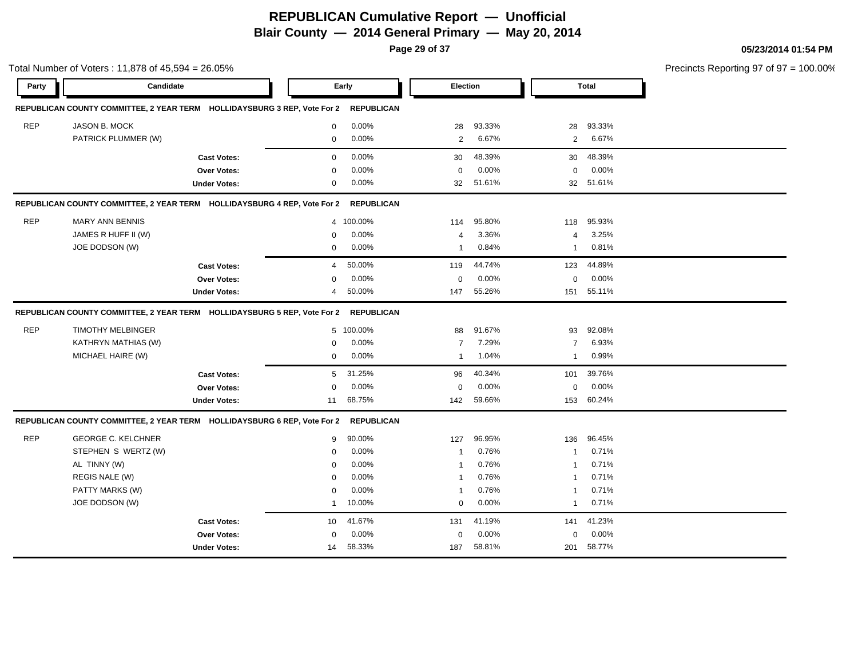**Page 29 of 37**

Total Number of Voters : 11,878 of 45,594 = 26.05%

#### **05/23/2014 01:54 PM**

| Party      | Candidate                                                                |                     |                | Early             | Election       |        |                | <b>Total</b> |  |
|------------|--------------------------------------------------------------------------|---------------------|----------------|-------------------|----------------|--------|----------------|--------------|--|
|            | REPUBLICAN COUNTY COMMITTEE, 2 YEAR TERM HOLLIDAYSBURG 3 REP, Vote For 2 |                     |                | <b>REPUBLICAN</b> |                |        |                |              |  |
| <b>REP</b> | JASON B. MOCK                                                            |                     | $\mathbf{0}$   | 0.00%             | 28             | 93.33% | 28             | 93.33%       |  |
|            | PATRICK PLUMMER (W)                                                      |                     | $\mathbf 0$    | 0.00%             | 2              | 6.67%  | 2              | 6.67%        |  |
|            |                                                                          | <b>Cast Votes:</b>  | $\mathbf 0$    | 0.00%             | 30             | 48.39% | 30             | 48.39%       |  |
|            |                                                                          | <b>Over Votes:</b>  | 0              | 0.00%             | $\mathbf 0$    | 0.00%  | $\mathbf 0$    | 0.00%        |  |
|            |                                                                          | <b>Under Votes:</b> | 0              | 0.00%             | 32             | 51.61% | 32             | 51.61%       |  |
|            |                                                                          |                     |                |                   |                |        |                |              |  |
|            | REPUBLICAN COUNTY COMMITTEE, 2 YEAR TERM HOLLIDAYSBURG 4 REP, Vote For 2 |                     |                | <b>REPUBLICAN</b> |                |        |                |              |  |
| <b>REP</b> | <b>MARY ANN BENNIS</b>                                                   |                     |                | 4 100.00%         | 114            | 95.80% | 118            | 95.93%       |  |
|            | JAMES R HUFF II (W)                                                      |                     | 0              | 0.00%             | 4              | 3.36%  | $\overline{4}$ | 3.25%        |  |
|            | JOE DODSON (W)                                                           |                     | 0              | 0.00%             | $\mathbf{1}$   | 0.84%  | $\mathbf{1}$   | 0.81%        |  |
|            |                                                                          | <b>Cast Votes:</b>  | $\overline{4}$ | 50.00%            | 119            | 44.74% | 123            | 44.89%       |  |
|            |                                                                          | <b>Over Votes:</b>  | $\Omega$       | $0.00\%$          | $\mathbf 0$    | 0.00%  | $\mathbf 0$    | 0.00%        |  |
|            |                                                                          | <b>Under Votes:</b> | 4              | 50.00%            | 147            | 55.26% | 151            | 55.11%       |  |
|            | REPUBLICAN COUNTY COMMITTEE, 2 YEAR TERM HOLLIDAYSBURG 5 REP, Vote For 2 |                     |                | <b>REPUBLICAN</b> |                |        |                |              |  |
| <b>REP</b> | <b>TIMOTHY MELBINGER</b>                                                 |                     |                | 5 100.00%         | 88             | 91.67% | 93             | 92.08%       |  |
|            | KATHRYN MATHIAS (W)                                                      |                     | 0              | 0.00%             | $\overline{7}$ | 7.29%  | $\overline{7}$ | 6.93%        |  |
|            | MICHAEL HAIRE (W)                                                        |                     | $\mathbf{0}$   | $0.00\%$          | $\mathbf{1}$   | 1.04%  | $\mathbf{1}$   | 0.99%        |  |
|            |                                                                          | <b>Cast Votes:</b>  | 5              | 31.25%            | 96             | 40.34% | 101            | 39.76%       |  |
|            |                                                                          | Over Votes:         | 0              | 0.00%             | $\Omega$       | 0.00%  | $\mathbf 0$    | 0.00%        |  |
|            |                                                                          | <b>Under Votes:</b> | 11             | 68.75%            | 142            | 59.66% | 153            | 60.24%       |  |
|            | REPUBLICAN COUNTY COMMITTEE, 2 YEAR TERM HOLLIDAYSBURG 6 REP, Vote For 2 |                     |                | <b>REPUBLICAN</b> |                |        |                |              |  |
| <b>REP</b> | <b>GEORGE C. KELCHNER</b>                                                |                     | 9              | 90.00%            | 127            | 96.95% | 136            | 96.45%       |  |
|            | STEPHEN S WERTZ (W)                                                      |                     | $\Omega$       | 0.00%             | $\mathbf{1}$   | 0.76%  | $\mathbf{1}$   | 0.71%        |  |
|            | AL TINNY (W)                                                             |                     | 0              | 0.00%             | $\mathbf{1}$   | 0.76%  | $\mathbf{1}$   | 0.71%        |  |
|            | REGIS NALE (W)                                                           |                     | $\Omega$       | 0.00%             | $\mathbf{1}$   | 0.76%  | $\mathbf{1}$   | 0.71%        |  |
|            | PATTY MARKS (W)                                                          |                     | $\Omega$       | 0.00%             | $\mathbf{1}$   | 0.76%  | $\mathbf{1}$   | 0.71%        |  |
|            | JOE DODSON (W)                                                           |                     | 1              | 10.00%            | $\mathbf 0$    | 0.00%  | $\mathbf{1}$   | 0.71%        |  |
|            |                                                                          | <b>Cast Votes:</b>  | 10             | 41.67%            | 131            | 41.19% | 141            | 41.23%       |  |
|            |                                                                          | <b>Over Votes:</b>  | $\Omega$       | 0.00%             | $\mathbf 0$    | 0.00%  | $\mathbf 0$    | 0.00%        |  |
|            |                                                                          | <b>Under Votes:</b> | 14             | 58.33%            | 187            | 58.81% | 201            | 58.77%       |  |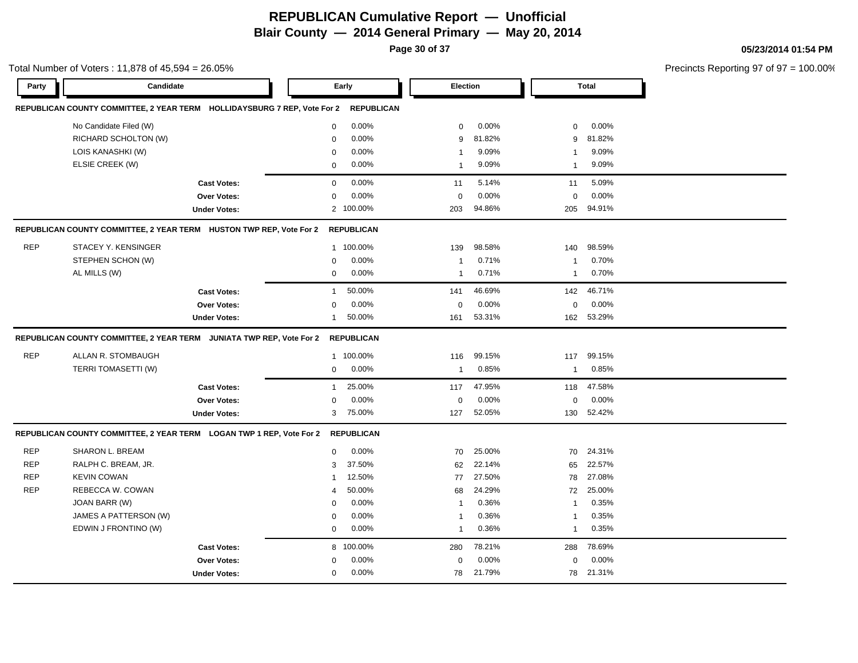**Page 30 of 37**

Total Number of Voters : 11,878 of 45,594 = 26.05%

**05/23/2014 01:54 PM**

| Party      | Candidate                                                                |                     |              | Early             | Election       |        |                | <b>Total</b> |  |
|------------|--------------------------------------------------------------------------|---------------------|--------------|-------------------|----------------|--------|----------------|--------------|--|
|            | REPUBLICAN COUNTY COMMITTEE, 2 YEAR TERM HOLLIDAYSBURG 7 REP, Vote For 2 |                     |              | <b>REPUBLICAN</b> |                |        |                |              |  |
|            | No Candidate Filed (W)                                                   |                     | $\mathbf 0$  | 0.00%             | $\mathbf 0$    | 0.00%  | $\mathbf 0$    | 0.00%        |  |
|            | RICHARD SCHOLTON (W)                                                     |                     | 0            | 0.00%             | 9              | 81.82% | 9              | 81.82%       |  |
|            | LOIS KANASHKI (W)                                                        |                     | $\Omega$     | $0.00\%$          | $\mathbf{1}$   | 9.09%  | $\mathbf 1$    | 9.09%        |  |
|            | ELSIE CREEK (W)                                                          |                     | 0            | 0.00%             | $\mathbf{1}$   | 9.09%  | $\mathbf{1}$   | 9.09%        |  |
|            |                                                                          | <b>Cast Votes:</b>  | $\mathbf 0$  | 0.00%             | 11             | 5.14%  | 11             | 5.09%        |  |
|            |                                                                          | <b>Over Votes:</b>  | $\mathbf 0$  | 0.00%             | $\mathbf 0$    | 0.00%  | $\mathbf 0$    | 0.00%        |  |
|            |                                                                          | <b>Under Votes:</b> |              | 2 100.00%         | 203            | 94.86% | 205            | 94.91%       |  |
|            | REPUBLICAN COUNTY COMMITTEE, 2 YEAR TERM HUSTON TWP REP, Vote For 2      |                     |              | <b>REPUBLICAN</b> |                |        |                |              |  |
| <b>REP</b> | STACEY Y. KENSINGER                                                      |                     |              | 1 100.00%         | 139            | 98.58% | 140            | 98.59%       |  |
|            | STEPHEN SCHON (W)                                                        |                     | 0            | 0.00%             | -1             | 0.71%  | $\mathbf{1}$   | 0.70%        |  |
|            | AL MILLS (W)                                                             |                     | 0            | 0.00%             | $\overline{1}$ | 0.71%  | $\overline{1}$ | 0.70%        |  |
|            |                                                                          | <b>Cast Votes:</b>  | $\mathbf{1}$ | 50.00%            | 141            | 46.69% | 142            | 46.71%       |  |
|            |                                                                          | Over Votes:         | $\mathbf 0$  | 0.00%             | $\mathbf 0$    | 0.00%  | $\mathbf 0$    | 0.00%        |  |
|            |                                                                          | <b>Under Votes:</b> | 1            | 50.00%            | 161            | 53.31% | 162            | 53.29%       |  |
|            | REPUBLICAN COUNTY COMMITTEE, 2 YEAR TERM JUNIATA TWP REP, Vote For 2     |                     |              | <b>REPUBLICAN</b> |                |        |                |              |  |
| <b>REP</b> | ALLAN R. STOMBAUGH                                                       |                     |              | 1 100.00%         | 116            | 99.15% | 117            | 99.15%       |  |
|            | TERRI TOMASETTI (W)                                                      |                     | $\mathbf 0$  | 0.00%             | $\overline{1}$ | 0.85%  | $\overline{1}$ | 0.85%        |  |
|            |                                                                          | <b>Cast Votes:</b>  | $\mathbf 1$  | 25.00%            | 117            | 47.95% | 118            | 47.58%       |  |
|            |                                                                          | <b>Over Votes:</b>  | 0            | 0.00%             | $\mathbf 0$    | 0.00%  | $\mathbf 0$    | 0.00%        |  |
|            |                                                                          | <b>Under Votes:</b> | 3            | 75.00%            | 127            | 52.05% | 130            | 52.42%       |  |
|            | REPUBLICAN COUNTY COMMITTEE, 2 YEAR TERM LOGAN TWP 1 REP, Vote For 2     |                     |              | <b>REPUBLICAN</b> |                |        |                |              |  |
| <b>REP</b> | SHARON L. BREAM                                                          |                     | $\mathbf 0$  | 0.00%             | 70             | 25.00% | 70             | 24.31%       |  |
| <b>REP</b> | RALPH C. BREAM, JR.                                                      |                     | 3            | 37.50%            | 62             | 22.14% | 65             | 22.57%       |  |
| <b>REP</b> | <b>KEVIN COWAN</b>                                                       |                     | -1           | 12.50%            | 77             | 27.50% | 78             | 27.08%       |  |
| <b>REP</b> | REBECCA W. COWAN                                                         |                     | 4            | 50.00%            | 68             | 24.29% | 72             | 25.00%       |  |
|            | JOAN BARR (W)                                                            |                     | 0            | 0.00%             | $\overline{1}$ | 0.36%  | $\overline{1}$ | 0.35%        |  |
|            | JAMES A PATTERSON (W)                                                    |                     | 0            | 0.00%             | -1             | 0.36%  | $\overline{1}$ | 0.35%        |  |
|            | EDWIN J FRONTINO (W)                                                     |                     | $\mathbf 0$  | 0.00%             | $\mathbf{1}$   | 0.36%  | $\overline{1}$ | 0.35%        |  |
|            |                                                                          | <b>Cast Votes:</b>  |              | 8 100.00%         | 280            | 78.21% | 288            | 78.69%       |  |
|            |                                                                          | <b>Over Votes:</b>  | 0            | 0.00%             | $\mathbf 0$    | 0.00%  | $\mathbf 0$    | 0.00%        |  |
|            |                                                                          | <b>Under Votes:</b> | 0            | 0.00%             | 78             | 21.79% | 78             | 21.31%       |  |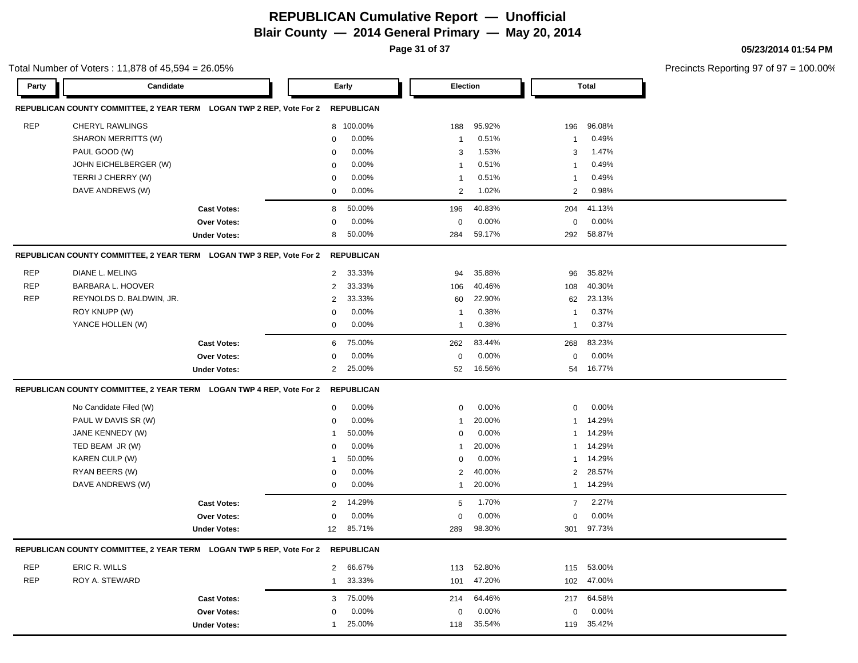**Page 31 of 37**

Total Number of Voters : 11,878 of 45,594 = 26.05%

#### **05/23/2014 01:54 PM**

| Party      | Candidate                |                                                                      |                | Early             |                | Election |                | <b>Total</b> |
|------------|--------------------------|----------------------------------------------------------------------|----------------|-------------------|----------------|----------|----------------|--------------|
|            |                          | REPUBLICAN COUNTY COMMITTEE, 2 YEAR TERM LOGAN TWP 2 REP, Vote For 2 |                | <b>REPUBLICAN</b> |                |          |                |              |
| <b>REP</b> | <b>CHERYL RAWLINGS</b>   |                                                                      |                | 8 100.00%         | 188            | 95.92%   | 196            | 96.08%       |
|            | SHARON MERRITTS (W)      |                                                                      | $\Omega$       | 0.00%             | $\overline{1}$ | 0.51%    | -1             | 0.49%        |
|            | PAUL GOOD (W)            |                                                                      | 0              | 0.00%             | 3              | 1.53%    | 3              | 1.47%        |
|            | JOHN EICHELBERGER (W)    |                                                                      | $\mathbf 0$    | 0.00%             | $\overline{1}$ | 0.51%    | -1             | 0.49%        |
|            | TERRIJ CHERRY (W)        |                                                                      | 0              | $0.00\%$          | $\overline{1}$ | 0.51%    | -1             | 0.49%        |
|            | DAVE ANDREWS (W)         |                                                                      | 0              | $0.00\%$          | 2              | 1.02%    | $\overline{2}$ | 0.98%        |
|            |                          | <b>Cast Votes:</b>                                                   | 8              | 50.00%            | 196            | 40.83%   | 204            | 41.13%       |
|            |                          | <b>Over Votes:</b>                                                   | $\mathbf 0$    | 0.00%             | $\mathbf 0$    | 0.00%    | $\mathbf 0$    | 0.00%        |
|            |                          | <b>Under Votes:</b>                                                  | 8              | 50.00%            | 284            | 59.17%   | 292            | 58.87%       |
|            |                          | REPUBLICAN COUNTY COMMITTEE, 2 YEAR TERM LOGAN TWP 3 REP, Vote For 2 |                | <b>REPUBLICAN</b> |                |          |                |              |
| <b>REP</b> | DIANE L. MELING          |                                                                      | $\overline{2}$ | 33.33%            | 94             | 35.88%   | 96             | 35.82%       |
| <b>REP</b> | BARBARA L. HOOVER        |                                                                      | $\overline{2}$ | 33.33%            | 106            | 40.46%   | 108            | 40.30%       |
| <b>REP</b> | REYNOLDS D. BALDWIN, JR. |                                                                      | $\overline{2}$ | 33.33%            | 60             | 22.90%   | 62             | 23.13%       |
|            | ROY KNUPP (W)            |                                                                      | $\mathbf 0$    | 0.00%             | $\overline{1}$ | 0.38%    | -1             | 0.37%        |
|            | YANCE HOLLEN (W)         |                                                                      | $\mathbf 0$    | 0.00%             | $\overline{1}$ | 0.38%    | $\overline{1}$ | 0.37%        |
|            |                          | <b>Cast Votes:</b>                                                   | 6              | 75.00%            | 262            | 83.44%   | 268            | 83.23%       |
|            |                          | <b>Over Votes:</b>                                                   | 0              | 0.00%             | $\Omega$       | 0.00%    | $\Omega$       | 0.00%        |
|            |                          | <b>Under Votes:</b>                                                  | $\overline{2}$ | 25.00%            | 52             | 16.56%   | 54             | 16.77%       |
|            |                          | REPUBLICAN COUNTY COMMITTEE, 2 YEAR TERM LOGAN TWP 4 REP, Vote For 2 |                | <b>REPUBLICAN</b> |                |          |                |              |
|            | No Candidate Filed (W)   |                                                                      | $\mathbf 0$    | 0.00%             | $\mathbf 0$    | 0.00%    | $\mathbf 0$    | 0.00%        |
|            | PAUL W DAVIS SR (W)      |                                                                      | $\mathbf 0$    | 0.00%             | $\overline{1}$ | 20.00%   | -1             | 14.29%       |
|            | JANE KENNEDY (W)         |                                                                      | $\mathbf 1$    | 50.00%            | 0              | 0.00%    | -1             | 14.29%       |
|            | TED BEAM JR (W)          |                                                                      | $\mathbf 0$    | 0.00%             | $\mathbf{1}$   | 20.00%   | $\mathbf{1}$   | 14.29%       |
|            | KAREN CULP (W)           |                                                                      | $\overline{1}$ | 50.00%            | $\mathbf 0$    | 0.00%    | $\overline{1}$ | 14.29%       |
|            | RYAN BEERS (W)           |                                                                      | $\mathbf 0$    | 0.00%             | $\overline{2}$ | 40.00%   | $\overline{2}$ | 28.57%       |
|            | DAVE ANDREWS (W)         |                                                                      | $\mathbf 0$    | 0.00%             | $\overline{1}$ | 20.00%   | $\mathbf{1}$   | 14.29%       |
|            |                          | <b>Cast Votes:</b>                                                   | $\overline{2}$ | 14.29%            | 5              | 1.70%    | $\overline{7}$ | 2.27%        |
|            |                          | <b>Over Votes:</b>                                                   | $\mathbf 0$    | 0.00%             | $\Omega$       | 0.00%    | $\Omega$       | 0.00%        |
|            |                          | <b>Under Votes:</b>                                                  | 12             | 85.71%            | 289            | 98.30%   | 301            | 97.73%       |
|            |                          | REPUBLICAN COUNTY COMMITTEE, 2 YEAR TERM LOGAN TWP 5 REP, Vote For 2 |                | <b>REPUBLICAN</b> |                |          |                |              |
| <b>REP</b> | ERIC R. WILLS            |                                                                      | $\overline{2}$ | 66.67%            | 113            | 52.80%   | 115            | 53.00%       |
| <b>REP</b> | ROY A. STEWARD           |                                                                      | $\mathbf{1}$   | 33.33%            | 101            | 47.20%   | 102            | 47.00%       |
|            |                          | <b>Cast Votes:</b>                                                   | 3              | 75.00%            | 214            | 64.46%   | 217            | 64.58%       |
|            |                          | <b>Over Votes:</b>                                                   | $\Omega$       | 0.00%             | 0              | 0.00%    | $\Omega$       | 0.00%        |
|            |                          | <b>Under Votes:</b>                                                  | $\mathbf{1}$   | 25.00%            | 118            | 35.54%   | 119            | 35.42%       |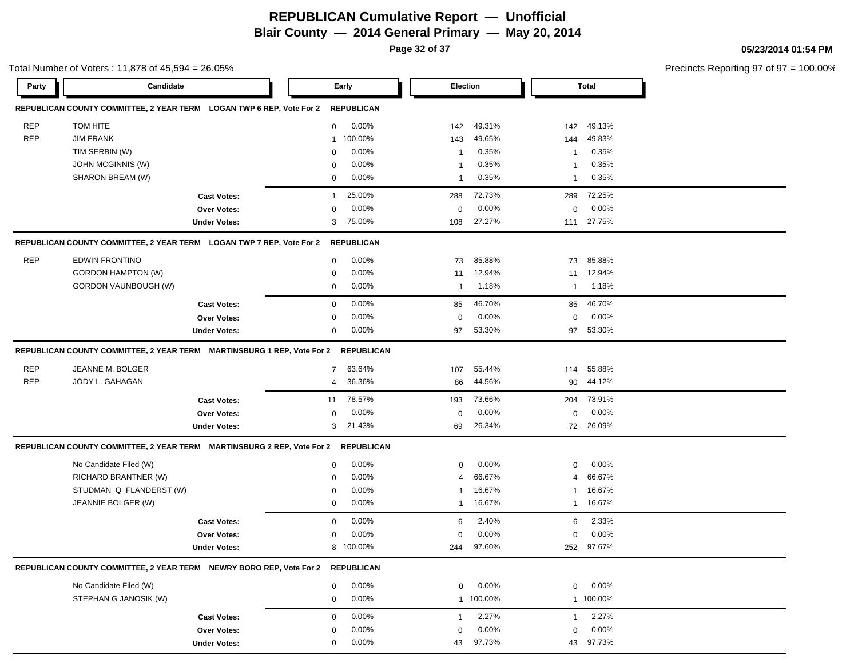**Page 32 of 37**

| Party      | Candidate                                                                         |                     |              | Early             | <b>Election</b> |            |              | <b>Total</b>    |  |
|------------|-----------------------------------------------------------------------------------|---------------------|--------------|-------------------|-----------------|------------|--------------|-----------------|--|
|            | REPUBLICAN COUNTY COMMITTEE, 2 YEAR TERM LOGAN TWP 6 REP, Vote For 2              |                     |              | <b>REPUBLICAN</b> |                 |            |              |                 |  |
| <b>REP</b> | TOM HITE                                                                          |                     | $\mathbf{0}$ | $0.00\%$          | 142             | 49.31%     | 142          | 49.13%          |  |
| <b>REP</b> | <b>JIM FRANK</b>                                                                  |                     | $\mathbf{1}$ | 100.00%           | 143             | 49.65%     | 144          | 49.83%          |  |
|            | TIM SERBIN (W)                                                                    |                     | $\mathbf 0$  | $0.00\%$          | $\overline{1}$  | 0.35%      | -1           | 0.35%           |  |
|            | JOHN MCGINNIS (W)                                                                 |                     | $\mathbf 0$  | $0.00\%$          | $\mathbf 1$     | 0.35%      | -1           | 0.35%           |  |
|            | SHARON BREAM (W)                                                                  |                     | $\mathbf 0$  | $0.00\%$          | $\mathbf 1$     | 0.35%      | 1            | 0.35%           |  |
|            |                                                                                   |                     |              |                   |                 |            |              |                 |  |
|            |                                                                                   | <b>Cast Votes:</b>  | $\mathbf{1}$ | 25.00%            | 288             | 72.73%     | 289          | 72.25%          |  |
|            |                                                                                   | Over Votes:         | $\mathbf 0$  | 0.00%             | $\mathbf 0$     | 0.00%      | $\mathbf 0$  | 0.00%<br>27.75% |  |
|            |                                                                                   | <b>Under Votes:</b> | 3            | 75.00%            | 108             | 27.27%     | 111          |                 |  |
|            |                                                                                   |                     |              | <b>REPUBLICAN</b> |                 |            |              |                 |  |
| <b>REP</b> | <b>EDWIN FRONTINO</b>                                                             |                     | 0            | $0.00\%$          | 73              | 85.88%     | 73           | 85.88%          |  |
|            | <b>GORDON HAMPTON (W)</b>                                                         |                     | 0            | $0.00\%$          | 11              | 12.94%     | 11           | 12.94%          |  |
|            | GORDON VAUNBOUGH (W)                                                              |                     | $\mathbf 0$  | $0.00\%$          | $\overline{1}$  | 1.18%      | $\mathbf{1}$ | 1.18%           |  |
|            |                                                                                   | <b>Cast Votes:</b>  | $\mathbf 0$  | 0.00%             | 85              | 46.70%     | 85           | 46.70%          |  |
|            |                                                                                   | Over Votes:         | $\mathbf 0$  | $0.00\%$          | $\mathbf 0$     | 0.00%      | 0            | 0.00%           |  |
|            |                                                                                   | <b>Under Votes:</b> | $\mathbf 0$  | $0.00\%$          | 97              | 53.30%     | 97           | 53.30%          |  |
|            | REPUBLICAN COUNTY COMMITTEE, 2 YEAR TERM MARTINSBURG 1 REP, Vote For 2 REPUBLICAN |                     |              |                   |                 |            |              |                 |  |
|            |                                                                                   |                     |              |                   |                 |            |              |                 |  |
| <b>REP</b> | JEANNE M. BOLGER                                                                  |                     | 7            | 63.64%            | 107             | 55.44%     | 114          | 55.88%          |  |
| <b>REP</b> | JODY L. GAHAGAN                                                                   |                     | 4            | 36.36%            | 86              | 44.56%     | 90           | 44.12%          |  |
|            |                                                                                   | <b>Cast Votes:</b>  | 11           | 78.57%            | 193             | 73.66%     | 204          | 73.91%          |  |
|            |                                                                                   | Over Votes:         | 0            | $0.00\%$          | 0               | 0.00%      | 0            | 0.00%           |  |
|            |                                                                                   | <b>Under Votes:</b> | 3            | 21.43%            | 69              | 26.34%     |              | 72 26.09%       |  |
|            | REPUBLICAN COUNTY COMMITTEE, 2 YEAR TERM MARTINSBURG 2 REP, Vote For 2 REPUBLICAN |                     |              |                   |                 |            |              |                 |  |
|            | No Candidate Filed (W)                                                            |                     | 0            | 0.00%             | $\mathbf 0$     | 0.00%      | 0            | 0.00%           |  |
|            | RICHARD BRANTNER (W)                                                              |                     | $\mathbf 0$  | $0.00\%$          | $\overline{4}$  | 66.67%     | 4            | 66.67%          |  |
|            | STUDMAN Q FLANDERST (W)                                                           |                     | 0            | $0.00\%$          | -1              | 16.67%     | $\mathbf{1}$ | 16.67%          |  |
|            | JEANNIE BOLGER (W)                                                                |                     | 0            | $0.00\%$          | -1              | 16.67%     | 1            | 16.67%          |  |
|            |                                                                                   | <b>Cast Votes:</b>  | 0            | 0.00%             | 6               | 2.40%      | 6            | 2.33%           |  |
|            |                                                                                   | <b>Over Votes:</b>  | 0            | 0.00%             | 0               | 0.00%      | 0            | 0.00%           |  |
|            |                                                                                   | <b>Under Votes:</b> |              | 8 100.00%         |                 | 244 97.60% |              | 252 97.67%      |  |
|            | REPUBLICAN COUNTY COMMITTEE, 2 YEAR TERM NEWRY BORO REP, Vote For 2               |                     |              | <b>REPUBLICAN</b> |                 |            |              |                 |  |
|            | No Candidate Filed (W)                                                            |                     | 0            | 0.00%             | 0               | 0.00%      | 0            | 0.00%           |  |
|            | STEPHAN G JANOSIK (W)                                                             |                     | $\mathbf 0$  | $0.00\%$          |                 | 1 100.00%  |              | 1 100.00%       |  |
|            |                                                                                   |                     |              |                   |                 |            |              |                 |  |
|            |                                                                                   | <b>Cast Votes:</b>  | $\mathbf 0$  | 0.00%             | 1               | 2.27%      | $\mathbf{1}$ | 2.27%           |  |
|            |                                                                                   | Over Votes:         | $\mathbf 0$  | 0.00%             | $\mathbf 0$     | 0.00%      | $\mathbf 0$  | 0.00%           |  |

0.00% 43 43

97.73% 97.73%

**Under Votes:** 0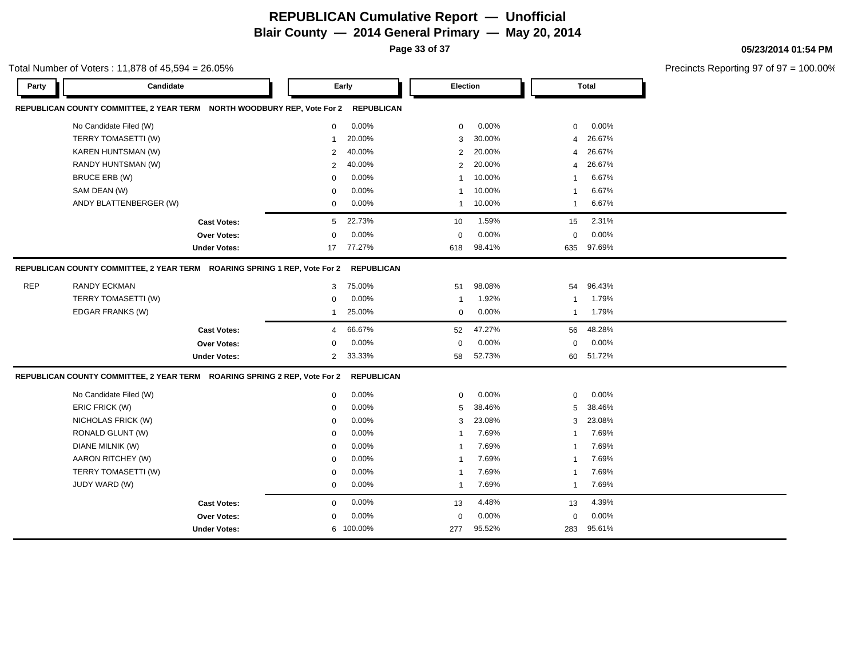**Page 33 of 37**

#### Total Number of Voters : 11,878 of 45,594 = 26.05%

**05/23/2014 01:54 PM**

| Party      | Candidate                                                                 |                     |                | Early             | <b>Election</b> |        |                | <b>Total</b> |  |
|------------|---------------------------------------------------------------------------|---------------------|----------------|-------------------|-----------------|--------|----------------|--------------|--|
|            | REPUBLICAN COUNTY COMMITTEE, 2 YEAR TERM NORTH WOODBURY REP, Vote For 2   |                     |                | <b>REPUBLICAN</b> |                 |        |                |              |  |
|            | No Candidate Filed (W)                                                    |                     | $\mathbf{0}$   | 0.00%             | 0               | 0.00%  | 0              | 0.00%        |  |
|            | TERRY TOMASETTI (W)                                                       |                     | 1              | 20.00%            | 3               | 30.00% | 4              | 26.67%       |  |
|            | KAREN HUNTSMAN (W)                                                        |                     | $\overline{2}$ | 40.00%            | 2               | 20.00% | 4              | 26.67%       |  |
|            | RANDY HUNTSMAN (W)                                                        |                     | $\overline{2}$ | 40.00%            | 2               | 20.00% | 4              | 26.67%       |  |
|            | BRUCE ERB (W)                                                             |                     | $\mathbf 0$    | 0.00%             | $\mathbf{1}$    | 10.00% | 1              | 6.67%        |  |
|            | SAM DEAN (W)                                                              |                     | 0              | 0.00%             | -1              | 10.00% | 1              | 6.67%        |  |
|            | ANDY BLATTENBERGER (W)                                                    |                     | $\mathbf 0$    | 0.00%             | $\mathbf{1}$    | 10.00% | $\mathbf{1}$   | 6.67%        |  |
|            |                                                                           | <b>Cast Votes:</b>  | 5              | 22.73%            | 10              | 1.59%  | 15             | 2.31%        |  |
|            |                                                                           | Over Votes:         | 0              | 0.00%             | $\mathbf 0$     | 0.00%  | $\mathbf 0$    | 0.00%        |  |
|            |                                                                           | <b>Under Votes:</b> | 17             | 77.27%            | 618             | 98.41% | 635            | 97.69%       |  |
|            | REPUBLICAN COUNTY COMMITTEE, 2 YEAR TERM ROARING SPRING 1 REP, Vote For 2 |                     |                | <b>REPUBLICAN</b> |                 |        |                |              |  |
| <b>REP</b> | <b>RANDY ECKMAN</b>                                                       |                     | 3              | 75.00%            | 51              | 98.08% | 54             | 96.43%       |  |
|            | TERRY TOMASETTI (W)                                                       |                     | 0              | 0.00%             | $\overline{1}$  | 1.92%  | $\overline{1}$ | 1.79%        |  |
|            | EDGAR FRANKS (W)                                                          |                     | -1             | 25.00%            | $\mathbf 0$     | 0.00%  | $\mathbf{1}$   | 1.79%        |  |
|            |                                                                           | <b>Cast Votes:</b>  | $\overline{4}$ | 66.67%            | 52              | 47.27% | 56             | 48.28%       |  |
|            |                                                                           | <b>Over Votes:</b>  | 0              | 0.00%             | $\mathbf 0$     | 0.00%  | $\mathbf 0$    | 0.00%        |  |
|            |                                                                           | <b>Under Votes:</b> | $\overline{2}$ | 33.33%            | 58              | 52.73% | 60             | 51.72%       |  |
|            | REPUBLICAN COUNTY COMMITTEE, 2 YEAR TERM ROARING SPRING 2 REP, Vote For 2 |                     |                | <b>REPUBLICAN</b> |                 |        |                |              |  |
|            | No Candidate Filed (W)                                                    |                     | $\mathbf 0$    | 0.00%             | $\mathbf 0$     | 0.00%  | $\mathbf 0$    | 0.00%        |  |
|            | ERIC FRICK (W)                                                            |                     | $\mathbf 0$    | 0.00%             | 5               | 38.46% | 5              | 38.46%       |  |
|            | NICHOLAS FRICK (W)                                                        |                     | $\mathbf 0$    | 0.00%             | 3               | 23.08% | 3              | 23.08%       |  |
|            | RONALD GLUNT (W)                                                          |                     | 0              | 0.00%             | $\mathbf{1}$    | 7.69%  | 1              | 7.69%        |  |
|            | <b>DIANE MILNIK (W)</b>                                                   |                     | 0              | 0.00%             | $\mathbf 1$     | 7.69%  | 1              | 7.69%        |  |
|            | AARON RITCHEY (W)                                                         |                     | 0              | 0.00%             | $\mathbf{1}$    | 7.69%  | 1              | 7.69%        |  |
|            | TERRY TOMASETTI (W)                                                       |                     | $\mathbf 0$    | 0.00%             | $\overline{1}$  | 7.69%  | 1              | 7.69%        |  |
|            | JUDY WARD (W)                                                             |                     | 0              | 0.00%             | $\overline{1}$  | 7.69%  | $\mathbf{1}$   | 7.69%        |  |
|            |                                                                           | <b>Cast Votes:</b>  | $\mathbf 0$    | 0.00%             | 13              | 4.48%  | 13             | 4.39%        |  |
|            |                                                                           | Over Votes:         | $\mathbf 0$    | 0.00%             | $\mathbf 0$     | 0.00%  | $\Omega$       | 0.00%        |  |
|            |                                                                           | <b>Under Votes:</b> |                | 6 100.00%         | 277             | 95.52% | 283            | 95.61%       |  |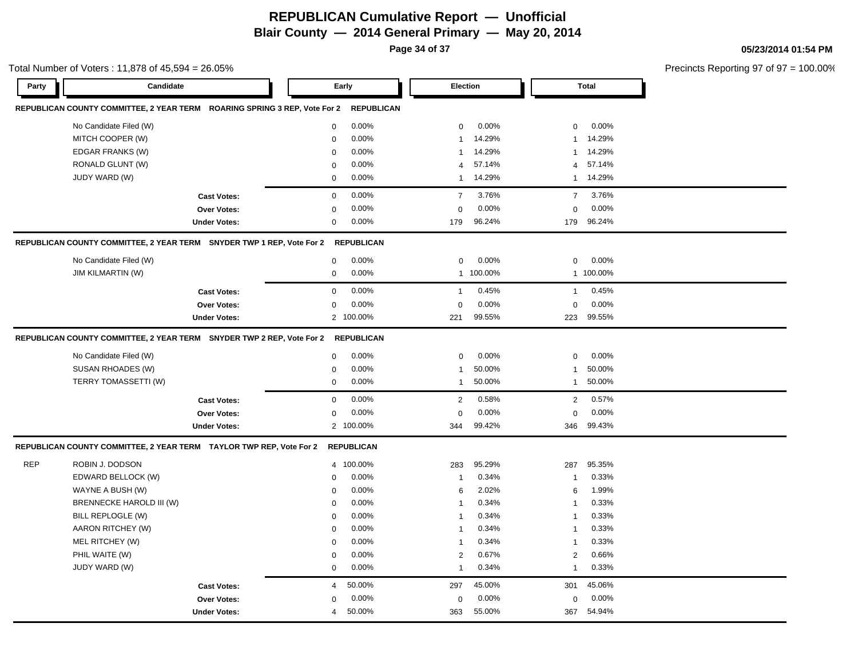**Page 34 of 37**

|       | Total Number of Voters: 11,878 of $45,594 = 26.05\%$                                                                            |                     |                  |                   |                             |                    |                               |                    | Precincts Reporting 97 of 97 = 100.00% |
|-------|---------------------------------------------------------------------------------------------------------------------------------|---------------------|------------------|-------------------|-----------------------------|--------------------|-------------------------------|--------------------|----------------------------------------|
| Party | Candidate                                                                                                                       |                     |                  | Early             | Election                    |                    |                               | Total              |                                        |
|       | REPUBLICAN COUNTY COMMITTEE, 2 YEAR TERM ROARING SPRING 3 REP, Vote For 2 REPUBLICAN                                            |                     |                  |                   |                             |                    |                               |                    |                                        |
|       | No Candidate Filed (W)                                                                                                          |                     | $\mathbf 0$      | $0.00\%$          | $\mathbf 0$                 | $0.00\%$           | $\mathbf 0$                   | $0.00\%$           |                                        |
|       | MITCH COOPER (W)                                                                                                                |                     | $\mathbf 0$      | 0.00%             | $\mathbf{1}$                | 14.29%             | $\overline{1}$                | 14.29%             |                                        |
|       | EDGAR FRANKS (W)                                                                                                                |                     | $\Omega$         | 0.00%             | $\mathbf{1}$                | 14.29%             | $\overline{1}$                | 14.29%             |                                        |
|       | RONALD GLUNT (W)                                                                                                                |                     | $\Omega$         | 0.00%             |                             | 4 57.14%           |                               | 4 57.14%           |                                        |
|       | JUDY WARD (W)                                                                                                                   |                     | $\mathbf{0}$     | 0.00%             |                             | 1 14.29%           |                               | 1 14.29%           |                                        |
|       |                                                                                                                                 | <b>Cast Votes:</b>  | $\mathbf{0}$     | 0.00%             | $\overline{7}$              | 3.76%              | $\overline{7}$                | 3.76%              |                                        |
|       |                                                                                                                                 | Over Votes:         | $\Omega$         | 0.00%             | $\Omega$                    | 0.00%              | $\mathbf 0$                   | 0.00%              |                                        |
|       |                                                                                                                                 | <b>Under Votes:</b> | $\mathbf{0}$     | $0.00\%$          | 179                         | 96.24%             |                               | 179 96.24%         |                                        |
|       | REPUBLICAN COUNTY COMMITTEE, 2 YEAR TERM SNYDER TWP 1 REP, Vote For 2 REPUBLICAN                                                |                     |                  |                   |                             |                    |                               |                    |                                        |
|       | No Candidate Filed (W)                                                                                                          |                     | $\mathbf{0}$     | 0.00%             | 0                           | 0.00%              | $\mathbf{0}$                  | 0.00%              |                                        |
|       | <b>JIM KILMARTIN (W)</b>                                                                                                        |                     | $\mathbf{0}$     | 0.00%             |                             | 1 100.00%          |                               | 1 100.00%          |                                        |
|       |                                                                                                                                 | <b>Cast Votes:</b>  | $\mathbf 0$      | $0.00\%$          | -1                          | 0.45%              | $\overline{1}$                | 0.45%              |                                        |
|       |                                                                                                                                 | Over Votes:         | $\Omega$         | 0.00%             | $\mathbf{0}$                | 0.00%              | $\mathbf 0$                   | 0.00%              |                                        |
|       |                                                                                                                                 | <b>Under Votes:</b> |                  | 2 100.00%         | 221                         | 99.55%             |                               | 223 99.55%         |                                        |
|       | REPUBLICAN COUNTY COMMITTEE, 2 YEAR TERM SNYDER TWP 2 REP, Vote For 2 REPUBLICAN<br>No Candidate Filed (W)<br>SUSAN RHOADES (W) |                     | 0<br>$\mathbf 0$ | $0.00\%$<br>0.00% | $\mathbf 0$<br>$\mathbf{1}$ | $0.00\%$<br>50.00% | $\mathbf 0$<br>$\overline{1}$ | $0.00\%$<br>50.00% |                                        |
|       | TERRY TOMASSETTI (W)                                                                                                            |                     | $\mathbf 0$      | 0.00%             |                             | 1 50.00%           |                               | 1 50.00%           |                                        |
|       |                                                                                                                                 | <b>Cast Votes:</b>  | $\mathbf 0$      | $0.00\%$          | $\overline{2}$              | 0.58%              |                               | 2 0.57%            |                                        |
|       |                                                                                                                                 | Over Votes:         | $\mathbf 0$      | 0.00%             | $\mathbf 0$                 | 0.00%              | $\mathbf 0$                   | 0.00%              |                                        |
|       |                                                                                                                                 | <b>Under Votes:</b> |                  | 2 100.00%         | 344                         | 99.42%             |                               | 346 99.43%         |                                        |
|       | REPUBLICAN COUNTY COMMITTEE, 2 YEAR TERM TAYLOR TWP REP, Vote For 2 REPUBLICAN                                                  |                     |                  |                   |                             |                    |                               |                    |                                        |
| REP   | ROBIN J. DODSON                                                                                                                 |                     |                  | 4 100.00%         | 283                         | 95.29%             | 287                           | 95.35%             |                                        |
|       | EDWARD BELLOCK (W)                                                                                                              |                     | $\mathbf{0}$     | $0.00\%$          | -1                          | 0.34%              | $\overline{1}$                | 0.33%              |                                        |
|       | WAYNE A BUSH (W)                                                                                                                |                     | $\Omega$         | $0.00\%$          | 6                           | 2.02%              | 6                             | 1.99%              |                                        |
|       | BRENNECKE HAROLD III (W)                                                                                                        |                     | $\mathbf 0$      | 0.00%             | $\overline{1}$              | 0.34%              | $\overline{1}$                | 0.33%              |                                        |
|       | BILL REPLOGLE (W)                                                                                                               |                     | 0                | 0.00%             | $\mathbf{1}$                | 0.34%              | $\overline{1}$                | 0.33%              |                                        |
|       | AARON RITCHEY (W)                                                                                                               |                     | 0                | $0.00\%$          | $\mathbf{1}$                | 0.34%              | $\overline{1}$                | 0.33%              |                                        |
|       | MEL RITCHEY (W)                                                                                                                 |                     | 0                | 0.00%             | $\overline{1}$              | 0.34%              | $\overline{1}$                | 0.33%              |                                        |
|       | PHIL WAITE (W)                                                                                                                  |                     | $\mathbf 0$      | 0.00%             | $\overline{2}$              | 0.67%              | $\overline{2}$                | 0.66%              |                                        |
|       | JUDY WARD (W)                                                                                                                   |                     | $\mathbf 0$      | 0.00%             | $\mathbf{1}$                | 0.34%              | $\mathbf{1}$                  | 0.33%              |                                        |
|       |                                                                                                                                 | <b>Cast Votes:</b>  | $\overline{4}$   | 50.00%            | 297                         | 45.00%             | 301                           | 45.06%             |                                        |
|       |                                                                                                                                 | Over Votes:         | $\Omega$         | $0.00\%$          | $\mathbf 0$                 | 0.00%              | $\mathbf 0$                   | 0.00%              |                                        |
|       |                                                                                                                                 | <b>Under Votes:</b> | $\overline{4}$   | 50.00%            | 363                         | 55.00%             |                               | 367 54.94%         |                                        |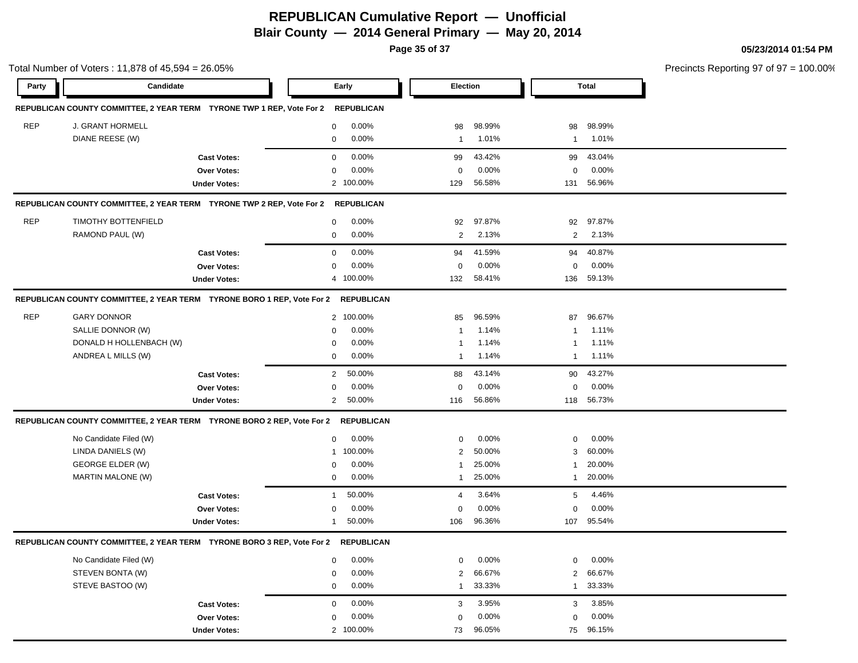**Page 35 of 37**

|                    | Total Number of Voters: 11,878 of 45,594 = 26.05%                      |                     |                           |                 |        |                | Precincts Reporting 97 of 97 = 100.00% |  |
|--------------------|------------------------------------------------------------------------|---------------------|---------------------------|-----------------|--------|----------------|----------------------------------------|--|
| Candidate<br>Party |                                                                        |                     | Early                     | <b>Election</b> |        | <b>Total</b>   |                                        |  |
|                    | REPUBLICAN COUNTY COMMITTEE, 2 YEAR TERM TYRONE TWP 1 REP, Vote For 2  |                     | <b>REPUBLICAN</b>         |                 |        |                |                                        |  |
| <b>REP</b>         | J. GRANT HORMELL                                                       |                     | 0.00%<br>0                | 98              | 98.99% | 98             | 98.99%                                 |  |
|                    | DIANE REESE (W)                                                        |                     | 0.00%<br>0                | $\mathbf{1}$    | 1.01%  | $\mathbf{1}$   | 1.01%                                  |  |
|                    |                                                                        | <b>Cast Votes:</b>  | 0.00%<br>0                | 99              | 43.42% | 99             | 43.04%                                 |  |
|                    |                                                                        | <b>Over Votes:</b>  | 0.00%<br>0                | 0               | 0.00%  | 0              | $0.00\%$                               |  |
|                    |                                                                        | <b>Under Votes:</b> | 2 100.00%                 | 129             | 56.58% | 131            | 56.96%                                 |  |
|                    | REPUBLICAN COUNTY COMMITTEE, 2 YEAR TERM TYRONE TWP 2 REP, Vote For 2  |                     | REPUBLICAN                |                 |        |                |                                        |  |
| <b>REP</b>         | TIMOTHY BOTTENFIELD                                                    |                     | 0.00%<br>0                | 92              | 97.87% | 92             | 97.87%                                 |  |
|                    | RAMOND PAUL (W)                                                        |                     | 0.00%<br>0                | $\overline{2}$  | 2.13%  | $\overline{2}$ | 2.13%                                  |  |
|                    |                                                                        | <b>Cast Votes:</b>  | 0.00%<br>0                | 94              | 41.59% | 94             | 40.87%                                 |  |
|                    |                                                                        | Over Votes:         | 0.00%<br>$\mathbf 0$      | 0               | 0.00%  | $\mathbf 0$    | 0.00%                                  |  |
|                    |                                                                        | <b>Under Votes:</b> | 4 100.00%                 | 132             | 58.41% | 136            | 59.13%                                 |  |
|                    | REPUBLICAN COUNTY COMMITTEE, 2 YEAR TERM TYRONE BORO 1 REP, Vote For 2 |                     | <b>REPUBLICAN</b>         |                 |        |                |                                        |  |
| <b>REP</b>         | <b>GARY DONNOR</b>                                                     |                     | 100.00%<br>$\overline{2}$ | 85              | 96.59% | 87             | 96.67%                                 |  |
|                    | SALLIE DONNOR (W)                                                      |                     | 0.00%<br>$\mathbf 0$      | -1              | 1.14%  | $\mathbf{1}$   | 1.11%                                  |  |
|                    | DONALD H HOLLENBACH (W)                                                |                     | 0.00%<br>0                | 1               | 1.14%  | $\mathbf{1}$   | 1.11%                                  |  |
|                    | ANDREA L MILLS (W)                                                     |                     | 0.00%<br>0                | 1               | 1.14%  | $\mathbf{1}$   | 1.11%                                  |  |
|                    |                                                                        | <b>Cast Votes:</b>  | 50.00%<br>$\overline{2}$  | 88              | 43.14% | 90             | 43.27%                                 |  |
|                    |                                                                        | Over Votes:         | 0.00%<br>0                | $\mathbf 0$     | 0.00%  | 0              | 0.00%                                  |  |
|                    |                                                                        | <b>Under Votes:</b> | 50.00%<br>$\overline{2}$  | 116             | 56.86% | 118            | 56.73%                                 |  |
|                    | REPUBLICAN COUNTY COMMITTEE, 2 YEAR TERM TYRONE BORO 2 REP, Vote For 2 |                     | <b>REPUBLICAN</b>         |                 |        |                |                                        |  |
|                    | No Candidate Filed (W)                                                 |                     | 0.00%<br>0                | 0               | 0.00%  | $\mathbf 0$    | $0.00\%$                               |  |
|                    | LINDA DANIELS (W)                                                      |                     | 100.00%<br>1              | 2               | 50.00% | 3              | 60.00%                                 |  |
|                    | <b>GEORGE ELDER (W)</b>                                                |                     | 0.00%<br>$\mathbf 0$      |                 | 25.00% | $\mathbf{1}$   | 20.00%                                 |  |
|                    | <b>MARTIN MALONE (W)</b>                                               |                     | 0.00%<br>0                | $\mathbf{1}$    | 25.00% | $\mathbf{1}$   | 20.00%                                 |  |
|                    |                                                                        | <b>Cast Votes:</b>  | 50.00%<br>-1              | 4               | 3.64%  | 5              | 4.46%                                  |  |
|                    |                                                                        | <b>Over Votes:</b>  | 0.00%<br>0                | $\mathbf 0$     | 0.00%  | $\mathbf 0$    | $0.00\%$                               |  |
|                    |                                                                        | <b>Under Votes:</b> | 50.00%<br>-1              | 106             | 96.36% | 107            | 95.54%                                 |  |
|                    | REPUBLICAN COUNTY COMMITTEE, 2 YEAR TERM TYRONE BORO 3 REP, Vote For 2 |                     | <b>REPUBLICAN</b>         |                 |        |                |                                        |  |
|                    | No Candidate Filed (W)                                                 |                     | 0.00%<br>0                | 0               | 0.00%  | $\mathbf 0$    | 0.00%                                  |  |
|                    | STEVEN BONTA (W)                                                       |                     | 0.00%<br>0                | $\overline{a}$  | 66.67% | $\overline{2}$ | 66.67%                                 |  |
|                    | STEVE BASTOO (W)                                                       |                     | 0.00%<br>0                | $\mathbf{1}$    | 33.33% | $\mathbf{1}$   | 33.33%                                 |  |
|                    |                                                                        | <b>Cast Votes:</b>  | 0.00%<br>0                | 3               | 3.95%  | 3              | 3.85%                                  |  |
|                    |                                                                        | Over Votes:         | 0.00%<br>$\mathbf 0$      | $\mathbf 0$     | 0.00%  | $\mathbf 0$    | 0.00%                                  |  |
|                    |                                                                        | <b>Under Votes:</b> | 2 100.00%                 | 73              | 96.05% |                | 75 96.15%                              |  |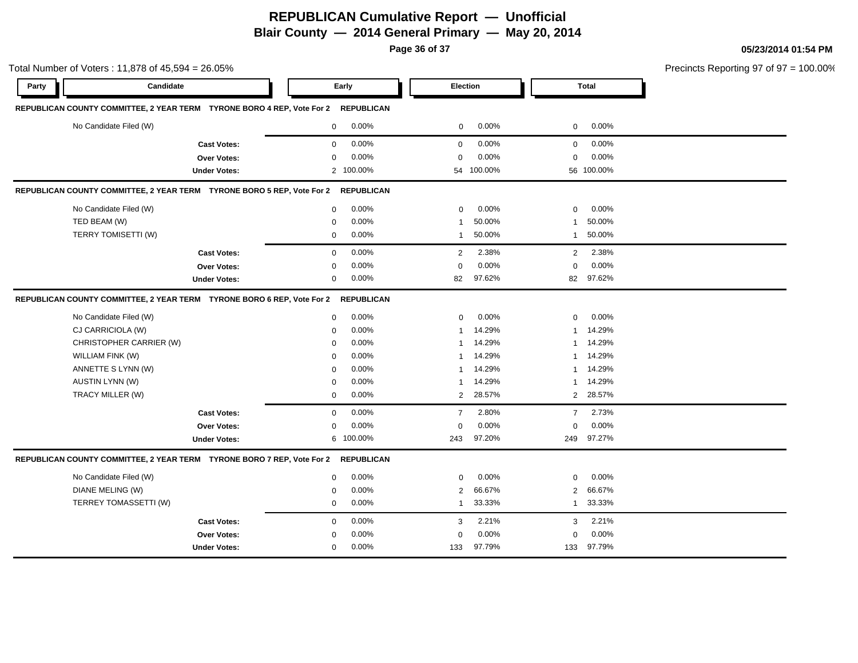**Page 36 of 37**

|       | Total Number of Voters: 11,878 of 45,594 = 26.05%                      |             |                   |                |                 |                |              |  |
|-------|------------------------------------------------------------------------|-------------|-------------------|----------------|-----------------|----------------|--------------|--|
| Party | Candidate                                                              |             | Early             |                | <b>Election</b> |                | <b>Total</b> |  |
|       | REPUBLICAN COUNTY COMMITTEE, 2 YEAR TERM TYRONE BORO 4 REP, Vote For 2 |             | <b>REPUBLICAN</b> |                |                 |                |              |  |
|       | No Candidate Filed (W)                                                 | 0           | 0.00%             | $\mathbf 0$    | 0.00%           | 0              | 0.00%        |  |
|       | <b>Cast Votes:</b>                                                     | $\mathbf 0$ | 0.00%             | $\mathbf 0$    | 0.00%           | $\mathbf 0$    | 0.00%        |  |
|       | Over Votes:                                                            | $\Omega$    | 0.00%             | 0              | 0.00%           | $\Omega$       | 0.00%        |  |
|       | <b>Under Votes:</b>                                                    |             | 2 100.00%         |                | 54 100.00%      |                | 56 100.00%   |  |
|       | REPUBLICAN COUNTY COMMITTEE, 2 YEAR TERM TYRONE BORO 5 REP, Vote For 2 |             | <b>REPUBLICAN</b> |                |                 |                |              |  |
|       | No Candidate Filed (W)                                                 | $\mathbf 0$ | 0.00%             | $\mathbf 0$    | 0.00%           | $\mathbf 0$    | 0.00%        |  |
|       | TED BEAM (W)                                                           | $\mathbf 0$ | 0.00%             | -1             | 50.00%          | 1              | 50.00%       |  |
|       | TERRY TOMISETTI (W)                                                    | 0           | 0.00%             | $\mathbf{1}$   | 50.00%          | $\mathbf{1}$   | 50.00%       |  |
|       | <b>Cast Votes:</b>                                                     | $\mathbf 0$ | 0.00%             | 2              | 2.38%           | 2              | 2.38%        |  |
|       | Over Votes:                                                            | $\mathbf 0$ | 0.00%             | $\Omega$       | 0.00%           | $\Omega$       | 0.00%        |  |
|       | <b>Under Votes:</b>                                                    | 0           | 0.00%             | 82             | 97.62%          | 82             | 97.62%       |  |
|       | REPUBLICAN COUNTY COMMITTEE, 2 YEAR TERM TYRONE BORO 6 REP, Vote For 2 |             | <b>REPUBLICAN</b> |                |                 |                |              |  |
|       | No Candidate Filed (W)                                                 | $\mathbf 0$ | 0.00%             | $\mathbf 0$    | 0.00%           | $\mathbf 0$    | 0.00%        |  |
|       | CJ CARRICIOLA (W)                                                      | $\Omega$    | 0.00%             |                | 14.29%          | -1             | 14.29%       |  |
|       | CHRISTOPHER CARRIER (W)                                                | $\Omega$    | 0.00%             |                | 14.29%          | -1             | 14.29%       |  |
|       | WILLIAM FINK (W)                                                       | $\Omega$    | 0.00%             |                | 14.29%          | 1              | 14.29%       |  |
|       | ANNETTE S LYNN (W)                                                     | $\Omega$    | 0.00%             |                | 14.29%          | -1             | 14.29%       |  |
|       | AUSTIN LYNN (W)                                                        | 0           | 0.00%             |                | 14.29%          | 1              | 14.29%       |  |
|       | TRACY MILLER (W)                                                       | 0           | 0.00%             | $\overline{2}$ | 28.57%          | 2              | 28.57%       |  |
|       | <b>Cast Votes:</b>                                                     | $\mathbf 0$ | 0.00%             | $\overline{7}$ | 2.80%           | $\overline{7}$ | 2.73%        |  |
|       | <b>Over Votes:</b>                                                     | $\mathbf 0$ | 0.00%             | $\mathbf 0$    | 0.00%           | $\mathbf 0$    | 0.00%        |  |
|       | <b>Under Votes:</b>                                                    |             | 6 100.00%         | 243            | 97.20%          | 249            | 97.27%       |  |
|       | REPUBLICAN COUNTY COMMITTEE, 2 YEAR TERM TYRONE BORO 7 REP, Vote For 2 |             | <b>REPUBLICAN</b> |                |                 |                |              |  |
|       | No Candidate Filed (W)                                                 | $\mathbf 0$ | 0.00%             | $\mathbf 0$    | 0.00%           | $\mathbf 0$    | 0.00%        |  |
|       | <b>DIANE MELING (W)</b>                                                | $\Omega$    | 0.00%             | $\overline{2}$ | 66.67%          | 2              | 66.67%       |  |
|       | TERREY TOMASSETTI (W)                                                  | 0           | 0.00%             | 1              | 33.33%          | -1             | 33.33%       |  |
|       | <b>Cast Votes:</b>                                                     | $\mathbf 0$ | 0.00%             | 3              | 2.21%           | 3              | 2.21%        |  |
|       | Over Votes:                                                            | $\Omega$    | 0.00%             | $\Omega$       | 0.00%           | $\Omega$       | 0.00%        |  |
|       | <b>Under Votes:</b>                                                    | $\mathbf 0$ | 0.00%             | 133            | 97.79%          | 133            | 97.79%       |  |

 $\frac{1}{2}$  ecincts Reporting 97 of 97 = 100.00%